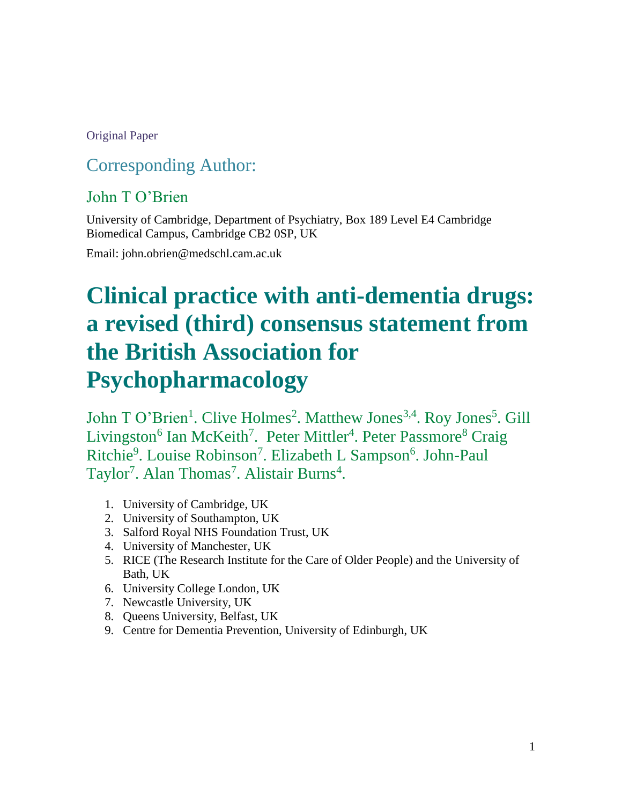### Original Paper

# Corresponding Author:

### John T O'Brien

University of Cambridge, Department of Psychiatry, Box 189 Level E4 Cambridge Biomedical Campus, Cambridge CB2 0SP, UK

Email: john.obrien@medschl.cam.ac.uk

# **Clinical practice with anti-dementia drugs: a revised (third) consensus statement from the British Association for Psychopharmacology**

John T O'Brien<sup>1</sup>. Clive Holmes<sup>2</sup>. Matthew Jones<sup>3,4</sup>. Roy Jones<sup>5</sup>. Gill Livingston<sup>6</sup> Ian McKeith<sup>7</sup>. Peter Mittler<sup>4</sup>. Peter Passmore<sup>8</sup> Craig Ritchie<sup>9</sup>. Louise Robinson<sup>7</sup>. Elizabeth L Sampson<sup>6</sup>. John-Paul Taylor<sup>7</sup>. Alan Thomas<sup>7</sup>. Alistair Burns<sup>4</sup>.

- 1. University of Cambridge, UK
- 2. University of Southampton, UK
- 3. Salford Royal NHS Foundation Trust, UK
- 4. University of Manchester, UK
- 5. RICE (The Research Institute for the Care of Older People) and the University of Bath, UK
- 6. University College London, UK
- 7. Newcastle University, UK
- 8. Queens University, Belfast, UK
- 9. Centre for Dementia Prevention, University of Edinburgh, UK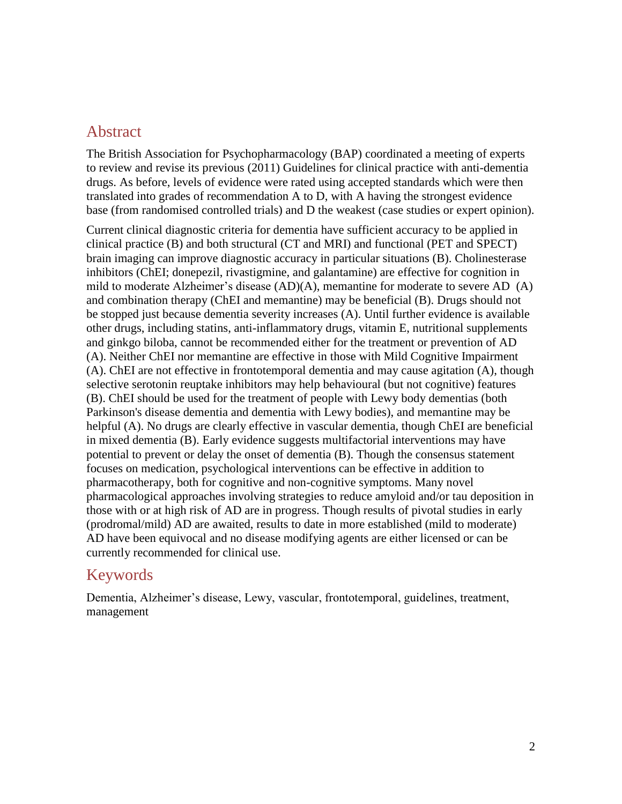### Abstract

The British Association for Psychopharmacology (BAP) coordinated a meeting of experts to review and revise its previous (2011) Guidelines for clinical practice with anti-dementia drugs. As before, levels of evidence were rated using accepted standards which were then translated into grades of recommendation A to D, with A having the strongest evidence base (from randomised controlled trials) and D the weakest (case studies or expert opinion).

Current clinical diagnostic criteria for dementia have sufficient accuracy to be applied in clinical practice (B) and both structural (CT and MRI) and functional (PET and SPECT) brain imaging can improve diagnostic accuracy in particular situations (B). Cholinesterase inhibitors (ChEI; donepezil, rivastigmine, and galantamine) are effective for cognition in mild to moderate Alzheimer's disease (AD)(A), memantine for moderate to severe AD (A) and combination therapy (ChEI and memantine) may be beneficial (B). Drugs should not be stopped just because dementia severity increases (A). Until further evidence is available other drugs, including statins, anti-inflammatory drugs, vitamin E, nutritional supplements and ginkgo biloba, cannot be recommended either for the treatment or prevention of AD (A). Neither ChEI nor memantine are effective in those with Mild Cognitive Impairment (A). ChEI are not effective in frontotemporal dementia and may cause agitation (A), though selective serotonin reuptake inhibitors may help behavioural (but not cognitive) features (B). ChEI should be used for the treatment of people with Lewy body dementias (both Parkinson's disease dementia and dementia with Lewy bodies), and memantine may be helpful (A). No drugs are clearly effective in vascular dementia, though ChEI are beneficial in mixed dementia (B). Early evidence suggests multifactorial interventions may have potential to prevent or delay the onset of dementia (B). Though the consensus statement focuses on medication, psychological interventions can be effective in addition to pharmacotherapy, both for cognitive and non-cognitive symptoms. Many novel pharmacological approaches involving strategies to reduce amyloid and/or tau deposition in those with or at high risk of AD are in progress. Though results of pivotal studies in early (prodromal/mild) AD are awaited, results to date in more established (mild to moderate) AD have been equivocal and no disease modifying agents are either licensed or can be currently recommended for clinical use.

### Keywords

Dementia, Alzheimer's disease, Lewy, vascular, frontotemporal, guidelines, treatment, management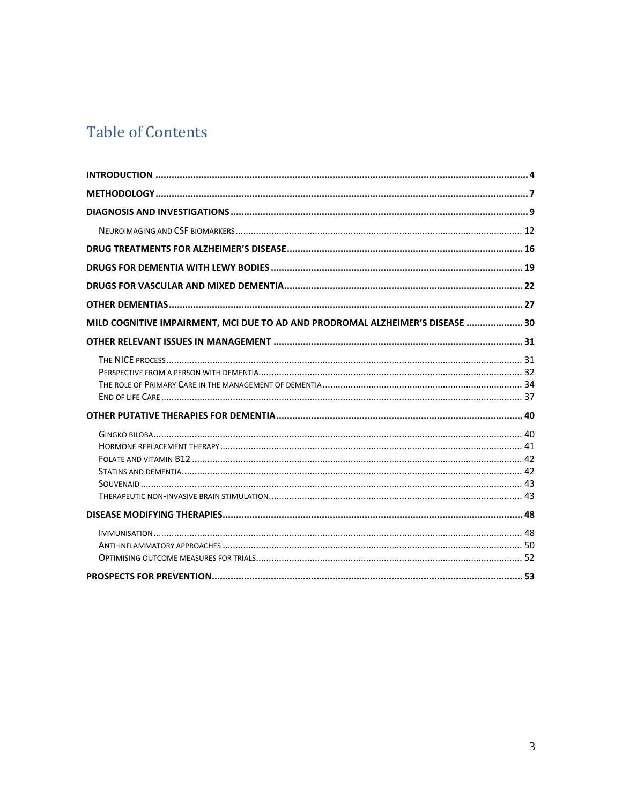# **Table of Contents**

| MILD COGNITIVE IMPAIRMENT, MCI DUE TO AD AND PRODROMAL ALZHEIMER'S DISEASE  30 |  |
|--------------------------------------------------------------------------------|--|
|                                                                                |  |
|                                                                                |  |
|                                                                                |  |
|                                                                                |  |
|                                                                                |  |
|                                                                                |  |
|                                                                                |  |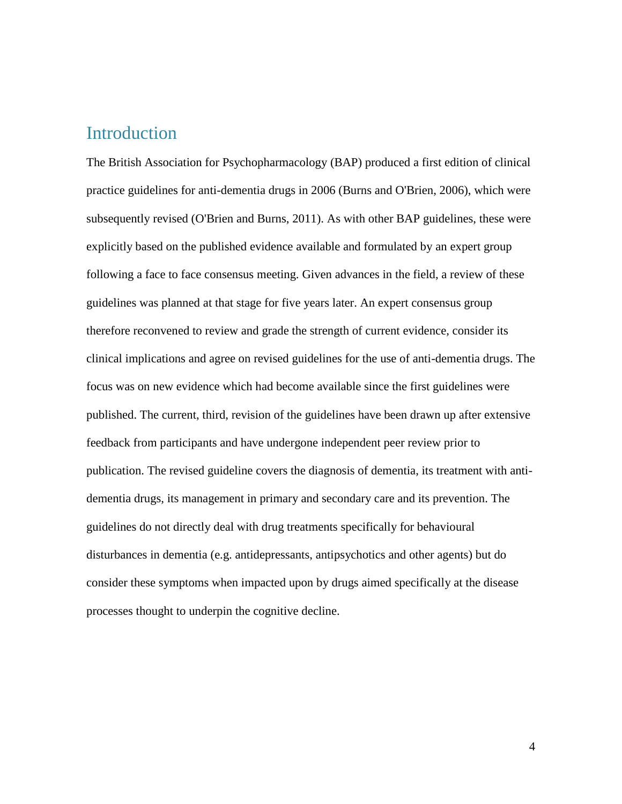### <span id="page-3-0"></span>Introduction

The British Association for Psychopharmacology (BAP) produced a first edition of clinical practice guidelines for anti-dementia drugs in 2006 (Burns and O'Brien, 2006), which were subsequently revised (O'Brien and Burns, 2011). As with other BAP guidelines, these were explicitly based on the published evidence available and formulated by an expert group following a face to face consensus meeting. Given advances in the field, a review of these guidelines was planned at that stage for five years later. An expert consensus group therefore reconvened to review and grade the strength of current evidence, consider its clinical implications and agree on revised guidelines for the use of anti-dementia drugs. The focus was on new evidence which had become available since the first guidelines were published. The current, third, revision of the guidelines have been drawn up after extensive feedback from participants and have undergone independent peer review prior to publication. The revised guideline covers the diagnosis of dementia, its treatment with antidementia drugs, its management in primary and secondary care and its prevention. The guidelines do not directly deal with drug treatments specifically for behavioural disturbances in dementia (e.g. antidepressants, antipsychotics and other agents) but do consider these symptoms when impacted upon by drugs aimed specifically at the disease processes thought to underpin the cognitive decline.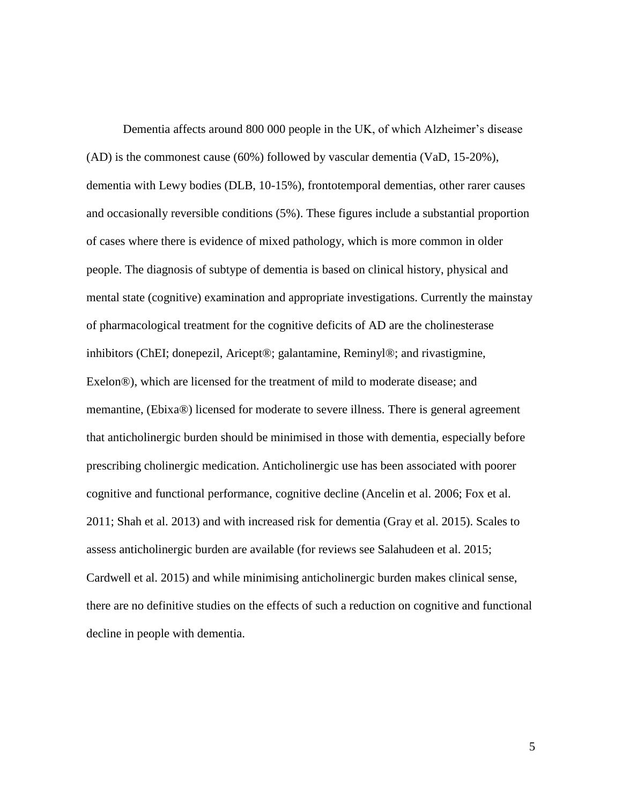Dementia affects around 800 000 people in the UK, of which Alzheimer's disease (AD) is the commonest cause (60%) followed by vascular dementia (VaD, 15-20%), dementia with Lewy bodies (DLB, 10-15%), frontotemporal dementias, other rarer causes and occasionally reversible conditions (5%). These figures include a substantial proportion of cases where there is evidence of mixed pathology, which is more common in older people. The diagnosis of subtype of dementia is based on clinical history, physical and mental state (cognitive) examination and appropriate investigations. Currently the mainstay of pharmacological treatment for the cognitive deficits of AD are the cholinesterase inhibitors (ChEI; donepezil, Aricept®; galantamine, Reminyl®; and rivastigmine, Exelon®), which are licensed for the treatment of mild to moderate disease; and memantine, (Ebixa®) licensed for moderate to severe illness. There is general agreement that anticholinergic burden should be minimised in those with dementia, especially before prescribing cholinergic medication. Anticholinergic use has been associated with poorer cognitive and functional performance, cognitive decline (Ancelin et al. 2006; Fox et al. 2011; Shah et al. 2013) and with increased risk for dementia (Gray et al. 2015). Scales to assess anticholinergic burden are available (for reviews see Salahudeen et al. 2015; Cardwell et al. 2015) and while minimising anticholinergic burden makes clinical sense, there are no definitive studies on the effects of such a reduction on cognitive and functional decline in people with dementia.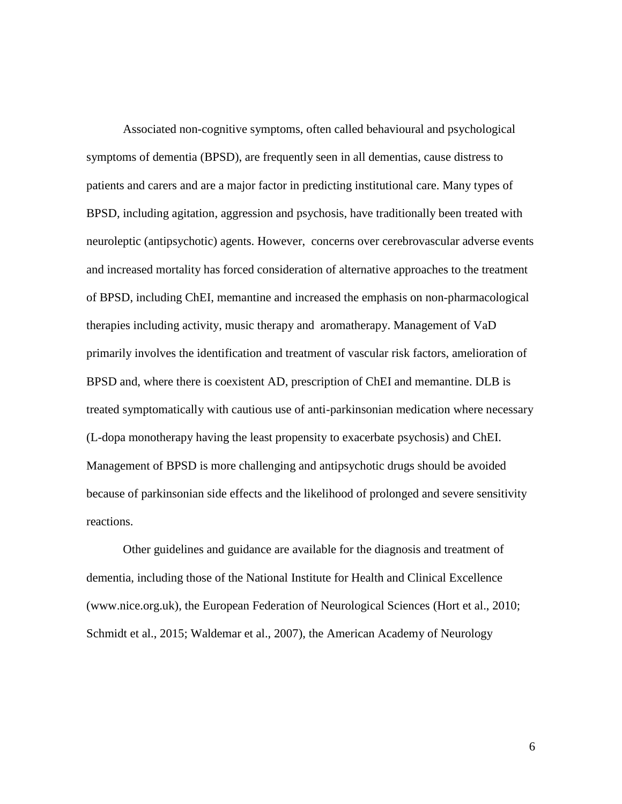Associated non-cognitive symptoms, often called behavioural and psychological symptoms of dementia (BPSD), are frequently seen in all dementias, cause distress to patients and carers and are a major factor in predicting institutional care. Many types of BPSD, including agitation, aggression and psychosis, have traditionally been treated with neuroleptic (antipsychotic) agents. However, concerns over cerebrovascular adverse events and increased mortality has forced consideration of alternative approaches to the treatment of BPSD, including ChEI, memantine and increased the emphasis on non-pharmacological therapies including activity, music therapy and aromatherapy. Management of VaD primarily involves the identification and treatment of vascular risk factors, amelioration of BPSD and, where there is coexistent AD, prescription of ChEI and memantine. DLB is treated symptomatically with cautious use of anti-parkinsonian medication where necessary (L-dopa monotherapy having the least propensity to exacerbate psychosis) and ChEI. Management of BPSD is more challenging and antipsychotic drugs should be avoided because of parkinsonian side effects and the likelihood of prolonged and severe sensitivity reactions.

Other guidelines and guidance are available for the diagnosis and treatment of dementia, including those of the National Institute for Health and Clinical Excellence (www.nice.org.uk), the European Federation of Neurological Sciences (Hort et al., 2010; Schmidt et al., 2015; Waldemar et al., 2007), the American Academy of Neurology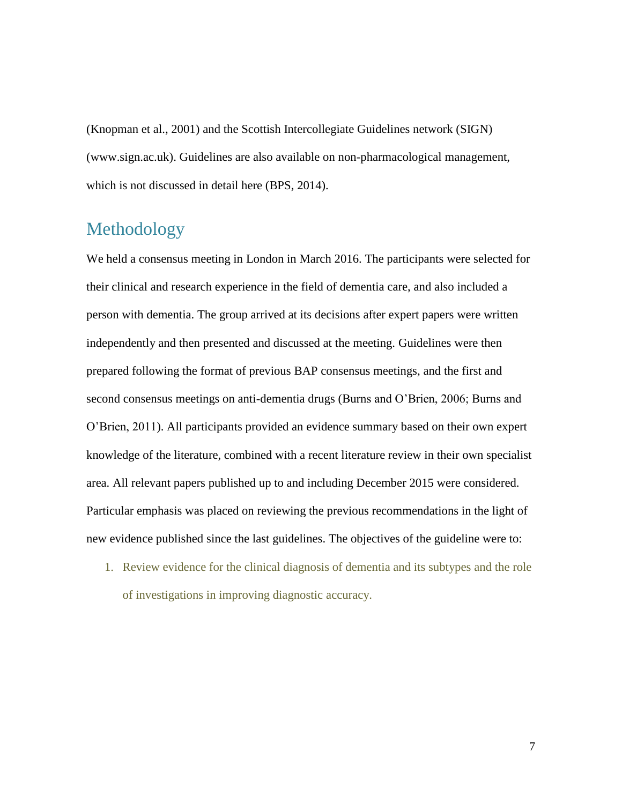(Knopman et al., 2001) and the Scottish Intercollegiate Guidelines network (SIGN) (www.sign.ac.uk). Guidelines are also available on non-pharmacological management, which is not discussed in detail here (BPS, 2014).

# <span id="page-6-0"></span>Methodology

We held a consensus meeting in London in March 2016. The participants were selected for their clinical and research experience in the field of dementia care, and also included a person with dementia. The group arrived at its decisions after expert papers were written independently and then presented and discussed at the meeting. Guidelines were then prepared following the format of previous BAP consensus meetings, and the first and second consensus meetings on anti-dementia drugs (Burns and O'Brien, 2006; Burns and O'Brien, 2011). All participants provided an evidence summary based on their own expert knowledge of the literature, combined with a recent literature review in their own specialist area. All relevant papers published up to and including December 2015 were considered. Particular emphasis was placed on reviewing the previous recommendations in the light of new evidence published since the last guidelines. The objectives of the guideline were to:

1. Review evidence for the clinical diagnosis of dementia and its subtypes and the role of investigations in improving diagnostic accuracy.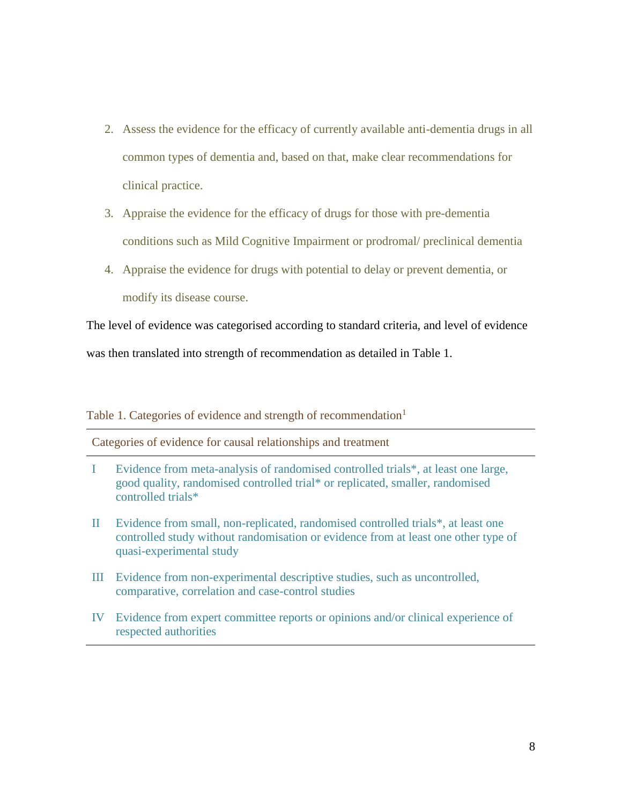- 2. Assess the evidence for the efficacy of currently available anti-dementia drugs in all common types of dementia and, based on that, make clear recommendations for clinical practice.
- 3. Appraise the evidence for the efficacy of drugs for those with pre-dementia conditions such as Mild Cognitive Impairment or prodromal/ preclinical dementia
- 4. Appraise the evidence for drugs with potential to delay or prevent dementia, or modify its disease course.

The level of evidence was categorised according to standard criteria, and level of evidence

was then translated into strength of recommendation as detailed in Table 1.

Table 1. Categories of evidence and strength of recommendation<sup>1</sup>

Categories of evidence for causal relationships and treatment

- I Evidence from meta-analysis of randomised controlled trials\*, at least one large, good quality, randomised controlled trial\* or replicated, smaller, randomised controlled trials\*
- II Evidence from small, non-replicated, randomised controlled trials\*, at least one controlled study without randomisation or evidence from at least one other type of quasi-experimental study
- III Evidence from non-experimental descriptive studies, such as uncontrolled, comparative, correlation and case-control studies
- IV Evidence from expert committee reports or opinions and/or clinical experience of respected authorities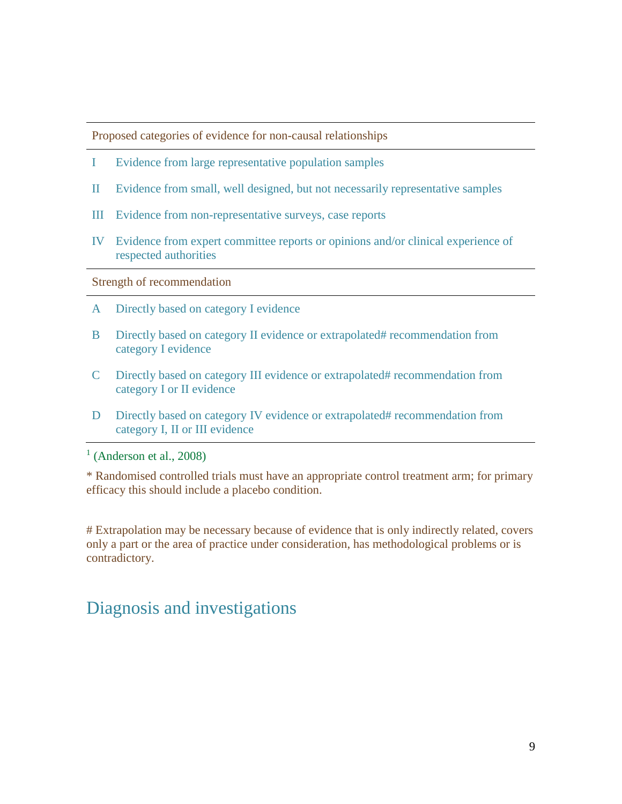Proposed categories of evidence for non-causal relationships

- I Evidence from large representative population samples
- II Evidence from small, well designed, but not necessarily representative samples
- III Evidence from non-representative surveys, case reports
- IV Evidence from expert committee reports or opinions and/or clinical experience of respected authorities

Strength of recommendation

- A Directly based on category I evidence
- B Directly based on category II evidence or extrapolated# recommendation from category I evidence
- C Directly based on category III evidence or extrapolated# recommendation from category I or II evidence
- D Directly based on category IV evidence or extrapolated# recommendation from category I, II or III evidence

 $<sup>1</sup>$  (Anderson et al., 2008)</sup>

\* Randomised controlled trials must have an appropriate control treatment arm; for primary efficacy this should include a placebo condition.

# Extrapolation may be necessary because of evidence that is only indirectly related, covers only a part or the area of practice under consideration, has methodological problems or is contradictory.

### <span id="page-8-0"></span>Diagnosis and investigations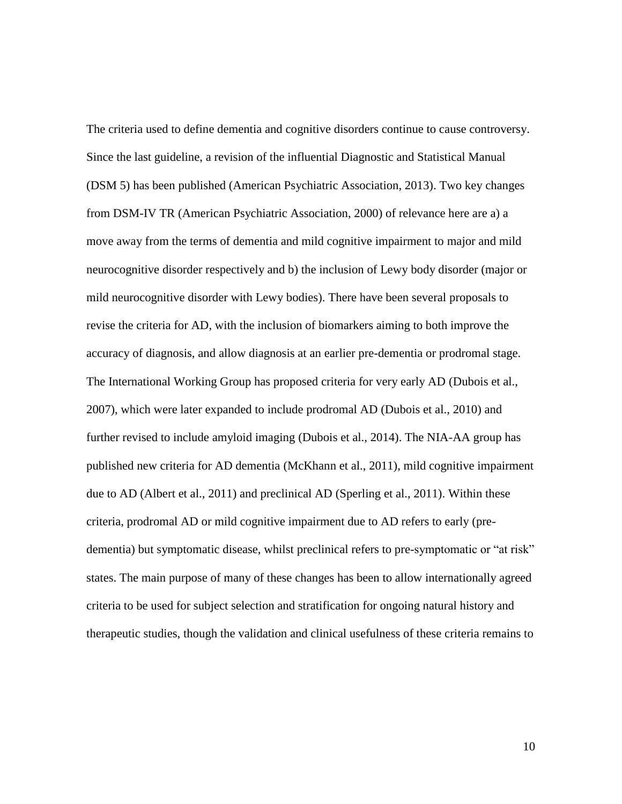The criteria used to define dementia and cognitive disorders continue to cause controversy. Since the last guideline, a revision of the influential Diagnostic and Statistical Manual (DSM 5) has been published (American Psychiatric Association, 2013). Two key changes from DSM-IV TR (American Psychiatric Association, 2000) of relevance here are a) a move away from the terms of dementia and mild cognitive impairment to major and mild neurocognitive disorder respectively and b) the inclusion of Lewy body disorder (major or mild neurocognitive disorder with Lewy bodies). There have been several proposals to revise the criteria for AD, with the inclusion of biomarkers aiming to both improve the accuracy of diagnosis, and allow diagnosis at an earlier pre-dementia or prodromal stage. The International Working Group has proposed criteria for very early AD (Dubois et al., 2007), which were later expanded to include prodromal AD (Dubois et al., 2010) and further revised to include amyloid imaging (Dubois et al., 2014). The NIA-AA group has published new criteria for AD dementia (McKhann et al., 2011), mild cognitive impairment due to AD (Albert et al., 2011) and preclinical AD (Sperling et al., 2011). Within these criteria, prodromal AD or mild cognitive impairment due to AD refers to early (predementia) but symptomatic disease, whilst preclinical refers to pre-symptomatic or "at risk" states. The main purpose of many of these changes has been to allow internationally agreed criteria to be used for subject selection and stratification for ongoing natural history and therapeutic studies, though the validation and clinical usefulness of these criteria remains to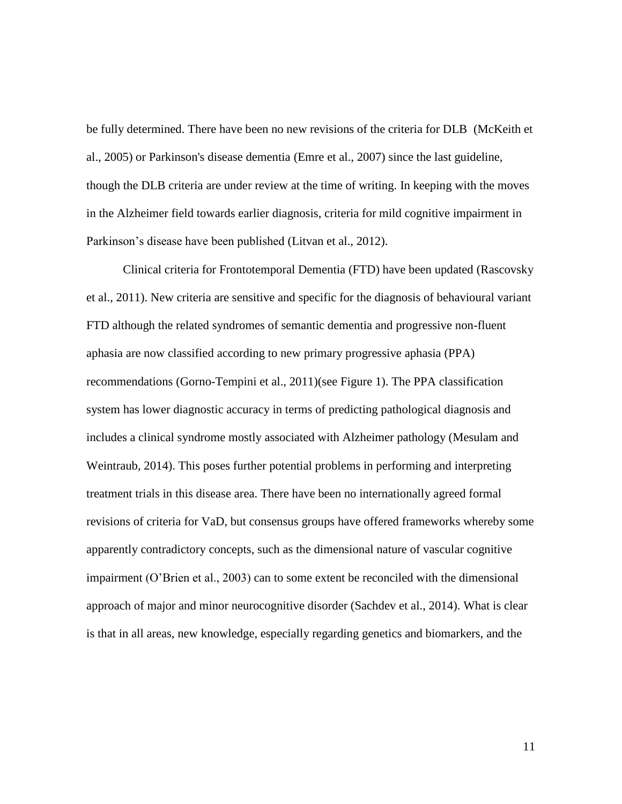be fully determined. There have been no new revisions of the criteria for DLB (McKeith et al., 2005) or Parkinson's disease dementia (Emre et al., 2007) since the last guideline, though the DLB criteria are under review at the time of writing. In keeping with the moves in the Alzheimer field towards earlier diagnosis, criteria for mild cognitive impairment in Parkinson's disease have been published (Litvan et al., 2012).

Clinical criteria for Frontotemporal Dementia (FTD) have been updated (Rascovsky et al., 2011). New criteria are sensitive and specific for the diagnosis of behavioural variant FTD although the related syndromes of semantic dementia and progressive non-fluent aphasia are now classified according to new primary progressive aphasia (PPA) recommendations (Gorno-Tempini et al., 2011)(see Figure 1). The PPA classification system has lower diagnostic accuracy in terms of predicting pathological diagnosis and includes a clinical syndrome mostly associated with Alzheimer pathology (Mesulam and Weintraub, 2014). This poses further potential problems in performing and interpreting treatment trials in this disease area. There have been no internationally agreed formal revisions of criteria for VaD, but consensus groups have offered frameworks whereby some apparently contradictory concepts, such as the dimensional nature of vascular cognitive impairment (O'Brien et al., 2003) can to some extent be reconciled with the dimensional approach of major and minor neurocognitive disorder (Sachdev et al., 2014). What is clear is that in all areas, new knowledge, especially regarding genetics and biomarkers, and the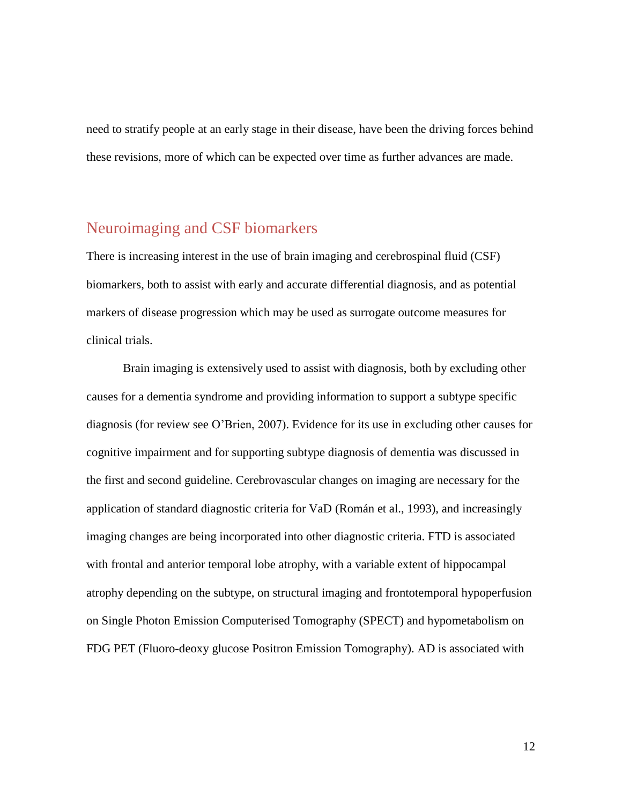need to stratify people at an early stage in their disease, have been the driving forces behind these revisions, more of which can be expected over time as further advances are made.

### <span id="page-11-0"></span>Neuroimaging and CSF biomarkers

There is increasing interest in the use of brain imaging and cerebrospinal fluid (CSF) biomarkers, both to assist with early and accurate differential diagnosis, and as potential markers of disease progression which may be used as surrogate outcome measures for clinical trials.

Brain imaging is extensively used to assist with diagnosis, both by excluding other causes for a dementia syndrome and providing information to support a subtype specific diagnosis (for review see O'Brien, 2007). Evidence for its use in excluding other causes for cognitive impairment and for supporting subtype diagnosis of dementia was discussed in the first and second guideline. Cerebrovascular changes on imaging are necessary for the application of standard diagnostic criteria for VaD (Román et al., 1993), and increasingly imaging changes are being incorporated into other diagnostic criteria. FTD is associated with frontal and anterior temporal lobe atrophy, with a variable extent of hippocampal atrophy depending on the subtype, on structural imaging and frontotemporal hypoperfusion on Single Photon Emission Computerised Tomography (SPECT) and hypometabolism on FDG PET (Fluoro-deoxy glucose Positron Emission Tomography). AD is associated with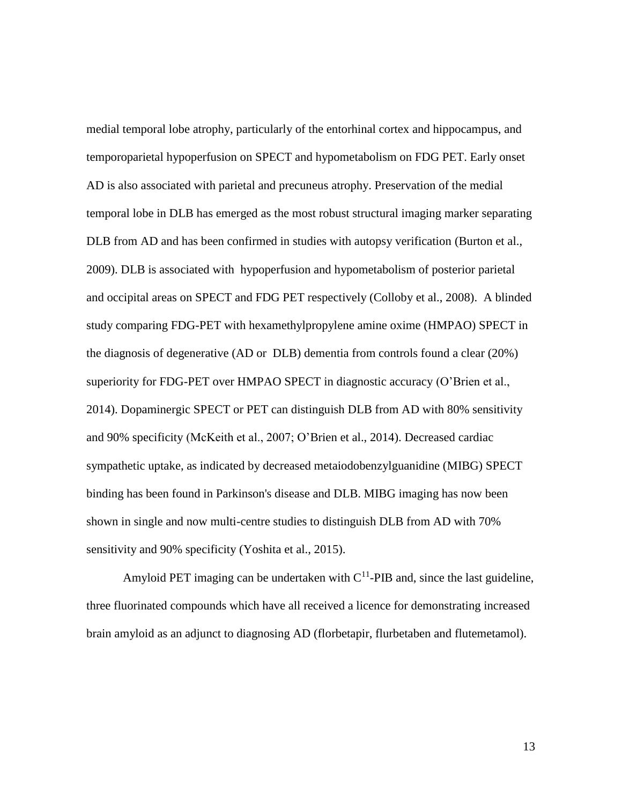medial temporal lobe atrophy, particularly of the entorhinal cortex and hippocampus, and temporoparietal hypoperfusion on SPECT and hypometabolism on FDG PET. Early onset AD is also associated with parietal and precuneus atrophy. Preservation of the medial temporal lobe in DLB has emerged as the most robust structural imaging marker separating DLB from AD and has been confirmed in studies with autopsy verification (Burton et al., 2009). DLB is associated with hypoperfusion and hypometabolism of posterior parietal and occipital areas on SPECT and FDG PET respectively (Colloby et al., 2008). A blinded study comparing FDG-PET with hexamethylpropylene amine oxime (HMPAO) SPECT in the diagnosis of degenerative (AD or DLB) dementia from controls found a clear (20%) superiority for FDG-PET over HMPAO SPECT in diagnostic accuracy (O'Brien et al., 2014). Dopaminergic SPECT or PET can distinguish DLB from AD with 80% sensitivity and 90% specificity (McKeith et al., 2007; O'Brien et al., 2014). Decreased cardiac sympathetic uptake, as indicated by decreased metaiodobenzylguanidine (MIBG) SPECT binding has been found in Parkinson's disease and DLB. MIBG imaging has now been shown in single and now multi-centre studies to distinguish DLB from AD with 70% sensitivity and 90% specificity (Yoshita et al., 2015).

Amyloid PET imaging can be undertaken with  $C^{11}$ -PIB and, since the last guideline, three fluorinated compounds which have all received a licence for demonstrating increased brain amyloid as an adjunct to diagnosing AD (florbetapir, flurbetaben and flutemetamol).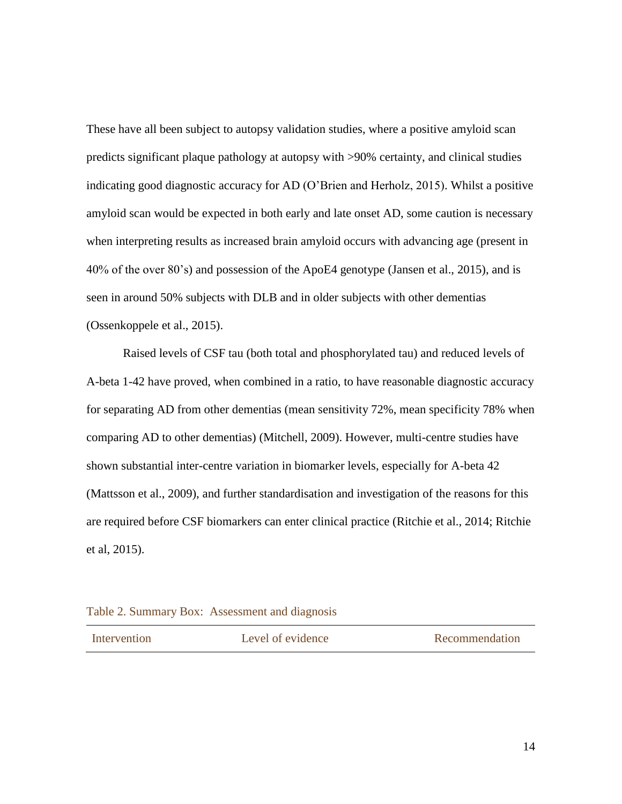These have all been subject to autopsy validation studies, where a positive amyloid scan predicts significant plaque pathology at autopsy with >90% certainty, and clinical studies indicating good diagnostic accuracy for AD (O'Brien and Herholz, 2015). Whilst a positive amyloid scan would be expected in both early and late onset AD, some caution is necessary when interpreting results as increased brain amyloid occurs with advancing age (present in 40% of the over 80's) and possession of the ApoE4 genotype (Jansen et al., 2015), and is seen in around 50% subjects with DLB and in older subjects with other dementias (Ossenkoppele et al., 2015).

Raised levels of CSF tau (both total and phosphorylated tau) and reduced levels of A-beta 1-42 have proved, when combined in a ratio, to have reasonable diagnostic accuracy for separating AD from other dementias (mean sensitivity 72%, mean specificity 78% when comparing AD to other dementias) (Mitchell, 2009). However, multi-centre studies have shown substantial inter-centre variation in biomarker levels, especially for A-beta 42 (Mattsson et al., 2009), and further standardisation and investigation of the reasons for this are required before CSF biomarkers can enter clinical practice (Ritchie et al., 2014; Ritchie et al, 2015).

#### Table 2. Summary Box: Assessment and diagnosis

| Intervention |
|--------------|
|              |

Level of evidence Recommendation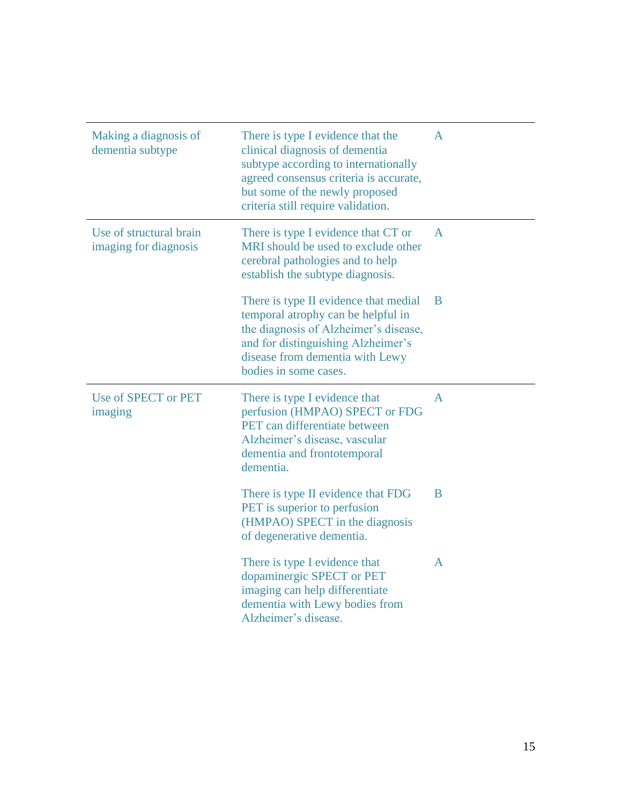| Making a diagnosis of<br>dementia subtype        | There is type I evidence that the<br>clinical diagnosis of dementia<br>subtype according to internationally<br>agreed consensus criteria is accurate,<br>but some of the newly proposed<br>criteria still require validation. | A |
|--------------------------------------------------|-------------------------------------------------------------------------------------------------------------------------------------------------------------------------------------------------------------------------------|---|
| Use of structural brain<br>imaging for diagnosis | There is type I evidence that CT or<br>MRI should be used to exclude other<br>cerebral pathologies and to help<br>establish the subtype diagnosis.                                                                            | A |
|                                                  | There is type II evidence that medial<br>temporal atrophy can be helpful in<br>the diagnosis of Alzheimer's disease,<br>and for distinguishing Alzheimer's<br>disease from dementia with Lewy<br>bodies in some cases.        | B |
| Use of SPECT or PET<br>imaging                   | There is type I evidence that<br>perfusion (HMPAO) SPECT or FDG<br>PET can differentiate between<br>Alzheimer's disease, vascular<br>dementia and frontotemporal<br>dementia.                                                 | A |
|                                                  | There is type II evidence that FDG<br>PET is superior to perfusion<br>(HMPAO) SPECT in the diagnosis<br>of degenerative dementia.                                                                                             | B |
|                                                  | There is type I evidence that<br>dopaminergic SPECT or PET<br>imaging can help differentiate<br>dementia with Lewy bodies from<br>Alzheimer's disease.                                                                        | A |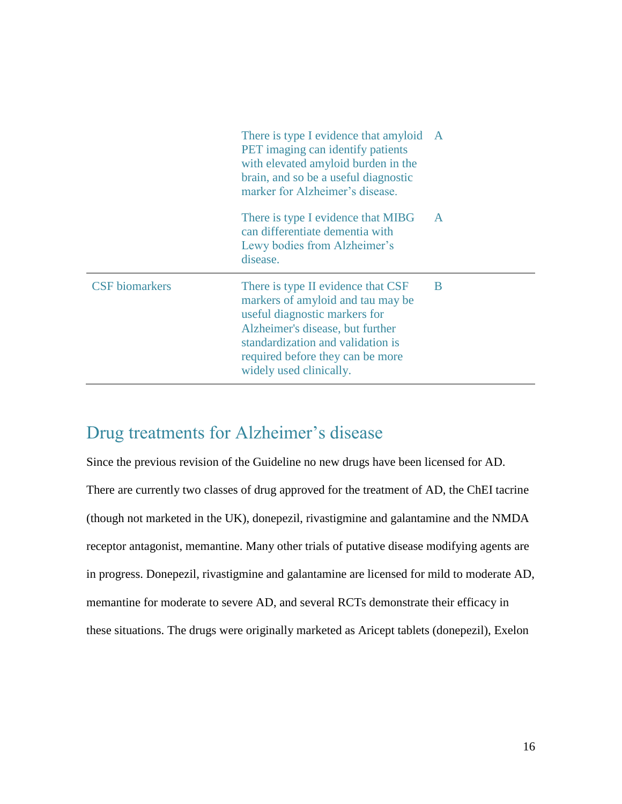|                       | There is type I evidence that amyloid A<br>PET imaging can identify patients<br>with elevated amyloid burden in the<br>brain, and so be a useful diagnostic<br>marker for Alzheimer's disease.                                                   |              |
|-----------------------|--------------------------------------------------------------------------------------------------------------------------------------------------------------------------------------------------------------------------------------------------|--------------|
|                       | There is type I evidence that MIBG<br>can differentiate dementia with<br>Lewy bodies from Alzheimer's<br>disease.                                                                                                                                | $\mathbf{A}$ |
| <b>CSF</b> biomarkers | There is type II evidence that CSF<br>markers of amyloid and tau may be<br>useful diagnostic markers for<br>Alzheimer's disease, but further<br>standardization and validation is<br>required before they can be more<br>widely used clinically. | B            |

# <span id="page-15-0"></span>Drug treatments for Alzheimer's disease

Since the previous revision of the Guideline no new drugs have been licensed for AD. There are currently two classes of drug approved for the treatment of AD, the ChEI tacrine (though not marketed in the UK), donepezil, rivastigmine and galantamine and the NMDA receptor antagonist, memantine. Many other trials of putative disease modifying agents are in progress. Donepezil, rivastigmine and galantamine are licensed for mild to moderate AD, memantine for moderate to severe AD, and several RCTs demonstrate their efficacy in these situations. The drugs were originally marketed as Aricept tablets (donepezil), Exelon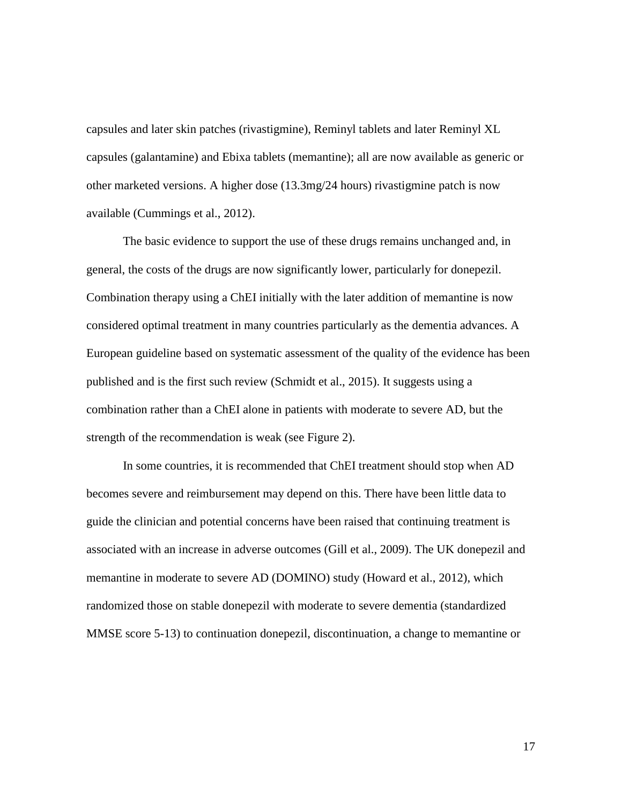capsules and later skin patches (rivastigmine), Reminyl tablets and later Reminyl XL capsules (galantamine) and Ebixa tablets (memantine); all are now available as generic or other marketed versions. A higher dose (13.3mg/24 hours) rivastigmine patch is now available (Cummings et al., 2012).

The basic evidence to support the use of these drugs remains unchanged and, in general, the costs of the drugs are now significantly lower, particularly for donepezil. Combination therapy using a ChEI initially with the later addition of memantine is now considered optimal treatment in many countries particularly as the dementia advances. A European guideline based on systematic assessment of the quality of the evidence has been published and is the first such review (Schmidt et al., 2015). It suggests using a combination rather than a ChEI alone in patients with moderate to severe AD, but the strength of the recommendation is weak (see Figure 2).

In some countries, it is recommended that ChEI treatment should stop when AD becomes severe and reimbursement may depend on this. There have been little data to guide the clinician and potential concerns have been raised that continuing treatment is associated with an increase in adverse outcomes (Gill et al., 2009). The UK donepezil and memantine in moderate to severe AD (DOMINO) study (Howard et al., 2012), which randomized those on stable donepezil with moderate to severe dementia (standardized MMSE score 5-13) to continuation donepezil, discontinuation, a change to memantine or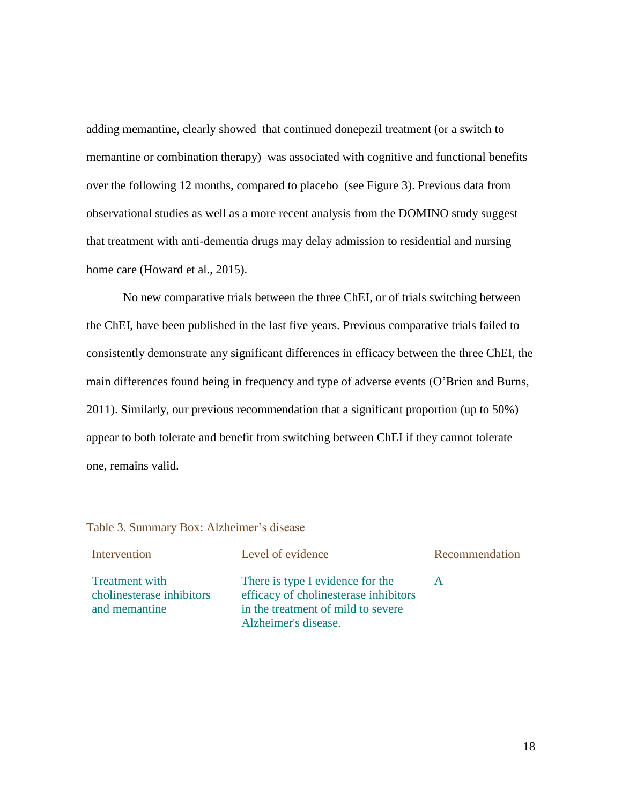adding memantine, clearly showed that continued donepezil treatment (or a switch to memantine or combination therapy) was associated with cognitive and functional benefits over the following 12 months, compared to placebo (see Figure 3). Previous data from observational studies as well as a more recent analysis from the DOMINO study suggest that treatment with anti-dementia drugs may delay admission to residential and nursing home care (Howard et al., 2015).

No new comparative trials between the three ChEI, or of trials switching between the ChEI, have been published in the last five years. Previous comparative trials failed to consistently demonstrate any significant differences in efficacy between the three ChEI, the main differences found being in frequency and type of adverse events (O'Brien and Burns, 2011). Similarly, our previous recommendation that a significant proportion (up to 50%) appear to both tolerate and benefit from switching between ChEI if they cannot tolerate one, remains valid.

| Intervention                                                        | Level of evidence                                                                                                                       | Recommendation |
|---------------------------------------------------------------------|-----------------------------------------------------------------------------------------------------------------------------------------|----------------|
| <b>Treatment</b> with<br>cholinesterase inhibitors<br>and memantine | There is type I evidence for the<br>efficacy of cholinesterase inhibitors<br>in the treatment of mild to severe<br>Alzheimer's disease. | A              |

Table 3. Summary Box: Alzheimer's disease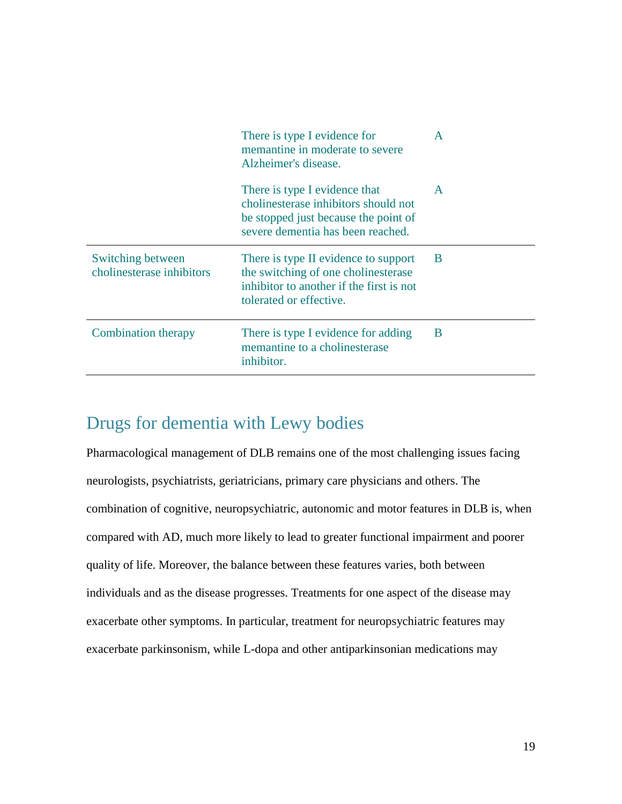|                                                | There is type I evidence for<br>memantine in moderate to severe<br>Alzheimer's disease.                                                            | $\mathbf{A}$ |
|------------------------------------------------|----------------------------------------------------------------------------------------------------------------------------------------------------|--------------|
|                                                | There is type I evidence that<br>cholinesterase inhibitors should not<br>be stopped just because the point of<br>severe dementia has been reached. | $\mathsf{A}$ |
| Switching between<br>cholinesterase inhibitors | There is type II evidence to support<br>the switching of one cholinesterase<br>inhibitor to another if the first is not<br>tolerated or effective. | B            |
| Combination therapy                            | There is type I evidence for adding<br>memantine to a cholinesterase<br>inhibitor.                                                                 | B            |

# <span id="page-18-0"></span>Drugs for dementia with Lewy bodies

Pharmacological management of DLB remains one of the most challenging issues facing neurologists, psychiatrists, geriatricians, primary care physicians and others. The combination of cognitive, neuropsychiatric, autonomic and motor features in DLB is, when compared with AD, much more likely to lead to greater functional impairment and poorer quality of life. Moreover, the balance between these features varies, both between individuals and as the disease progresses. Treatments for one aspect of the disease may exacerbate other symptoms. In particular, treatment for neuropsychiatric features may exacerbate parkinsonism, while L-dopa and other antiparkinsonian medications may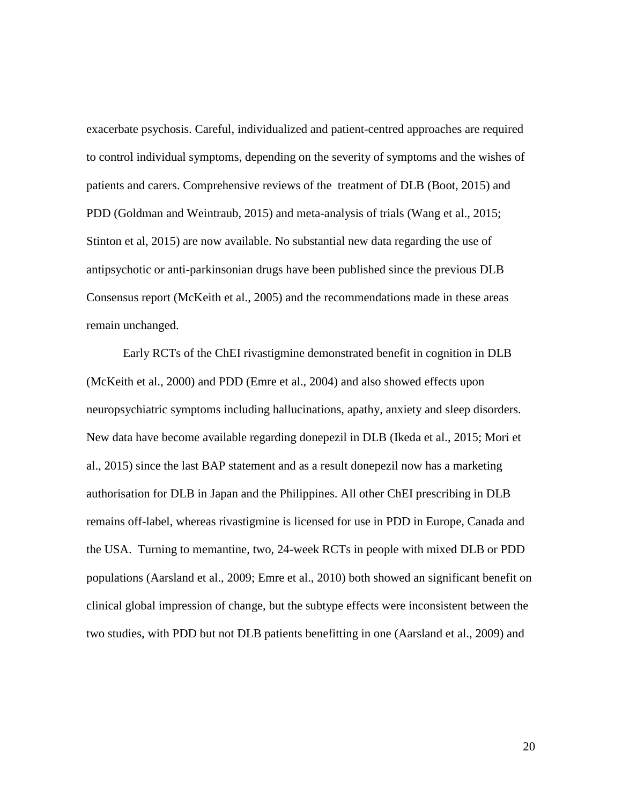exacerbate psychosis. Careful, individualized and patient-centred approaches are required to control individual symptoms, depending on the severity of symptoms and the wishes of patients and carers. Comprehensive reviews of the treatment of DLB (Boot, 2015) and PDD (Goldman and Weintraub, 2015) and meta-analysis of trials (Wang et al., 2015; Stinton et al, 2015) are now available. No substantial new data regarding the use of antipsychotic or anti-parkinsonian drugs have been published since the previous DLB Consensus report (McKeith et al., 2005) and the recommendations made in these areas remain unchanged.

Early RCTs of the ChEI rivastigmine demonstrated benefit in cognition in DLB (McKeith et al., 2000) and PDD (Emre et al., 2004) and also showed effects upon neuropsychiatric symptoms including hallucinations, apathy, anxiety and sleep disorders. New data have become available regarding donepezil in DLB (Ikeda et al., 2015; Mori et al., 2015) since the last BAP statement and as a result donepezil now has a marketing authorisation for DLB in Japan and the Philippines. All other ChEI prescribing in DLB remains off-label, whereas rivastigmine is licensed for use in PDD in Europe, Canada and the USA. Turning to memantine, two, 24-week RCTs in people with mixed DLB or PDD populations (Aarsland et al., 2009; Emre et al., 2010) both showed an significant benefit on clinical global impression of change, but the subtype effects were inconsistent between the two studies, with PDD but not DLB patients benefitting in one (Aarsland et al., 2009) and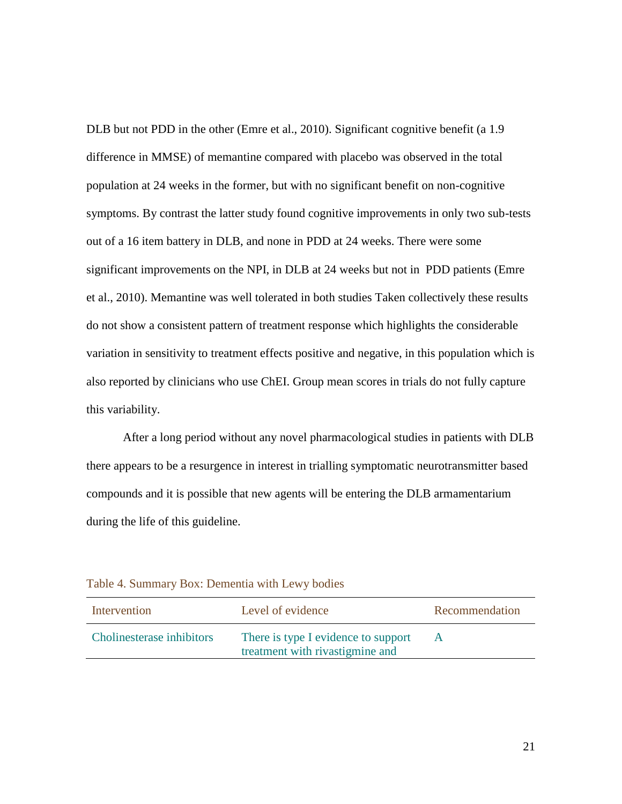DLB but not PDD in the other (Emre et al., 2010). Significant cognitive benefit (a 1.9 difference in MMSE) of memantine compared with placebo was observed in the total population at 24 weeks in the former, but with no significant benefit on non-cognitive symptoms. By contrast the latter study found cognitive improvements in only two sub-tests out of a 16 item battery in DLB, and none in PDD at 24 weeks. There were some significant improvements on the NPI, in DLB at 24 weeks but not in PDD patients (Emre et al., 2010). Memantine was well tolerated in both studies Taken collectively these results do not show a consistent pattern of treatment response which highlights the considerable variation in sensitivity to treatment effects positive and negative, in this population which is also reported by clinicians who use ChEI. Group mean scores in trials do not fully capture this variability.

After a long period without any novel pharmacological studies in patients with DLB there appears to be a resurgence in interest in trialling symptomatic neurotransmitter based compounds and it is possible that new agents will be entering the DLB armamentarium during the life of this guideline.

| Intervention              | Level of evidence                                                      | Recommendation |
|---------------------------|------------------------------------------------------------------------|----------------|
| Cholinesterase inhibitors | There is type I evidence to support<br>treatment with rivastigmine and | $\mathsf{A}$   |

Table 4. Summary Box: Dementia with Lewy bodies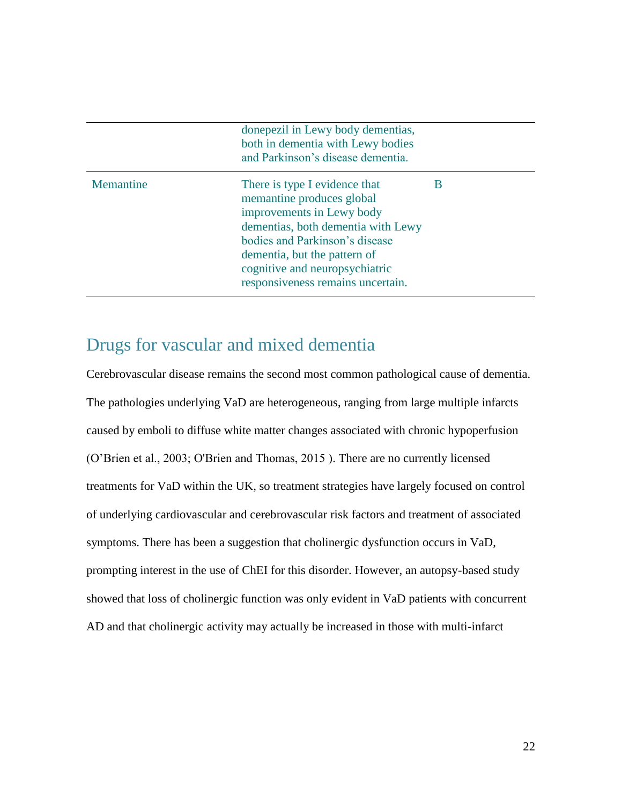|           | done pezil in Lewy body dementias,<br>both in dementia with Lewy bodies<br>and Parkinson's disease dementia.                                                                                                                                                           |   |
|-----------|------------------------------------------------------------------------------------------------------------------------------------------------------------------------------------------------------------------------------------------------------------------------|---|
| Memantine | There is type I evidence that<br>memantine produces global<br>improvements in Lewy body<br>dementias, both dementia with Lewy<br>bodies and Parkinson's disease<br>dementia, but the pattern of<br>cognitive and neuropsychiatric<br>responsiveness remains uncertain. | B |

### <span id="page-21-0"></span>Drugs for vascular and mixed dementia

Cerebrovascular disease remains the second most common pathological cause of dementia. The pathologies underlying VaD are heterogeneous, ranging from large multiple infarcts caused by emboli to diffuse white matter changes associated with chronic hypoperfusion (O'Brien et al., 2003; O'Brien and Thomas, 2015 ). There are no currently licensed treatments for VaD within the UK, so treatment strategies have largely focused on control of underlying cardiovascular and cerebrovascular risk factors and treatment of associated symptoms. There has been a suggestion that cholinergic dysfunction occurs in VaD, prompting interest in the use of ChEI for this disorder. However, an autopsy-based study showed that loss of cholinergic function was only evident in VaD patients with concurrent AD and that cholinergic activity may actually be increased in those with multi-infarct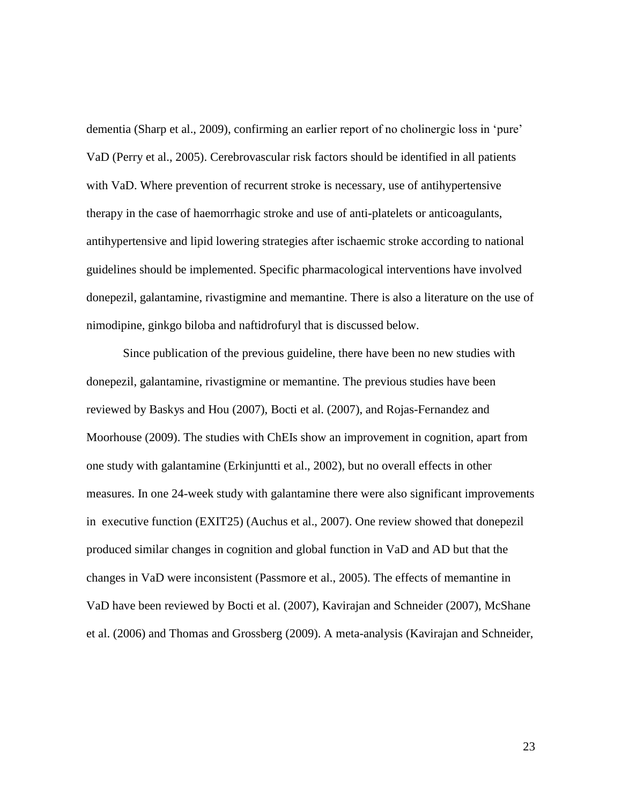dementia (Sharp et al., 2009), confirming an earlier report of no cholinergic loss in 'pure' VaD (Perry et al., 2005). Cerebrovascular risk factors should be identified in all patients with VaD. Where prevention of recurrent stroke is necessary, use of antihypertensive therapy in the case of haemorrhagic stroke and use of anti-platelets or anticoagulants, antihypertensive and lipid lowering strategies after ischaemic stroke according to national guidelines should be implemented. Specific pharmacological interventions have involved donepezil, galantamine, rivastigmine and memantine. There is also a literature on the use of nimodipine, ginkgo biloba and naftidrofuryl that is discussed below.

Since publication of the previous guideline, there have been no new studies with donepezil, galantamine, rivastigmine or memantine. The previous studies have been reviewed by Baskys and Hou (2007), Bocti et al. (2007), and Rojas-Fernandez and Moorhouse (2009). The studies with ChEIs show an improvement in cognition, apart from one study with galantamine (Erkinjuntti et al., 2002), but no overall effects in other measures. In one 24-week study with galantamine there were also significant improvements in executive function (EXIT25) (Auchus et al., 2007). One review showed that donepezil produced similar changes in cognition and global function in VaD and AD but that the changes in VaD were inconsistent (Passmore et al., 2005). The effects of memantine in VaD have been reviewed by Bocti et al. (2007), Kavirajan and Schneider (2007), McShane et al. (2006) and Thomas and Grossberg (2009). A meta-analysis (Kavirajan and Schneider,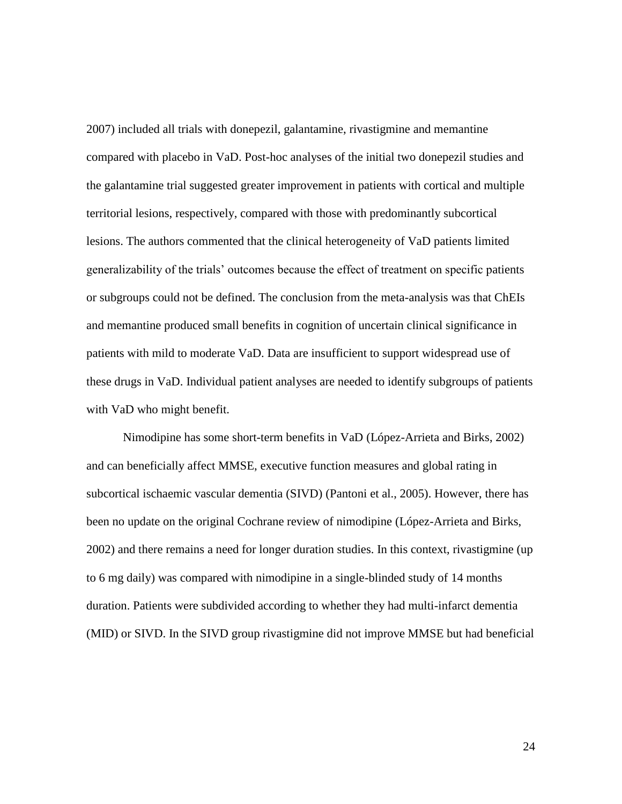2007) included all trials with donepezil, galantamine, rivastigmine and memantine compared with placebo in VaD. Post-hoc analyses of the initial two donepezil studies and the galantamine trial suggested greater improvement in patients with cortical and multiple territorial lesions, respectively, compared with those with predominantly subcortical lesions. The authors commented that the clinical heterogeneity of VaD patients limited generalizability of the trials' outcomes because the effect of treatment on specific patients or subgroups could not be defined. The conclusion from the meta-analysis was that ChEIs and memantine produced small benefits in cognition of uncertain clinical significance in patients with mild to moderate VaD. Data are insufficient to support widespread use of these drugs in VaD. Individual patient analyses are needed to identify subgroups of patients with VaD who might benefit.

Nimodipine has some short-term benefits in VaD (López-Arrieta and Birks, 2002) and can beneficially affect MMSE, executive function measures and global rating in subcortical ischaemic vascular dementia (SIVD) (Pantoni et al., 2005). However, there has been no update on the original Cochrane review of nimodipine (López-Arrieta and Birks, 2002) and there remains a need for longer duration studies. In this context, rivastigmine (up to 6 mg daily) was compared with nimodipine in a single-blinded study of 14 months duration. Patients were subdivided according to whether they had multi-infarct dementia (MID) or SIVD. In the SIVD group rivastigmine did not improve MMSE but had beneficial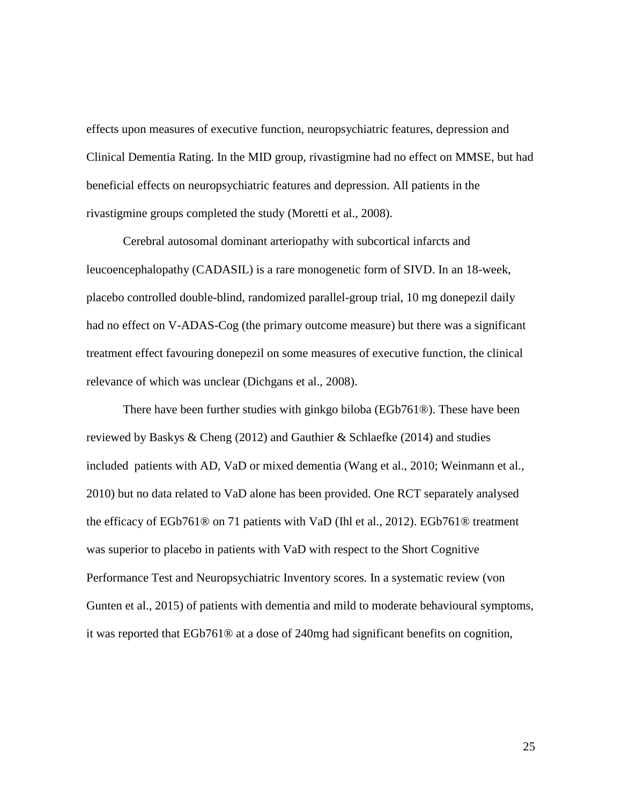effects upon measures of executive function, neuropsychiatric features, depression and Clinical Dementia Rating. In the MID group, rivastigmine had no effect on MMSE, but had beneficial effects on neuropsychiatric features and depression. All patients in the rivastigmine groups completed the study (Moretti et al., 2008).

Cerebral autosomal dominant arteriopathy with subcortical infarcts and leucoencephalopathy (CADASIL) is a rare monogenetic form of SIVD. In an 18-week, placebo controlled double-blind, randomized parallel-group trial, 10 mg donepezil daily had no effect on V-ADAS-Cog (the primary outcome measure) but there was a significant treatment effect favouring donepezil on some measures of executive function, the clinical relevance of which was unclear (Dichgans et al., 2008).

There have been further studies with ginkgo biloba (EGb761®). These have been reviewed by Baskys & Cheng (2012) and Gauthier & Schlaefke (2014) and studies included patients with AD, VaD or mixed dementia (Wang et al., 2010; Weinmann et al., 2010) but no data related to VaD alone has been provided. One RCT separately analysed the efficacy of EGb761® on 71 patients with VaD (Ihl et al., 2012). EGb761® treatment was superior to placebo in patients with VaD with respect to the Short Cognitive Performance Test and Neuropsychiatric Inventory scores. In a systematic review (von Gunten et al., 2015) of patients with dementia and mild to moderate behavioural symptoms, it was reported that EGb761® at a dose of 240mg had significant benefits on cognition,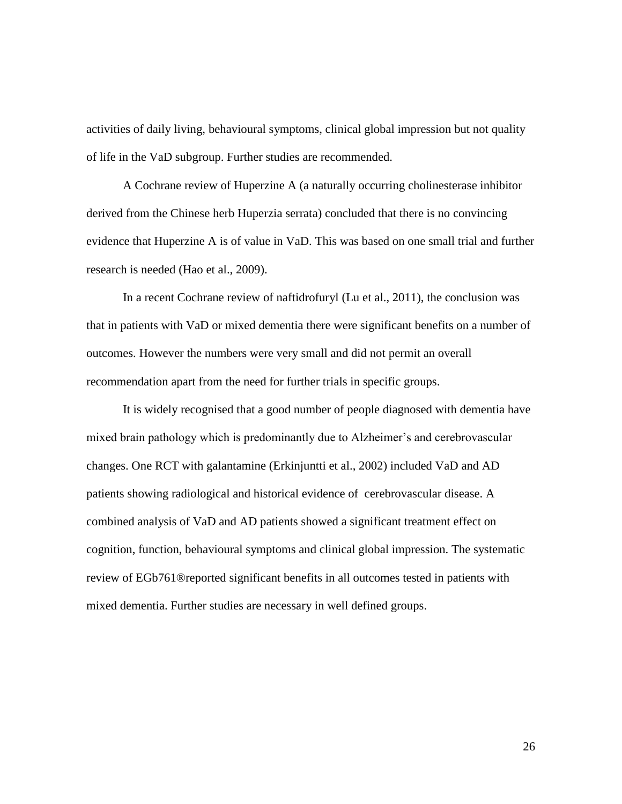activities of daily living, behavioural symptoms, clinical global impression but not quality of life in the VaD subgroup. Further studies are recommended.

A Cochrane review of Huperzine A (a naturally occurring cholinesterase inhibitor derived from the Chinese herb Huperzia serrata) concluded that there is no convincing evidence that Huperzine A is of value in VaD. This was based on one small trial and further research is needed (Hao et al., 2009).

In a recent Cochrane review of naftidrofuryl (Lu et al., 2011), the conclusion was that in patients with VaD or mixed dementia there were significant benefits on a number of outcomes. However the numbers were very small and did not permit an overall recommendation apart from the need for further trials in specific groups.

It is widely recognised that a good number of people diagnosed with dementia have mixed brain pathology which is predominantly due to Alzheimer's and cerebrovascular changes. One RCT with galantamine (Erkinjuntti et al., 2002) included VaD and AD patients showing radiological and historical evidence of cerebrovascular disease. A combined analysis of VaD and AD patients showed a significant treatment effect on cognition, function, behavioural symptoms and clinical global impression. The systematic review of EGb761®reported significant benefits in all outcomes tested in patients with mixed dementia. Further studies are necessary in well defined groups.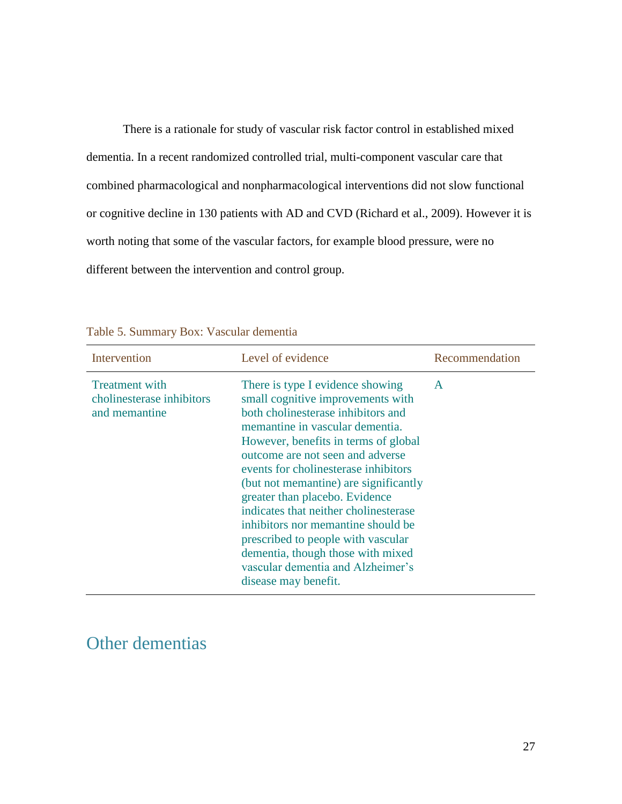There is a rationale for study of vascular risk factor control in established mixed dementia. In a recent randomized controlled trial, multi-component vascular care that combined pharmacological and nonpharmacological interventions did not slow functional or cognitive decline in 130 patients with AD and CVD (Richard et al., 2009). However it is worth noting that some of the vascular factors, for example blood pressure, were no different between the intervention and control group.

| Intervention                                                        | Level of evidence                                                                                                                                                                                                                                                                                                                                                                                                                                                                                                                                                    | Recommendation |
|---------------------------------------------------------------------|----------------------------------------------------------------------------------------------------------------------------------------------------------------------------------------------------------------------------------------------------------------------------------------------------------------------------------------------------------------------------------------------------------------------------------------------------------------------------------------------------------------------------------------------------------------------|----------------|
| <b>Treatment with</b><br>cholinesterase inhibitors<br>and memantine | There is type I evidence showing<br>small cognitive improvements with<br>both cholinesterase inhibitors and<br>memantine in vascular dementia.<br>However, benefits in terms of global<br>outcome are not seen and adverse<br>events for cholinesterase inhibitors<br>(but not memantine) are significantly<br>greater than placebo. Evidence<br>indicates that neither cholinesterase<br>inhibitors nor memantine should be<br>prescribed to people with vascular<br>dementia, though those with mixed<br>vascular dementia and Alzheimer's<br>disease may benefit. | A              |

Table 5. Summary Box: Vascular dementia

# <span id="page-26-0"></span>Other dementias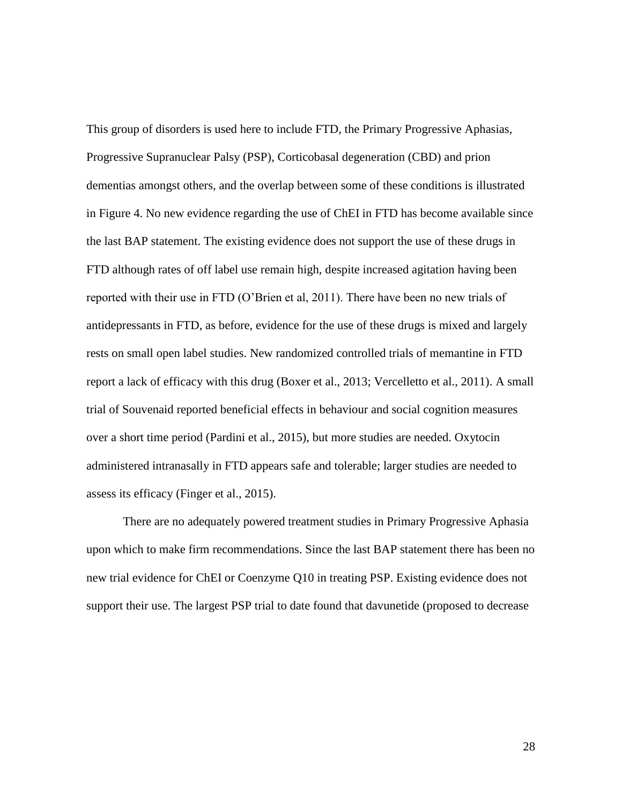This group of disorders is used here to include FTD, the Primary Progressive Aphasias, Progressive Supranuclear Palsy (PSP), Corticobasal degeneration (CBD) and prion dementias amongst others, and the overlap between some of these conditions is illustrated in Figure 4. No new evidence regarding the use of ChEI in FTD has become available since the last BAP statement. The existing evidence does not support the use of these drugs in FTD although rates of off label use remain high, despite increased agitation having been reported with their use in FTD (O'Brien et al, 2011). There have been no new trials of antidepressants in FTD, as before, evidence for the use of these drugs is mixed and largely rests on small open label studies. New randomized controlled trials of memantine in FTD report a lack of efficacy with this drug (Boxer et al., 2013; Vercelletto et al., 2011). A small trial of Souvenaid reported beneficial effects in behaviour and social cognition measures over a short time period (Pardini et al., 2015), but more studies are needed. Oxytocin administered intranasally in FTD appears safe and tolerable; larger studies are needed to assess its efficacy (Finger et al., 2015).

There are no adequately powered treatment studies in Primary Progressive Aphasia upon which to make firm recommendations. Since the last BAP statement there has been no new trial evidence for ChEI or Coenzyme Q10 in treating PSP. Existing evidence does not support their use. The largest PSP trial to date found that davunetide (proposed to decrease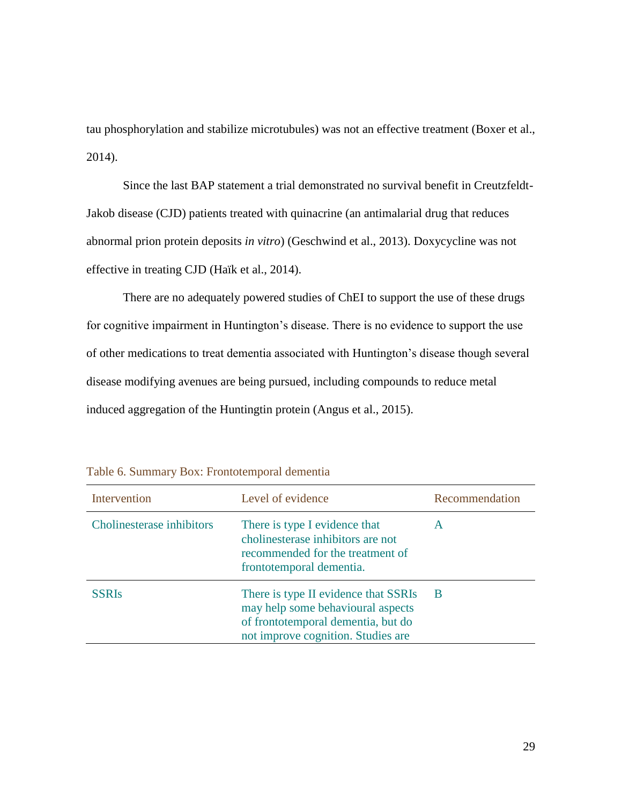tau phosphorylation and stabilize microtubules) was not an effective treatment (Boxer et al., 2014).

Since the last BAP statement a trial demonstrated no survival benefit in Creutzfeldt-Jakob disease (CJD) patients treated with quinacrine (an antimalarial drug that reduces abnormal prion protein deposits *in vitro*) (Geschwind et al., 2013). Doxycycline was not effective in treating CJD (Haïk et al., 2014).

There are no adequately powered studies of ChEI to support the use of these drugs for cognitive impairment in Huntington's disease. There is no evidence to support the use of other medications to treat dementia associated with Huntington's disease though several disease modifying avenues are being pursued, including compounds to reduce metal induced aggregation of the Huntingtin protein (Angus et al., 2015).

| Intervention              | Level of evidence                                                                                                                                     | Recommendation |
|---------------------------|-------------------------------------------------------------------------------------------------------------------------------------------------------|----------------|
| Cholinesterase inhibitors | There is type I evidence that<br>cholinesterase inhibitors are not<br>recommended for the treatment of<br>frontotemporal dementia.                    | A              |
| <b>SSRIs</b>              | There is type II evidence that SSRIs<br>may help some behavioural aspects<br>of frontotemporal dementia, but do<br>not improve cognition. Studies are | -B             |

Table 6. Summary Box: Frontotemporal dementia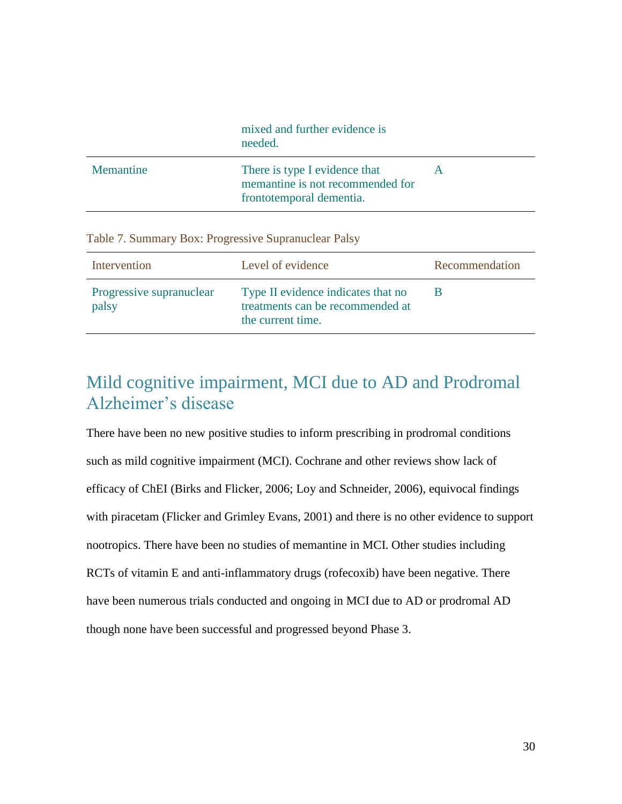|           | mixed and further evidence is<br>needed.                                                      |  |
|-----------|-----------------------------------------------------------------------------------------------|--|
| Memantine | There is type I evidence that<br>memantine is not recommended for<br>frontotemporal dementia. |  |

Table 7. Summary Box: Progressive Supranuclear Palsy

| Intervention                      | Level of evidence                                                                           | Recommendation |
|-----------------------------------|---------------------------------------------------------------------------------------------|----------------|
| Progressive supranuclear<br>palsy | Type II evidence indicates that no<br>treatments can be recommended at<br>the current time. |                |

# <span id="page-29-0"></span>Mild cognitive impairment, MCI due to AD and Prodromal Alzheimer's disease

There have been no new positive studies to inform prescribing in prodromal conditions such as mild cognitive impairment (MCI). Cochrane and other reviews show lack of efficacy of ChEI (Birks and Flicker, 2006; Loy and Schneider, 2006), equivocal findings with piracetam (Flicker and Grimley Evans, 2001) and there is no other evidence to support nootropics. There have been no studies of memantine in MCI. Other studies including RCTs of vitamin E and anti-inflammatory drugs (rofecoxib) have been negative. There have been numerous trials conducted and ongoing in MCI due to AD or prodromal AD though none have been successful and progressed beyond Phase 3.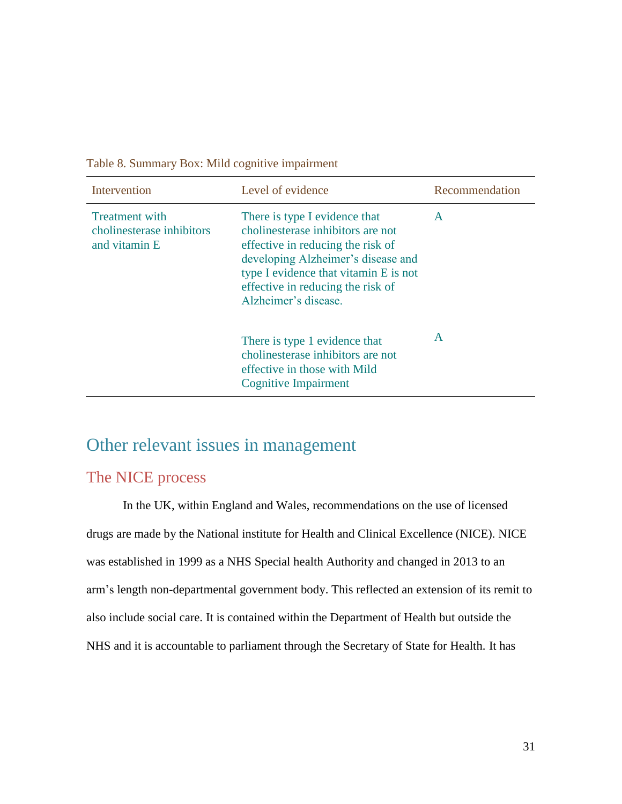| Intervention                                                        | Level of evidence                                                                                                                                                                                                                                   | Recommendation |
|---------------------------------------------------------------------|-----------------------------------------------------------------------------------------------------------------------------------------------------------------------------------------------------------------------------------------------------|----------------|
| <b>Treatment</b> with<br>cholinesterase inhibitors<br>and vitamin E | There is type I evidence that<br>cholinesterase inhibitors are not<br>effective in reducing the risk of<br>developing Alzheimer's disease and<br>type I evidence that vitamin E is not<br>effective in reducing the risk of<br>Alzheimer's disease. | A              |
|                                                                     | There is type 1 evidence that<br>cholinesterase inhibitors are not<br>effective in those with Mild<br><b>Cognitive Impairment</b>                                                                                                                   | A              |

Table 8. Summary Box: Mild cognitive impairment

# <span id="page-30-0"></span>Other relevant issues in management

### <span id="page-30-1"></span>The NICE process

In the UK, within England and Wales, recommendations on the use of licensed drugs are made by the National institute for Health and Clinical Excellence (NICE). NICE was established in 1999 as a NHS Special health Authority and changed in 2013 to an arm's length non-departmental government body. This reflected an extension of its remit to also include social care. It is contained within the Department of Health but outside the NHS and it is accountable to parliament through the Secretary of State for Health. It has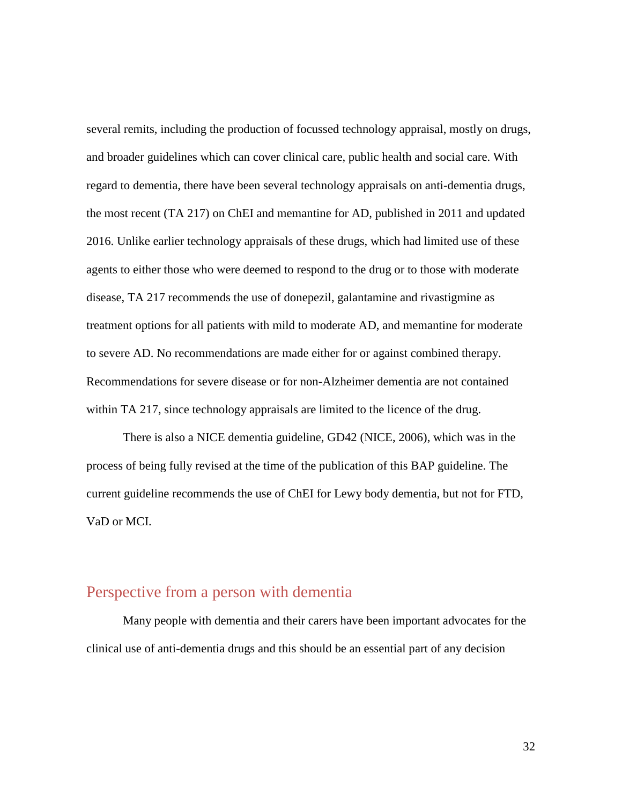several remits, including the production of focussed technology appraisal, mostly on drugs, and broader guidelines which can cover clinical care, public health and social care. With regard to dementia, there have been several technology appraisals on anti-dementia drugs, the most recent (TA 217) on ChEI and memantine for AD, published in 2011 and updated 2016. Unlike earlier technology appraisals of these drugs, which had limited use of these agents to either those who were deemed to respond to the drug or to those with moderate disease, TA 217 recommends the use of donepezil, galantamine and rivastigmine as treatment options for all patients with mild to moderate AD, and memantine for moderate to severe AD. No recommendations are made either for or against combined therapy. Recommendations for severe disease or for non-Alzheimer dementia are not contained within TA 217, since technology appraisals are limited to the licence of the drug.

There is also a NICE dementia guideline, GD42 (NICE, 2006), which was in the process of being fully revised at the time of the publication of this BAP guideline. The current guideline recommends the use of ChEI for Lewy body dementia, but not for FTD, VaD or MCI.

### <span id="page-31-0"></span>Perspective from a person with dementia

Many people with dementia and their carers have been important advocates for the clinical use of anti-dementia drugs and this should be an essential part of any decision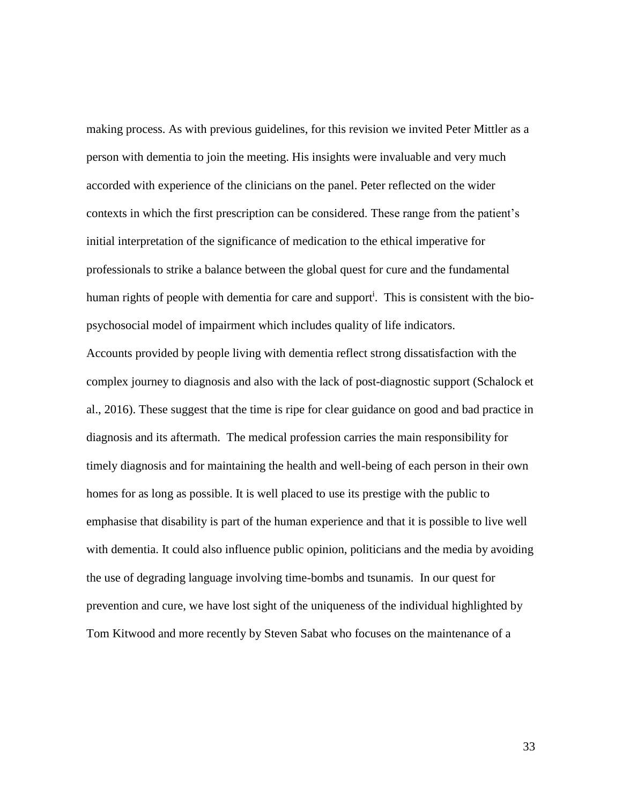making process. As with previous guidelines, for this revision we invited Peter Mittler as a person with dementia to join the meeting. His insights were invaluable and very much accorded with experience of the clinicians on the panel. Peter reflected on the wider contexts in which the first prescription can be considered. These range from the patient's initial interpretation of the significance of medication to the ethical imperative for professionals to strike a balance between the global quest for cure and the fundamental human rights of people with dementia for care and support<sup>i</sup>. This is consistent with the biopsychosocial model of impairment which includes quality of life indicators.

Accounts provided by people living with dementia reflect strong dissatisfaction with the complex journey to diagnosis and also with the lack of post-diagnostic support (Schalock et al., 2016). These suggest that the time is ripe for clear guidance on good and bad practice in diagnosis and its aftermath. The medical profession carries the main responsibility for timely diagnosis and for maintaining the health and well-being of each person in their own homes for as long as possible. It is well placed to use its prestige with the public to emphasise that disability is part of the human experience and that it is possible to live well with dementia. It could also influence public opinion, politicians and the media by avoiding the use of degrading language involving time-bombs and tsunamis. In our quest for prevention and cure, we have lost sight of the uniqueness of the individual highlighted by Tom Kitwood and more recently by Steven Sabat who focuses on the maintenance of a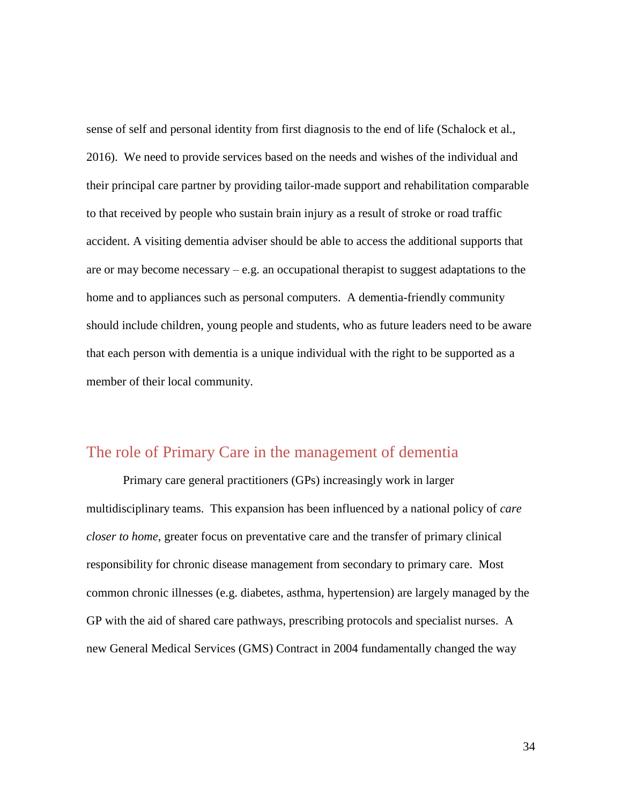sense of self and personal identity from first diagnosis to the end of life (Schalock et al., 2016). We need to provide services based on the needs and wishes of the individual and their principal care partner by providing tailor-made support and rehabilitation comparable to that received by people who sustain brain injury as a result of stroke or road traffic accident. A visiting dementia adviser should be able to access the additional supports that are or may become necessary – e.g. an occupational therapist to suggest adaptations to the home and to appliances such as personal computers. A dementia-friendly community should include children, young people and students, who as future leaders need to be aware that each person with dementia is a unique individual with the right to be supported as a member of their local community.

### <span id="page-33-0"></span>The role of Primary Care in the management of dementia

Primary care general practitioners (GPs) increasingly work in larger multidisciplinary teams. This expansion has been influenced by a national policy of *care closer to home*, greater focus on preventative care and the transfer of primary clinical responsibility for chronic disease management from secondary to primary care. Most common chronic illnesses (e.g. diabetes, asthma, hypertension) are largely managed by the GP with the aid of shared care pathways, prescribing protocols and specialist nurses. A new General Medical Services (GMS) Contract in 2004 fundamentally changed the way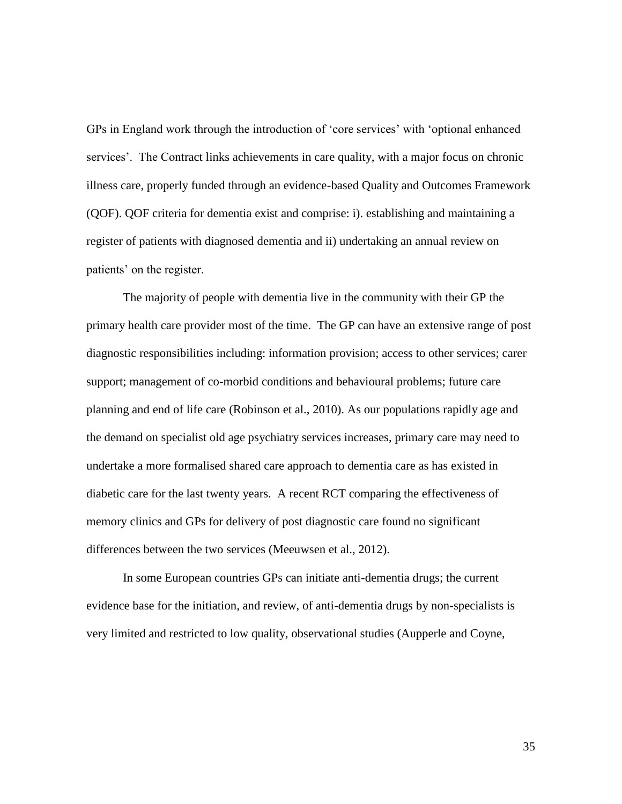GPs in England work through the introduction of 'core services' with 'optional enhanced services'. The Contract links achievements in care quality, with a major focus on chronic illness care, properly funded through an evidence-based Quality and Outcomes Framework (QOF). QOF criteria for dementia exist and comprise: i). establishing and maintaining a register of patients with diagnosed dementia and ii) undertaking an annual review on patients' on the register.

The majority of people with dementia live in the community with their GP the primary health care provider most of the time. The GP can have an extensive range of post diagnostic responsibilities including: information provision; access to other services; carer support; management of co-morbid conditions and behavioural problems; future care planning and end of life care (Robinson et al., 2010). As our populations rapidly age and the demand on specialist old age psychiatry services increases, primary care may need to undertake a more formalised shared care approach to dementia care as has existed in diabetic care for the last twenty years. A recent RCT comparing the effectiveness of memory clinics and GPs for delivery of post diagnostic care found no significant differences between the two services (Meeuwsen et al., 2012).

In some European countries GPs can initiate anti-dementia drugs; the current evidence base for the initiation, and review, of anti-dementia drugs by non-specialists is very limited and restricted to low quality, observational studies (Aupperle and Coyne,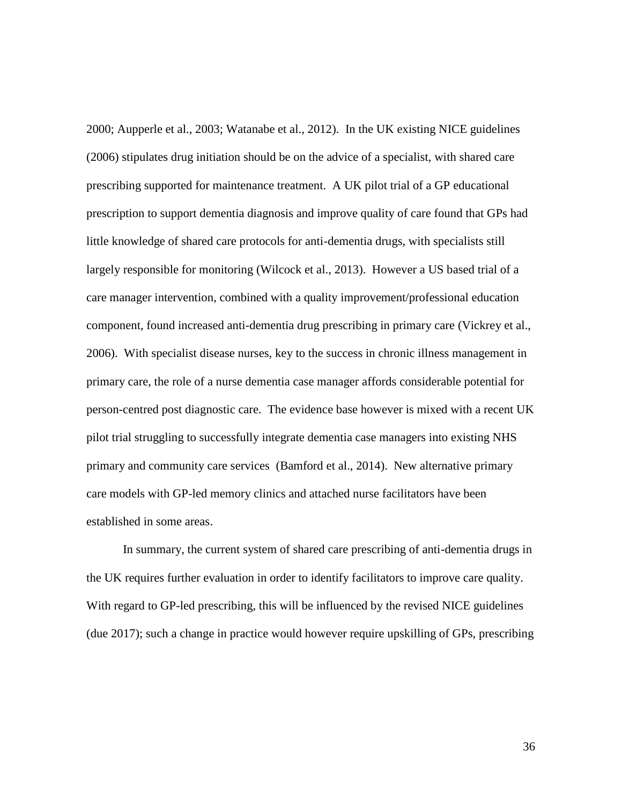2000; Aupperle et al., 2003; Watanabe et al., 2012). In the UK existing NICE guidelines (2006) stipulates drug initiation should be on the advice of a specialist, with shared care prescribing supported for maintenance treatment. A UK pilot trial of a GP educational prescription to support dementia diagnosis and improve quality of care found that GPs had little knowledge of shared care protocols for anti-dementia drugs, with specialists still largely responsible for monitoring (Wilcock et al., 2013). However a US based trial of a care manager intervention, combined with a quality improvement/professional education component, found increased anti-dementia drug prescribing in primary care (Vickrey et al., 2006). With specialist disease nurses, key to the success in chronic illness management in primary care, the role of a nurse dementia case manager affords considerable potential for person-centred post diagnostic care. The evidence base however is mixed with a recent UK pilot trial struggling to successfully integrate dementia case managers into existing NHS primary and community care services (Bamford et al., 2014). New alternative primary care models with GP-led memory clinics and attached nurse facilitators have been established in some areas.

In summary, the current system of shared care prescribing of anti-dementia drugs in the UK requires further evaluation in order to identify facilitators to improve care quality. With regard to GP-led prescribing, this will be influenced by the revised NICE guidelines (due 2017); such a change in practice would however require upskilling of GPs, prescribing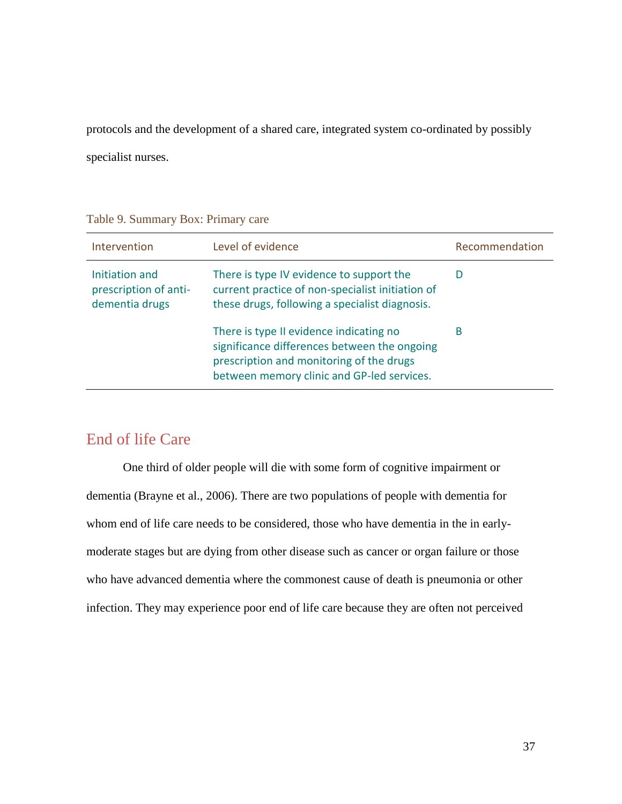protocols and the development of a shared care, integrated system co-ordinated by possibly specialist nurses.

#### Intervention Level of evidence Recommendation Initiation and prescription of antidementia drugs There is type IV evidence to support the current practice of non-specialist initiation of these drugs, following a specialist diagnosis. D There is type II evidence indicating no significance differences between the ongoing prescription and monitoring of the drugs between memory clinic and GP-led services. B

#### Table 9. Summary Box: Primary care

### End of life Care

One third of older people will die with some form of cognitive impairment or dementia (Brayne et al., 2006). There are two populations of people with dementia for whom end of life care needs to be considered, those who have dementia in the in earlymoderate stages but are dying from other disease such as cancer or organ failure or those who have advanced dementia where the commonest cause of death is pneumonia or other infection. They may experience poor end of life care because they are often not perceived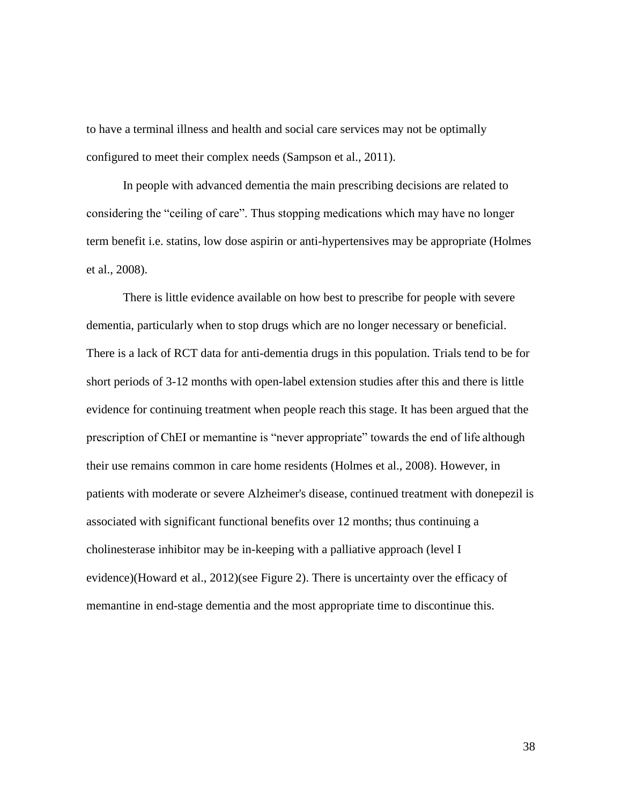to have a terminal illness and health and social care services may not be optimally configured to meet their complex needs (Sampson et al., 2011).

In people with advanced dementia the main prescribing decisions are related to considering the "ceiling of care". Thus stopping medications which may have no longer term benefit i.e. statins, low dose aspirin or anti-hypertensives may be appropriate (Holmes et al., 2008).

There is little evidence available on how best to prescribe for people with severe dementia, particularly when to stop drugs which are no longer necessary or beneficial. There is a lack of RCT data for anti-dementia drugs in this population. Trials tend to be for short periods of 3-12 months with open-label extension studies after this and there is little evidence for continuing treatment when people reach this stage. It has been argued that the prescription of ChEI or memantine is "never appropriate" towards the end of life although their use remains common in care home residents (Holmes et al., 2008). However, in patients with moderate or severe Alzheimer's disease, continued treatment with donepezil is associated with significant functional benefits over 12 months; thus continuing a cholinesterase inhibitor may be in-keeping with a palliative approach (level I evidence)(Howard et al., 2012)(see Figure 2). There is uncertainty over the efficacy of memantine in end-stage dementia and the most appropriate time to discontinue this.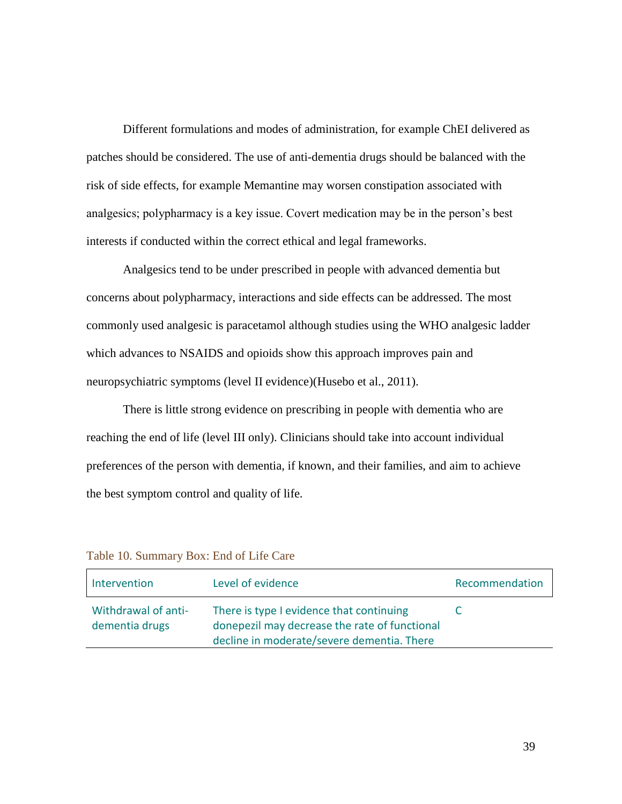Different formulations and modes of administration, for example ChEI delivered as patches should be considered. The use of anti-dementia drugs should be balanced with the risk of side effects, for example Memantine may worsen constipation associated with analgesics; polypharmacy is a key issue. Covert medication may be in the person's best interests if conducted within the correct ethical and legal frameworks.

Analgesics tend to be under prescribed in people with advanced dementia but concerns about polypharmacy, interactions and side effects can be addressed. The most commonly used analgesic is paracetamol although studies using the WHO analgesic ladder which advances to NSAIDS and opioids show this approach improves pain and neuropsychiatric symptoms (level II evidence)(Husebo et al., 2011).

There is little strong evidence on prescribing in people with dementia who are reaching the end of life (level III only). Clinicians should take into account individual preferences of the person with dementia, if known, and their families, and aim to achieve the best symptom control and quality of life*.*

| Intervention                          | Level of evidence                                                                                                                       | Recommendation |
|---------------------------------------|-----------------------------------------------------------------------------------------------------------------------------------------|----------------|
| Withdrawal of anti-<br>dementia drugs | There is type I evidence that continuing<br>donepezil may decrease the rate of functional<br>decline in moderate/severe dementia. There |                |

Table 10. Summary Box: End of Life Care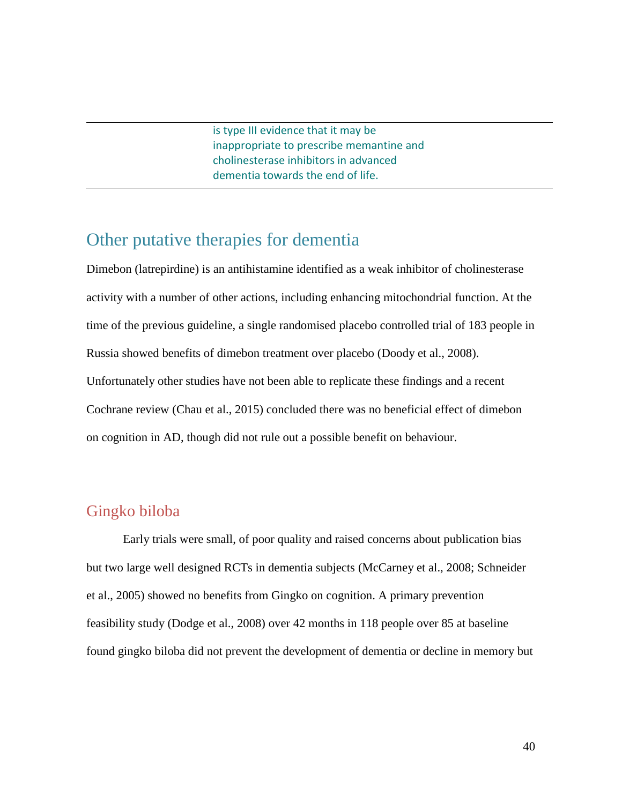is type III evidence that it may be inappropriate to prescribe memantine and cholinesterase inhibitors in advanced dementia towards the end of life.

## Other putative therapies for dementia

Dimebon (latrepirdine) is an antihistamine identified as a weak inhibitor of cholinesterase activity with a number of other actions, including enhancing mitochondrial function. At the time of the previous guideline, a single randomised placebo controlled trial of 183 people in Russia showed benefits of dimebon treatment over placebo (Doody et al., 2008). Unfortunately other studies have not been able to replicate these findings and a recent Cochrane review (Chau et al., 2015) concluded there was no beneficial effect of dimebon on cognition in AD, though did not rule out a possible benefit on behaviour.

### Gingko biloba

Early trials were small, of poor quality and raised concerns about publication bias but two large well designed RCTs in dementia subjects (McCarney et al., 2008; Schneider et al., 2005) showed no benefits from Gingko on cognition. A primary prevention feasibility study (Dodge et al., 2008) over 42 months in 118 people over 85 at baseline found gingko biloba did not prevent the development of dementia or decline in memory but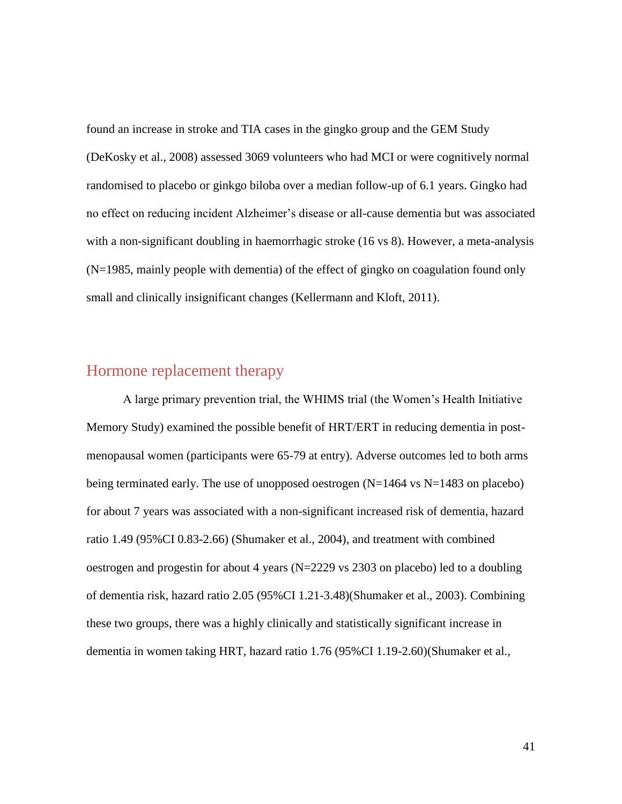found an increase in stroke and TIA cases in the gingko group and the GEM Study (DeKosky et al., 2008) assessed 3069 volunteers who had MCI or were cognitively normal randomised to placebo or ginkgo biloba over a median follow-up of 6.1 years. Gingko had no effect on reducing incident Alzheimer's disease or all-cause dementia but was associated with a non-significant doubling in haemorrhagic stroke (16 vs 8). However, a meta-analysis (N=1985, mainly people with dementia) of the effect of gingko on coagulation found only small and clinically insignificant changes (Kellermann and Kloft, 2011).

### Hormone replacement therapy

A large primary prevention trial, the WHIMS trial (the Women's Health Initiative Memory Study) examined the possible benefit of HRT/ERT in reducing dementia in postmenopausal women (participants were 65-79 at entry). Adverse outcomes led to both arms being terminated early. The use of unopposed oestrogen (N=1464 vs N=1483 on placebo) for about 7 years was associated with a non-significant increased risk of dementia, hazard ratio 1.49 (95%CI 0.83-2.66) (Shumaker et al., 2004), and treatment with combined oestrogen and progestin for about 4 years (N=2229 vs 2303 on placebo) led to a doubling of dementia risk, hazard ratio 2.05 (95%CI 1.21-3.48)(Shumaker et al., 2003). Combining these two groups, there was a highly clinically and statistically significant increase in dementia in women taking HRT, hazard ratio 1.76 (95%CI 1.19-2.60)(Shumaker et al.,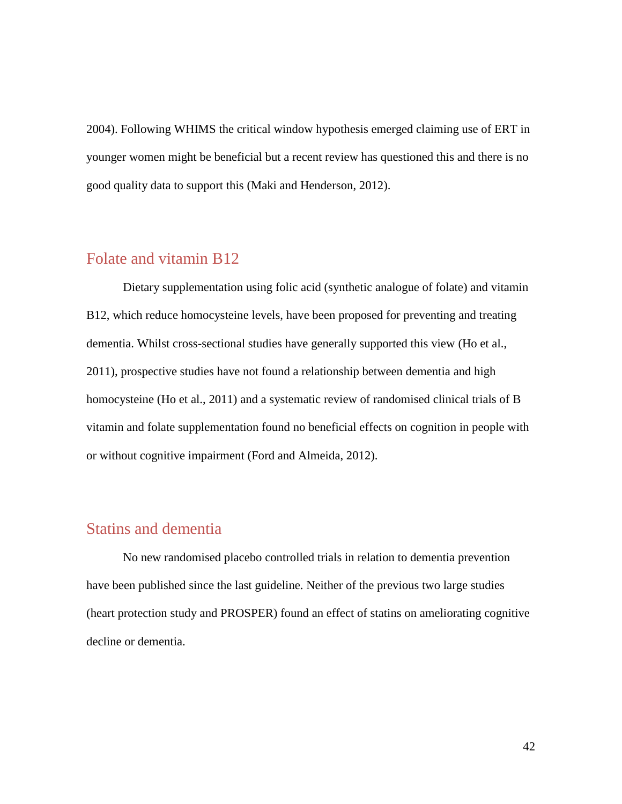2004). Following WHIMS the critical window hypothesis emerged claiming use of ERT in younger women might be beneficial but a recent review has questioned this and there is no good quality data to support this (Maki and Henderson, 2012).

#### Folate and vitamin B12

Dietary supplementation using folic acid (synthetic analogue of folate) and vitamin B12, which reduce homocysteine levels, have been proposed for preventing and treating dementia. Whilst cross-sectional studies have generally supported this view (Ho et al., 2011), prospective studies have not found a relationship between dementia and high homocysteine (Ho et al., 2011) and a systematic review of randomised clinical trials of B vitamin and folate supplementation found no beneficial effects on cognition in people with or without cognitive impairment (Ford and Almeida, 2012).

### Statins and dementia

No new randomised placebo controlled trials in relation to dementia prevention have been published since the last guideline. Neither of the previous two large studies (heart protection study and PROSPER) found an effect of statins on ameliorating cognitive decline or dementia.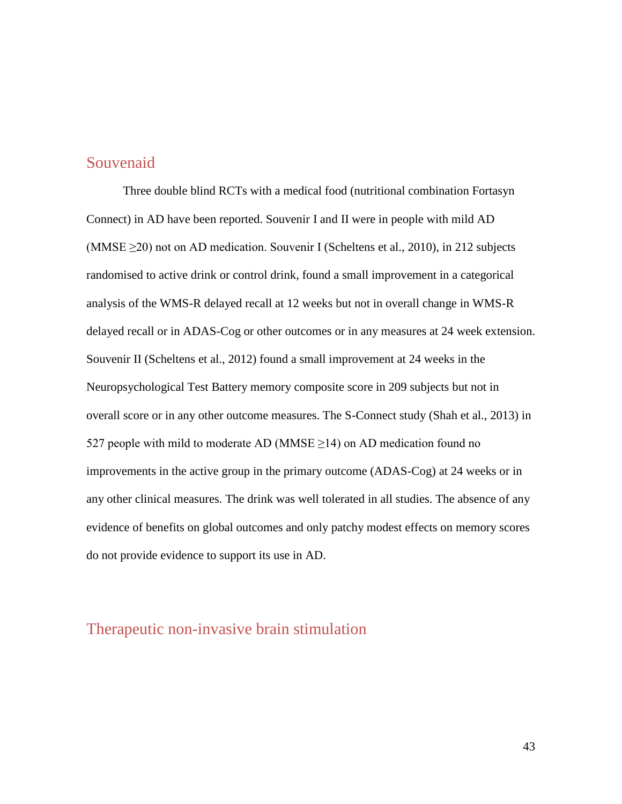### Souvenaid

Three double blind RCTs with a medical food (nutritional combination Fortasyn Connect) in AD have been reported. Souvenir I and II were in people with mild AD (MMSE  $\geq$ 20) not on AD medication. Souvenir I (Scheltens et al., 2010), in 212 subjects randomised to active drink or control drink, found a small improvement in a categorical analysis of the WMS-R delayed recall at 12 weeks but not in overall change in WMS-R delayed recall or in ADAS-Cog or other outcomes or in any measures at 24 week extension. Souvenir II (Scheltens et al., 2012) found a small improvement at 24 weeks in the Neuropsychological Test Battery memory composite score in 209 subjects but not in overall score or in any other outcome measures. The S-Connect study (Shah et al., 2013) in 527 people with mild to moderate AD (MMSE  $\geq$ 14) on AD medication found no improvements in the active group in the primary outcome (ADAS-Cog) at 24 weeks or in any other clinical measures. The drink was well tolerated in all studies. The absence of any evidence of benefits on global outcomes and only patchy modest effects on memory scores do not provide evidence to support its use in AD.

### Therapeutic non-invasive brain stimulation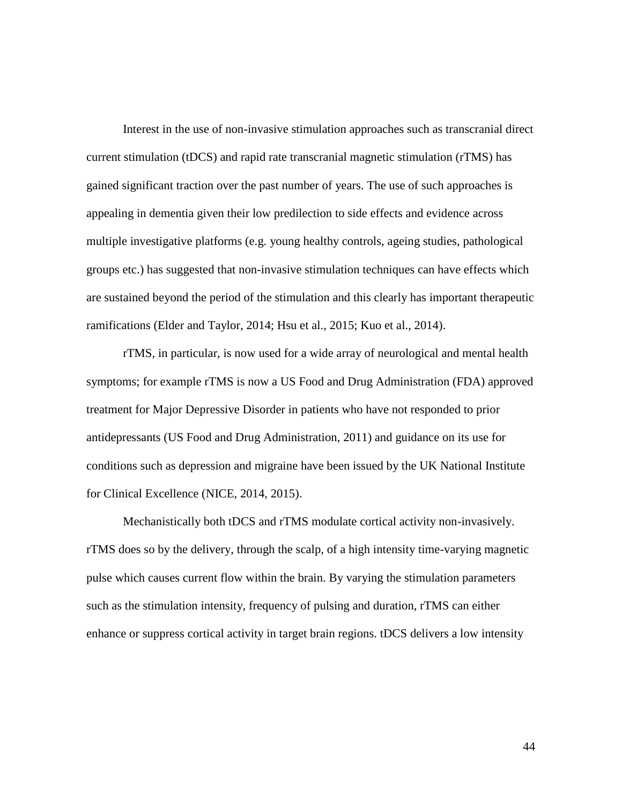Interest in the use of non-invasive stimulation approaches such as transcranial direct current stimulation (tDCS) and rapid rate transcranial magnetic stimulation (rTMS) has gained significant traction over the past number of years. The use of such approaches is appealing in dementia given their low predilection to side effects and evidence across multiple investigative platforms (e.g. young healthy controls, ageing studies, pathological groups etc.) has suggested that non-invasive stimulation techniques can have effects which are sustained beyond the period of the stimulation and this clearly has important therapeutic ramifications (Elder and Taylor, 2014; Hsu et al., 2015; Kuo et al., 2014).

rTMS, in particular, is now used for a wide array of neurological and mental health symptoms; for example rTMS is now a US Food and Drug Administration (FDA) approved treatment for Major Depressive Disorder in patients who have not responded to prior antidepressants (US Food and Drug Administration, 2011) and guidance on its use for conditions such as depression and migraine have been issued by the UK National Institute for Clinical Excellence (NICE, 2014, 2015).

Mechanistically both tDCS and rTMS modulate cortical activity non-invasively. rTMS does so by the delivery, through the scalp, of a high intensity time-varying magnetic pulse which causes current flow within the brain. By varying the stimulation parameters such as the stimulation intensity, frequency of pulsing and duration, rTMS can either enhance or suppress cortical activity in target brain regions. tDCS delivers a low intensity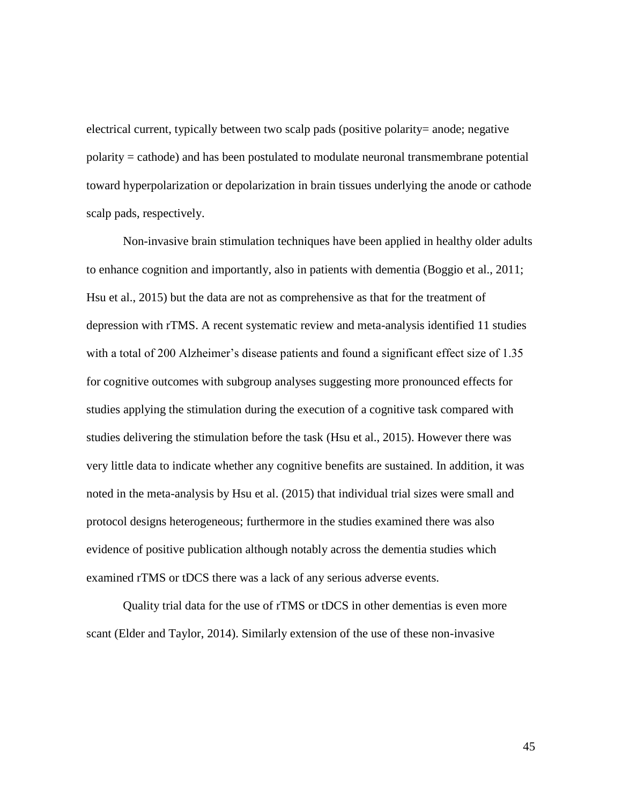electrical current, typically between two scalp pads (positive polarity= anode; negative polarity = cathode) and has been postulated to modulate neuronal transmembrane potential toward hyperpolarization or depolarization in brain tissues underlying the anode or cathode scalp pads, respectively.

Non-invasive brain stimulation techniques have been applied in healthy older adults to enhance cognition and importantly, also in patients with dementia (Boggio et al., 2011; Hsu et al., 2015) but the data are not as comprehensive as that for the treatment of depression with rTMS. A recent systematic review and meta-analysis identified 11 studies with a total of 200 Alzheimer's disease patients and found a significant effect size of 1.35 for cognitive outcomes with subgroup analyses suggesting more pronounced effects for studies applying the stimulation during the execution of a cognitive task compared with studies delivering the stimulation before the task (Hsu et al., 2015). However there was very little data to indicate whether any cognitive benefits are sustained. In addition, it was noted in the meta-analysis by Hsu et al. (2015) that individual trial sizes were small and protocol designs heterogeneous; furthermore in the studies examined there was also evidence of positive publication although notably across the dementia studies which examined rTMS or tDCS there was a lack of any serious adverse events.

Quality trial data for the use of rTMS or tDCS in other dementias is even more scant (Elder and Taylor, 2014). Similarly extension of the use of these non-invasive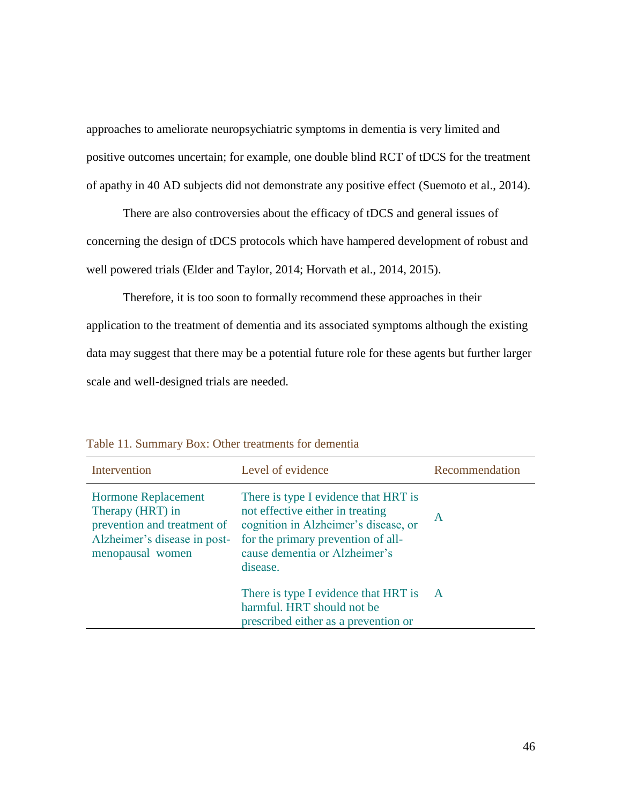approaches to ameliorate neuropsychiatric symptoms in dementia is very limited and positive outcomes uncertain; for example, one double blind RCT of tDCS for the treatment of apathy in 40 AD subjects did not demonstrate any positive effect (Suemoto et al., 2014).

There are also controversies about the efficacy of tDCS and general issues of concerning the design of tDCS protocols which have hampered development of robust and well powered trials (Elder and Taylor, 2014; Horvath et al., 2014, 2015).

Therefore, it is too soon to formally recommend these approaches in their application to the treatment of dementia and its associated symptoms although the existing data may suggest that there may be a potential future role for these agents but further larger scale and well-designed trials are needed.

| Intervention                                                                                                                      | Level of evidence                                                                                                                                                                                   | Recommendation |
|-----------------------------------------------------------------------------------------------------------------------------------|-----------------------------------------------------------------------------------------------------------------------------------------------------------------------------------------------------|----------------|
| <b>Hormone Replacement</b><br>Therapy (HRT) in<br>prevention and treatment of<br>Alzheimer's disease in post-<br>menopausal women | There is type I evidence that HRT is<br>not effective either in treating<br>cognition in Alzheimer's disease, or<br>for the primary prevention of all-<br>cause dementia or Alzheimer's<br>disease. | $\mathsf{A}$   |
|                                                                                                                                   | There is type I evidence that HRT is<br>harmful. HRT should not be<br>prescribed either as a prevention or                                                                                          | $\overline{A}$ |

Table 11. Summary Box: Other treatments for dementia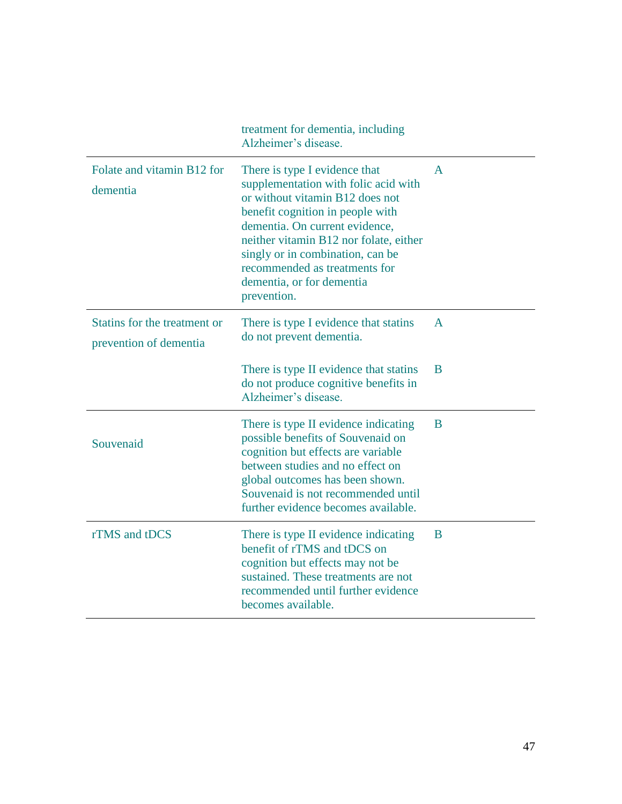|                                                        | treatment for dementia, including<br>Alzheimer's disease.                                                                                                                                                                                                                                                                                 |   |
|--------------------------------------------------------|-------------------------------------------------------------------------------------------------------------------------------------------------------------------------------------------------------------------------------------------------------------------------------------------------------------------------------------------|---|
| Folate and vitamin B12 for<br>dementia                 | There is type I evidence that<br>supplementation with folic acid with<br>or without vitamin B12 does not<br>benefit cognition in people with<br>dementia. On current evidence,<br>neither vitamin B12 nor folate, either<br>singly or in combination, can be<br>recommended as treatments for<br>dementia, or for dementia<br>prevention. | A |
| Statins for the treatment or<br>prevention of dementia | There is type I evidence that stating<br>do not prevent dementia.                                                                                                                                                                                                                                                                         | A |
|                                                        | There is type II evidence that statins<br>do not produce cognitive benefits in<br>Alzheimer's disease.                                                                                                                                                                                                                                    | B |
| Souvenaid                                              | There is type II evidence indicating<br>possible benefits of Souvenaid on<br>cognition but effects are variable<br>between studies and no effect on<br>global outcomes has been shown.<br>Souvenaid is not recommended until<br>further evidence becomes available.                                                                       | B |
| rTMS and tDCS                                          | There is type II evidence indicating<br>benefit of rTMS and tDCS on<br>cognition but effects may not be<br>sustained. These treatments are not<br>recommended until further evidence<br>becomes available.                                                                                                                                | B |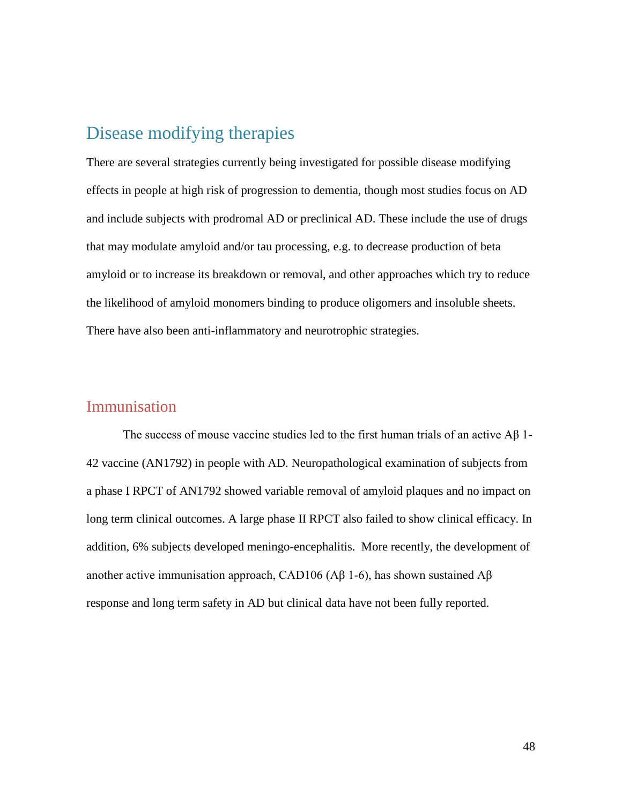### Disease modifying therapies

There are several strategies currently being investigated for possible disease modifying effects in people at high risk of progression to dementia, though most studies focus on AD and include subjects with prodromal AD or preclinical AD. These include the use of drugs that may modulate amyloid and/or tau processing, e.g. to decrease production of beta amyloid or to increase its breakdown or removal, and other approaches which try to reduce the likelihood of amyloid monomers binding to produce oligomers and insoluble sheets. There have also been anti-inflammatory and neurotrophic strategies.

#### Immunisation

The success of mouse vaccine studies led to the first human trials of an active Aβ 1- 42 vaccine (AN1792) in people with AD. Neuropathological examination of subjects from a phase I RPCT of AN1792 showed variable removal of amyloid plaques and no impact on long term clinical outcomes. A large phase II RPCT also failed to show clinical efficacy. In addition, 6% subjects developed meningo-encephalitis. More recently, the development of another active immunisation approach, CAD106 (Aβ 1-6), has shown sustained Aβ response and long term safety in AD but clinical data have not been fully reported.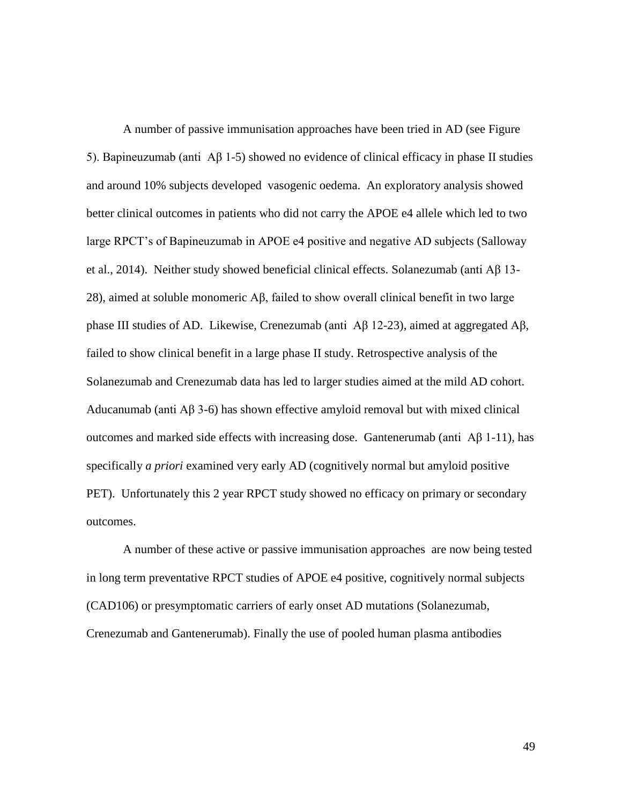A number of passive immunisation approaches have been tried in AD (see Figure 5). Bapineuzumab (anti Aβ 1-5) showed no evidence of clinical efficacy in phase II studies and around 10% subjects developed vasogenic oedema. An exploratory analysis showed better clinical outcomes in patients who did not carry the APOE e4 allele which led to two large RPCT's of Bapineuzumab in APOE e4 positive and negative AD subjects (Salloway et al., 2014). Neither study showed beneficial clinical effects. Solanezumab (anti Aβ 13- 28), aimed at soluble monomeric Aβ, failed to show overall clinical benefit in two large phase III studies of AD. Likewise, Crenezumab (anti Aβ 12-23), aimed at aggregated Aβ, failed to show clinical benefit in a large phase II study. Retrospective analysis of the Solanezumab and Crenezumab data has led to larger studies aimed at the mild AD cohort. Aducanumab (anti Aβ 3-6) has shown effective amyloid removal but with mixed clinical outcomes and marked side effects with increasing dose. Gantenerumab (anti Aβ 1-11), has specifically *a priori* examined very early AD (cognitively normal but amyloid positive PET). Unfortunately this 2 year RPCT study showed no efficacy on primary or secondary outcomes.

A number of these active or passive immunisation approaches are now being tested in long term preventative RPCT studies of APOE e4 positive, cognitively normal subjects (CAD106) or presymptomatic carriers of early onset AD mutations (Solanezumab, Crenezumab and Gantenerumab). Finally the use of pooled human plasma antibodies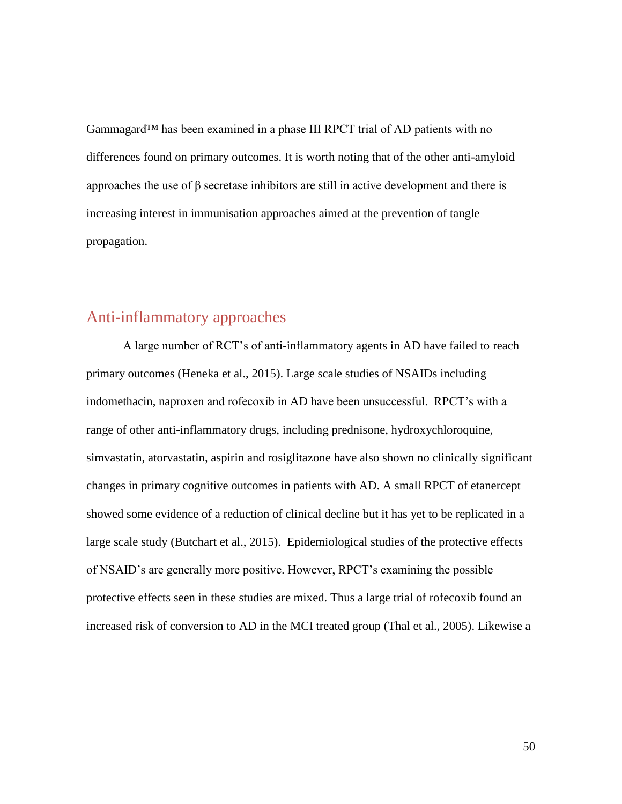Gammagard™ has been examined in a phase III RPCT trial of AD patients with no differences found on primary outcomes. It is worth noting that of the other anti-amyloid approaches the use of β secretase inhibitors are still in active development and there is increasing interest in immunisation approaches aimed at the prevention of tangle propagation.

### Anti-inflammatory approaches

A large number of RCT's of anti-inflammatory agents in AD have failed to reach primary outcomes (Heneka et al., 2015). Large scale studies of NSAIDs including indomethacin, naproxen and rofecoxib in AD have been unsuccessful. RPCT's with a range of other anti-inflammatory drugs, including prednisone, hydroxychloroquine, simvastatin, atorvastatin, aspirin and rosiglitazone have also shown no clinically significant changes in primary cognitive outcomes in patients with AD. A small RPCT of etanercept showed some evidence of a reduction of clinical decline but it has yet to be replicated in a large scale study (Butchart et al., 2015). Epidemiological studies of the protective effects of NSAID's are generally more positive. However, RPCT's examining the possible protective effects seen in these studies are mixed. Thus a large trial of rofecoxib found an increased risk of conversion to AD in the MCI treated group (Thal et al., 2005). Likewise a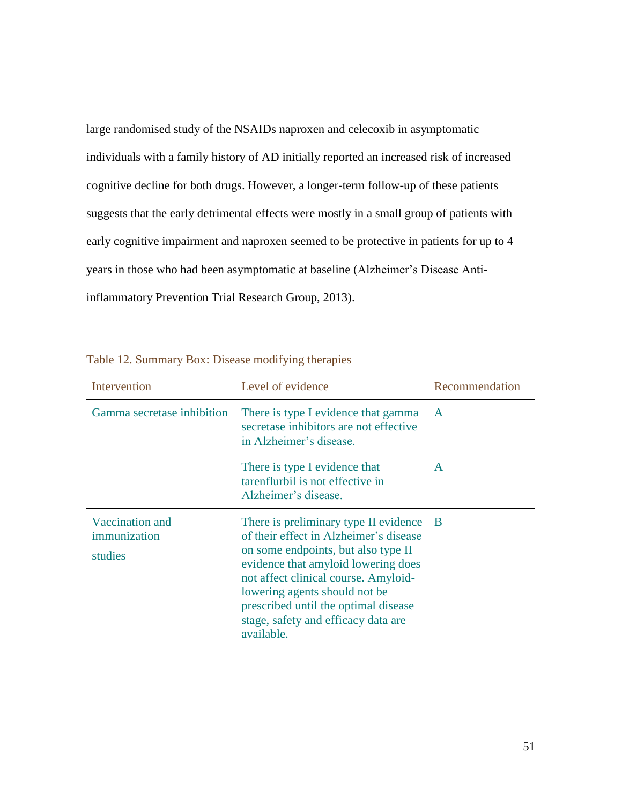large randomised study of the NSAIDs naproxen and celecoxib in asymptomatic individuals with a family history of AD initially reported an increased risk of increased cognitive decline for both drugs. However, a longer-term follow-up of these patients suggests that the early detrimental effects were mostly in a small group of patients with early cognitive impairment and naproxen seemed to be protective in patients for up to 4 years in those who had been asymptomatic at baseline (Alzheimer's Disease Antiinflammatory Prevention Trial Research Group, 2013).

| Intervention                               | Level of evidence                                                                                                                                                                                                                                                                                                                    | Recommendation |
|--------------------------------------------|--------------------------------------------------------------------------------------------------------------------------------------------------------------------------------------------------------------------------------------------------------------------------------------------------------------------------------------|----------------|
| Gamma secretase inhibition                 | There is type I evidence that gamma<br>secretase inhibitors are not effective<br>in Alzheimer's disease.                                                                                                                                                                                                                             | $\mathbf{A}$   |
|                                            | There is type I evidence that<br>tarenflurbil is not effective in<br>Alzheimer's disease.                                                                                                                                                                                                                                            | A              |
| Vaccination and<br>immunization<br>studies | There is preliminary type II evidence<br>of their effect in Alzheimer's disease<br>on some endpoints, but also type II<br>evidence that amyloid lowering does<br>not affect clinical course. Amyloid-<br>lowering agents should not be.<br>prescribed until the optimal disease<br>stage, safety and efficacy data are<br>available. | - B            |

|  | Table 12. Summary Box: Disease modifying therapies |
|--|----------------------------------------------------|
|--|----------------------------------------------------|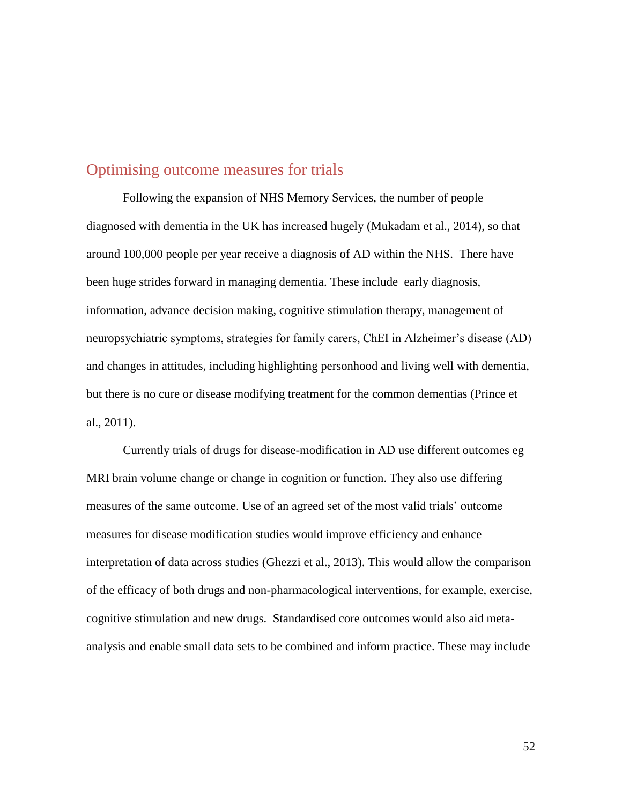#### Optimising outcome measures for trials

Following the expansion of NHS Memory Services, the number of people diagnosed with dementia in the UK has increased hugely (Mukadam et al., 2014), so that around 100,000 people per year receive a diagnosis of AD within the NHS. There have been huge strides forward in managing dementia. These include early diagnosis, information, advance decision making, cognitive stimulation therapy, management of neuropsychiatric symptoms, strategies for family carers, ChEI in Alzheimer's disease (AD) and changes in attitudes, including highlighting personhood and living well with dementia, but there is no cure or disease modifying treatment for the common dementias (Prince et al., 2011).

Currently trials of drugs for disease-modification in AD use different outcomes eg MRI brain volume change or change in cognition or function. They also use differing measures of the same outcome. Use of an agreed set of the most valid trials' outcome measures for disease modification studies would improve efficiency and enhance interpretation of data across studies (Ghezzi et al., 2013). This would allow the comparison of the efficacy of both drugs and non-pharmacological interventions, for example, exercise, cognitive stimulation and new drugs. Standardised core outcomes would also aid metaanalysis and enable small data sets to be combined and inform practice. These may include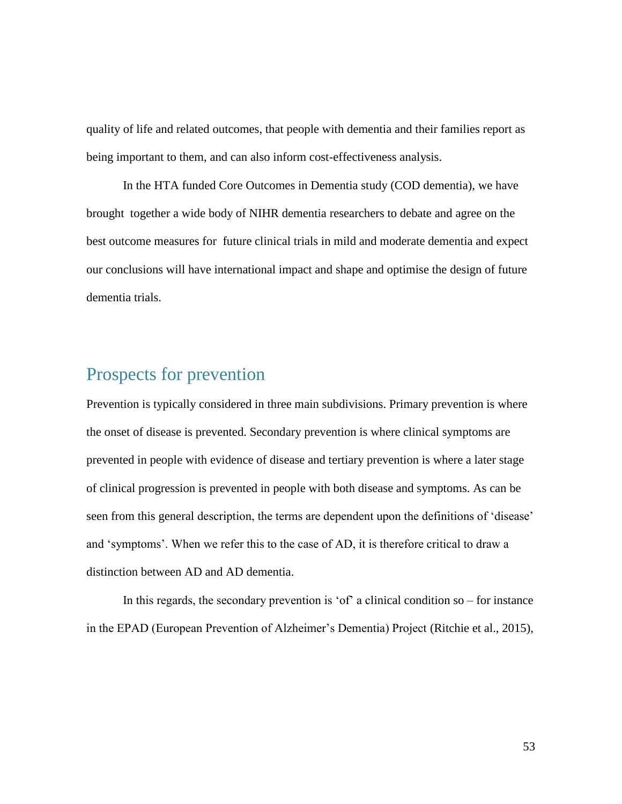quality of life and related outcomes, that people with dementia and their families report as being important to them, and can also inform cost-effectiveness analysis.

In the HTA funded Core Outcomes in Dementia study (COD dementia), we have brought together a wide body of NIHR dementia researchers to debate and agree on the best outcome measures for future clinical trials in mild and moderate dementia and expect our conclusions will have international impact and shape and optimise the design of future dementia trials.

## Prospects for prevention

Prevention is typically considered in three main subdivisions. Primary prevention is where the onset of disease is prevented. Secondary prevention is where clinical symptoms are prevented in people with evidence of disease and tertiary prevention is where a later stage of clinical progression is prevented in people with both disease and symptoms. As can be seen from this general description, the terms are dependent upon the definitions of 'disease' and 'symptoms'. When we refer this to the case of AD, it is therefore critical to draw a distinction between AD and AD dementia.

In this regards, the secondary prevention is 'of' a clinical condition  $so$  – for instance in the EPAD (European Prevention of Alzheimer's Dementia) Project (Ritchie et al., 2015),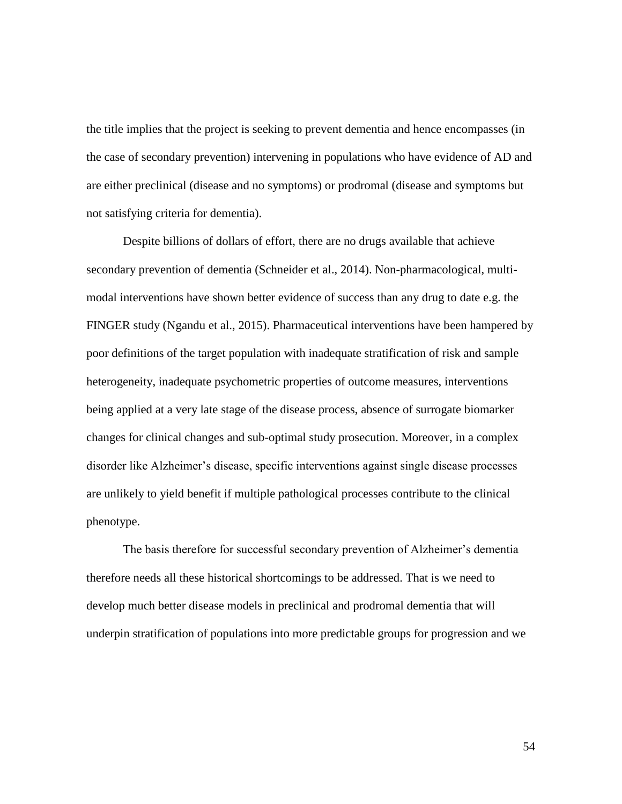the title implies that the project is seeking to prevent dementia and hence encompasses (in the case of secondary prevention) intervening in populations who have evidence of AD and are either preclinical (disease and no symptoms) or prodromal (disease and symptoms but not satisfying criteria for dementia).

Despite billions of dollars of effort, there are no drugs available that achieve secondary prevention of dementia (Schneider et al., 2014). Non-pharmacological, multimodal interventions have shown better evidence of success than any drug to date e.g. the FINGER study (Ngandu et al., 2015). Pharmaceutical interventions have been hampered by poor definitions of the target population with inadequate stratification of risk and sample heterogeneity, inadequate psychometric properties of outcome measures, interventions being applied at a very late stage of the disease process, absence of surrogate biomarker changes for clinical changes and sub-optimal study prosecution. Moreover, in a complex disorder like Alzheimer's disease, specific interventions against single disease processes are unlikely to yield benefit if multiple pathological processes contribute to the clinical phenotype.

The basis therefore for successful secondary prevention of Alzheimer's dementia therefore needs all these historical shortcomings to be addressed. That is we need to develop much better disease models in preclinical and prodromal dementia that will underpin stratification of populations into more predictable groups for progression and we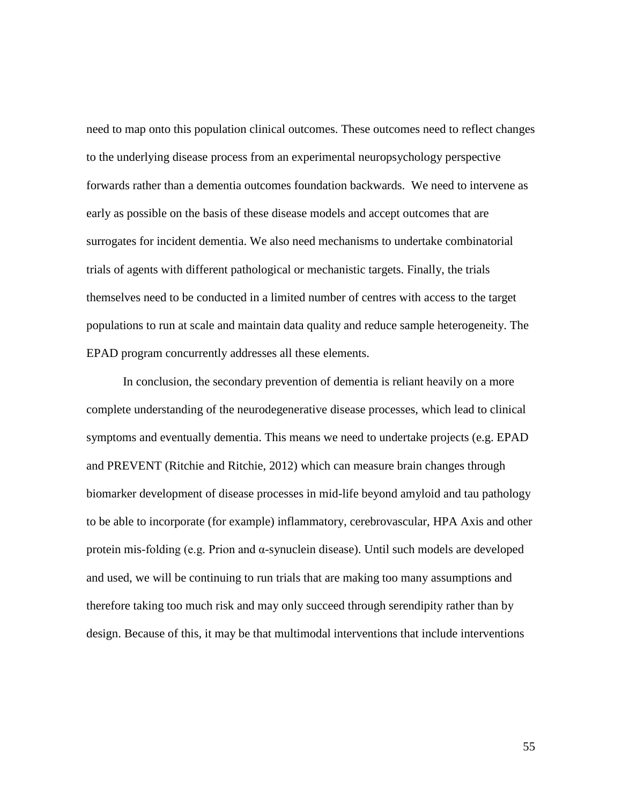need to map onto this population clinical outcomes. These outcomes need to reflect changes to the underlying disease process from an experimental neuropsychology perspective forwards rather than a dementia outcomes foundation backwards. We need to intervene as early as possible on the basis of these disease models and accept outcomes that are surrogates for incident dementia. We also need mechanisms to undertake combinatorial trials of agents with different pathological or mechanistic targets. Finally, the trials themselves need to be conducted in a limited number of centres with access to the target populations to run at scale and maintain data quality and reduce sample heterogeneity. The EPAD program concurrently addresses all these elements.

In conclusion, the secondary prevention of dementia is reliant heavily on a more complete understanding of the neurodegenerative disease processes, which lead to clinical symptoms and eventually dementia. This means we need to undertake projects (e.g. EPAD and PREVENT (Ritchie and Ritchie, 2012) which can measure brain changes through biomarker development of disease processes in mid-life beyond amyloid and tau pathology to be able to incorporate (for example) inflammatory, cerebrovascular, HPA Axis and other protein mis-folding (e.g. Prion and α-synuclein disease). Until such models are developed and used, we will be continuing to run trials that are making too many assumptions and therefore taking too much risk and may only succeed through serendipity rather than by design. Because of this, it may be that multimodal interventions that include interventions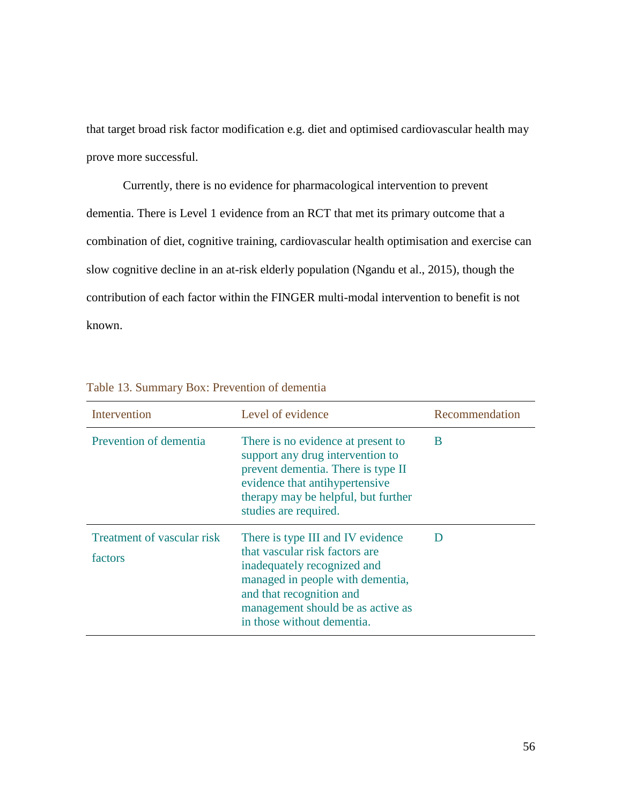that target broad risk factor modification e.g. diet and optimised cardiovascular health may prove more successful.

Currently, there is no evidence for pharmacological intervention to prevent dementia. There is Level 1 evidence from an RCT that met its primary outcome that a combination of diet, cognitive training, cardiovascular health optimisation and exercise can slow cognitive decline in an at-risk elderly population (Ngandu et al., 2015), though the contribution of each factor within the FINGER multi-modal intervention to benefit is not known.

| Intervention                          | Level of evidence                                                                                                                                                                                                                     | Recommendation |
|---------------------------------------|---------------------------------------------------------------------------------------------------------------------------------------------------------------------------------------------------------------------------------------|----------------|
| Prevention of dementia                | There is no evidence at present to<br>support any drug intervention to<br>prevent dementia. There is type II<br>evidence that antihypertensive<br>therapy may be helpful, but further<br>studies are required.                        | B              |
| Treatment of vascular risk<br>factors | There is type III and IV evidence<br>that vascular risk factors are<br>inadequately recognized and<br>managed in people with dementia,<br>and that recognition and<br>management should be as active as<br>in those without dementia. | D              |

Table 13. Summary Box: Prevention of dementia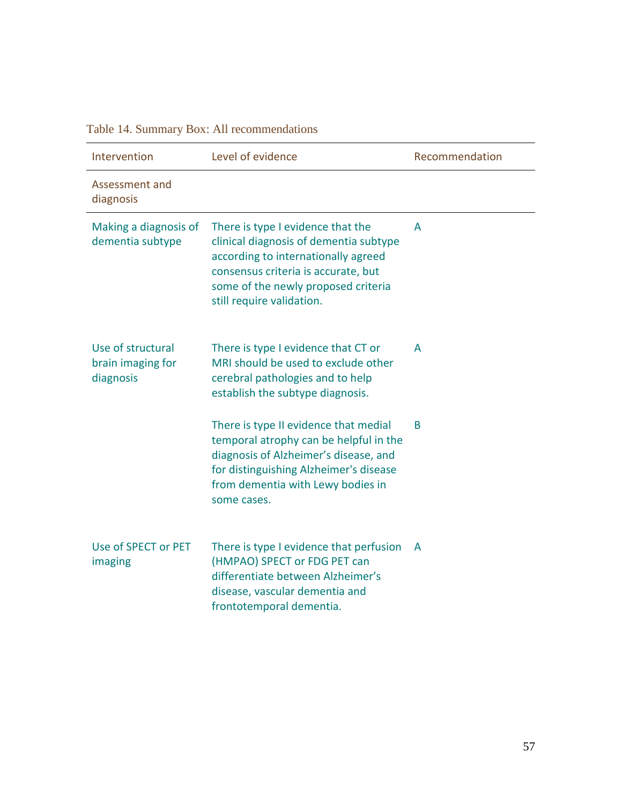Table 14. Summary Box: All recommendations

| Intervention                                        | Level of evidence                                                                                                                                                                                                             | Recommendation |
|-----------------------------------------------------|-------------------------------------------------------------------------------------------------------------------------------------------------------------------------------------------------------------------------------|----------------|
| Assessment and<br>diagnosis                         |                                                                                                                                                                                                                               |                |
| Making a diagnosis of<br>dementia subtype           | There is type I evidence that the<br>clinical diagnosis of dementia subtype<br>according to internationally agreed<br>consensus criteria is accurate, but<br>some of the newly proposed criteria<br>still require validation. | A              |
| Use of structural<br>brain imaging for<br>diagnosis | There is type I evidence that CT or<br>MRI should be used to exclude other<br>cerebral pathologies and to help<br>establish the subtype diagnosis.                                                                            | A              |
|                                                     | There is type II evidence that medial<br>temporal atrophy can be helpful in the<br>diagnosis of Alzheimer's disease, and<br>for distinguishing Alzheimer's disease<br>from dementia with Lewy bodies in<br>some cases.        | B              |
| Use of SPECT or PET<br>imaging                      | There is type I evidence that perfusion<br>(HMPAO) SPECT or FDG PET can<br>differentiate between Alzheimer's<br>disease, vascular dementia and<br>frontotemporal dementia.                                                    | A              |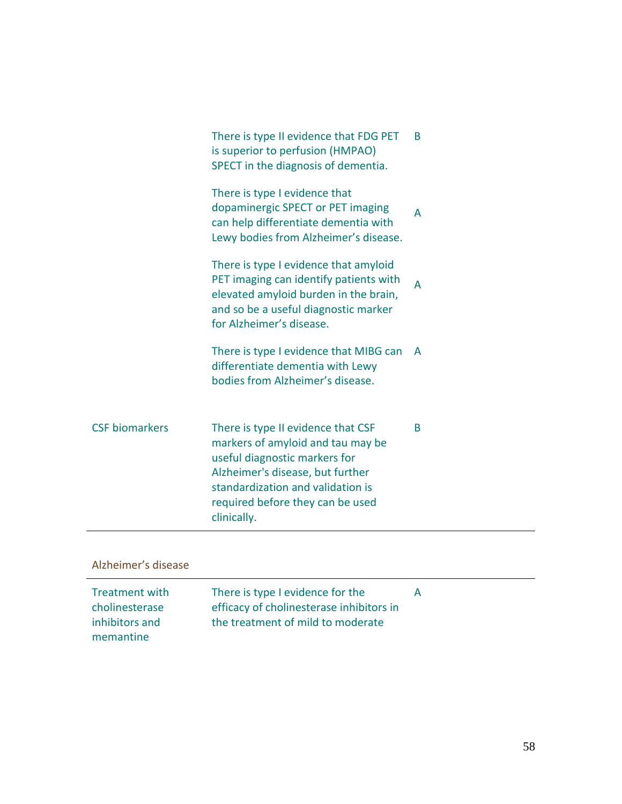|                       | There is type II evidence that FDG PET<br>is superior to perfusion (HMPAO)<br>SPECT in the diagnosis of dementia.                                                                                                                    | B |
|-----------------------|--------------------------------------------------------------------------------------------------------------------------------------------------------------------------------------------------------------------------------------|---|
|                       | There is type I evidence that<br>dopaminergic SPECT or PET imaging<br>can help differentiate dementia with<br>Lewy bodies from Alzheimer's disease.                                                                                  | A |
|                       | There is type I evidence that amyloid<br>PET imaging can identify patients with<br>elevated amyloid burden in the brain,<br>and so be a useful diagnostic marker<br>for Alzheimer's disease.                                         | A |
|                       | There is type I evidence that MIBG can<br>differentiate dementia with Lewy<br>bodies from Alzheimer's disease.                                                                                                                       | A |
| <b>CSF</b> biomarkers | There is type II evidence that CSF<br>markers of amyloid and tau may be<br>useful diagnostic markers for<br>Alzheimer's disease, but further<br>standardization and validation is<br>required before they can be used<br>clinically. | B |
| Alzheimer's disease   |                                                                                                                                                                                                                                      |   |

| Treatment with | There is type I evidence for the         |  |
|----------------|------------------------------------------|--|
| cholinesterase | efficacy of cholinesterase inhibitors in |  |
| inhibitors and | the treatment of mild to moderate        |  |
| memantine      |                                          |  |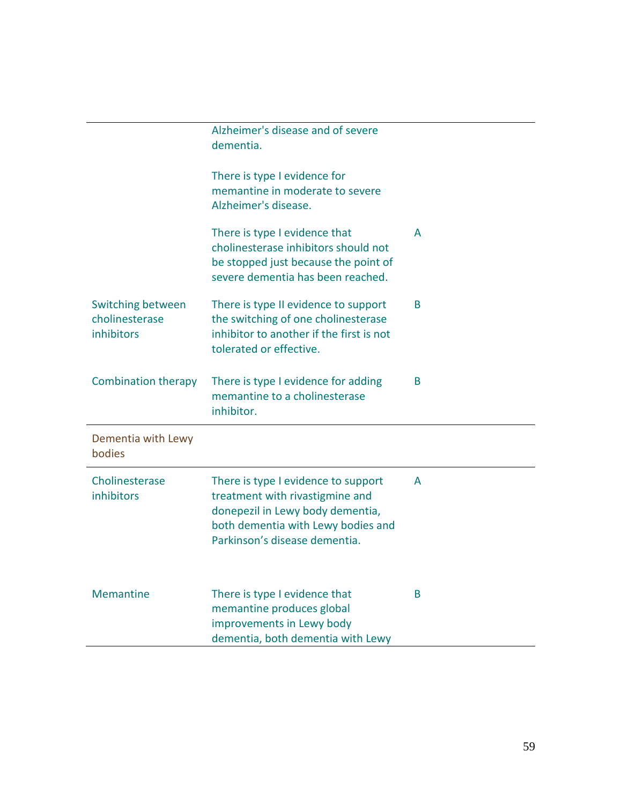|                                                   | Alzheimer's disease and of severe<br>dementia.                                                                                                                                    |   |
|---------------------------------------------------|-----------------------------------------------------------------------------------------------------------------------------------------------------------------------------------|---|
|                                                   | There is type I evidence for<br>memantine in moderate to severe<br>Alzheimer's disease.                                                                                           |   |
|                                                   | There is type I evidence that<br>cholinesterase inhibitors should not<br>be stopped just because the point of<br>severe dementia has been reached.                                | A |
| Switching between<br>cholinesterase<br>inhibitors | There is type II evidence to support<br>the switching of one cholinesterase<br>inhibitor to another if the first is not<br>tolerated or effective.                                | B |
| <b>Combination therapy</b>                        | There is type I evidence for adding<br>memantine to a cholinesterase<br>inhibitor.                                                                                                | B |
| Dementia with Lewy<br>bodies                      |                                                                                                                                                                                   |   |
| Cholinesterase<br>inhibitors                      | There is type I evidence to support<br>treatment with rivastigmine and<br>donepezil in Lewy body dementia,<br>both dementia with Lewy bodies and<br>Parkinson's disease dementia. | A |
| <b>Memantine</b>                                  | There is type I evidence that<br>memantine produces global<br>improvements in Lewy body<br>dementia, both dementia with Lewy                                                      | B |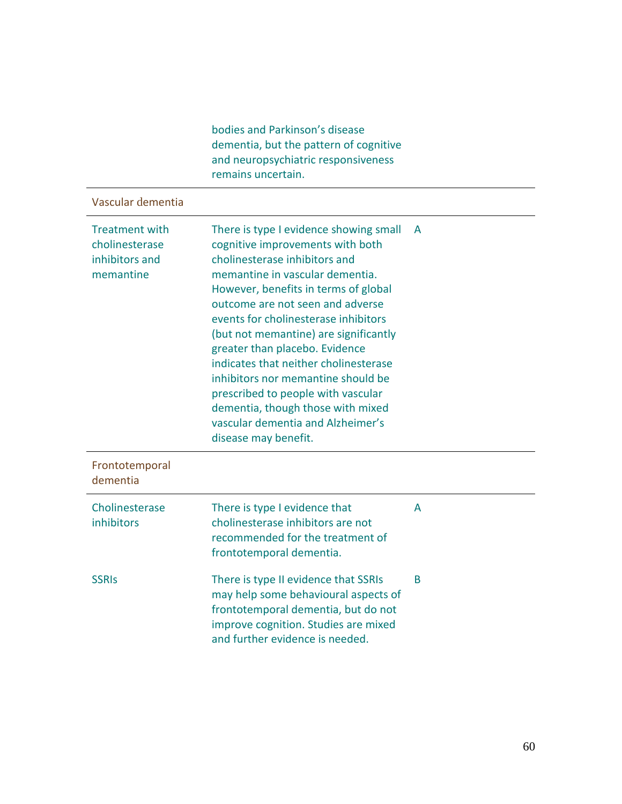|                                                                        | bodies and Parkinson's disease<br>dementia, but the pattern of cognitive<br>and neuropsychiatric responsiveness<br>remains uncertain.                                                                                                                                                                                                                                                                                                                                                                                                                                |   |
|------------------------------------------------------------------------|----------------------------------------------------------------------------------------------------------------------------------------------------------------------------------------------------------------------------------------------------------------------------------------------------------------------------------------------------------------------------------------------------------------------------------------------------------------------------------------------------------------------------------------------------------------------|---|
| Vascular dementia                                                      |                                                                                                                                                                                                                                                                                                                                                                                                                                                                                                                                                                      |   |
| <b>Treatment with</b><br>cholinesterase<br>inhibitors and<br>memantine | There is type I evidence showing small<br>cognitive improvements with both<br>cholinesterase inhibitors and<br>memantine in vascular dementia.<br>However, benefits in terms of global<br>outcome are not seen and adverse<br>events for cholinesterase inhibitors<br>(but not memantine) are significantly<br>greater than placebo. Evidence<br>indicates that neither cholinesterase<br>inhibitors nor memantine should be<br>prescribed to people with vascular<br>dementia, though those with mixed<br>vascular dementia and Alzheimer's<br>disease may benefit. | A |
| Frontotemporal<br>dementia                                             |                                                                                                                                                                                                                                                                                                                                                                                                                                                                                                                                                                      |   |
| Cholinesterase<br>inhibitors                                           | There is type I evidence that<br>cholinesterase inhibitors are not<br>recommended for the treatment of<br>frontotemporal dementia.                                                                                                                                                                                                                                                                                                                                                                                                                                   | A |
| <b>SSRIS</b>                                                           | There is type II evidence that SSRIs<br>may help some behavioural aspects of<br>frontotemporal dementia, but do not<br>improve cognition. Studies are mixed<br>and further evidence is needed.                                                                                                                                                                                                                                                                                                                                                                       | B |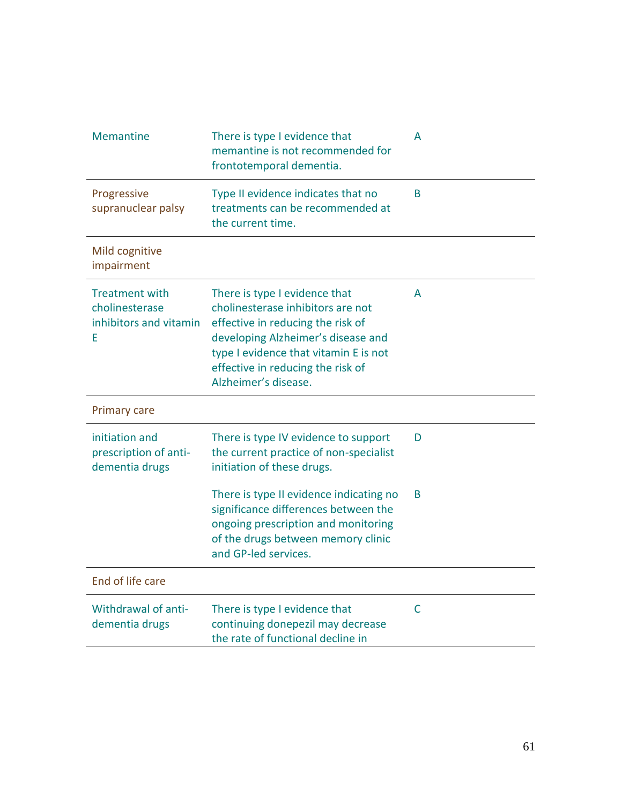| <b>Memantine</b>                                                       | There is type I evidence that<br>memantine is not recommended for<br>frontotemporal dementia.                                                                                                                                                       | A            |
|------------------------------------------------------------------------|-----------------------------------------------------------------------------------------------------------------------------------------------------------------------------------------------------------------------------------------------------|--------------|
| Progressive<br>supranuclear palsy                                      | Type II evidence indicates that no<br>treatments can be recommended at<br>the current time.                                                                                                                                                         | <sub>R</sub> |
| Mild cognitive<br>impairment                                           |                                                                                                                                                                                                                                                     |              |
| <b>Treatment with</b><br>cholinesterase<br>inhibitors and vitamin<br>Е | There is type I evidence that<br>cholinesterase inhibitors are not<br>effective in reducing the risk of<br>developing Alzheimer's disease and<br>type I evidence that vitamin E is not<br>effective in reducing the risk of<br>Alzheimer's disease. | A            |
| <b>Primary care</b>                                                    |                                                                                                                                                                                                                                                     |              |
| initiation and<br>prescription of anti-                                | There is type IV evidence to support<br>the current practice of non-specialist                                                                                                                                                                      | D            |
| dementia drugs                                                         | initiation of these drugs.                                                                                                                                                                                                                          |              |
|                                                                        | There is type II evidence indicating no<br>significance differences between the<br>ongoing prescription and monitoring<br>of the drugs between memory clinic<br>and GP-led services.                                                                | B            |
| End of life care                                                       |                                                                                                                                                                                                                                                     |              |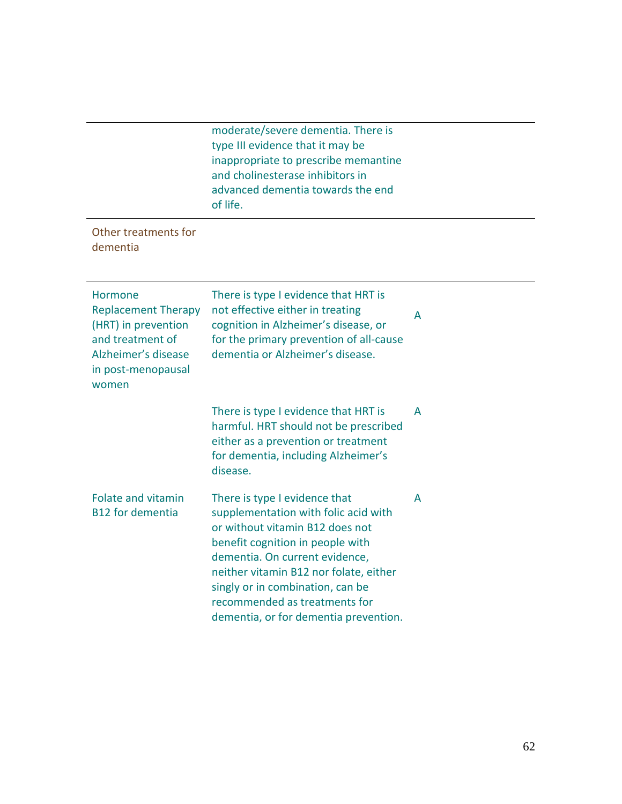|                                                                                                                                        | moderate/severe dementia. There is<br>type III evidence that it may be<br>inappropriate to prescribe memantine<br>and cholinesterase inhibitors in<br>advanced dementia towards the end<br>of life.                                                                                                                                    |   |
|----------------------------------------------------------------------------------------------------------------------------------------|----------------------------------------------------------------------------------------------------------------------------------------------------------------------------------------------------------------------------------------------------------------------------------------------------------------------------------------|---|
| Other treatments for<br>dementia                                                                                                       |                                                                                                                                                                                                                                                                                                                                        |   |
| Hormone<br><b>Replacement Therapy</b><br>(HRT) in prevention<br>and treatment of<br>Alzheimer's disease<br>in post-menopausal<br>women | There is type I evidence that HRT is<br>not effective either in treating<br>cognition in Alzheimer's disease, or<br>for the primary prevention of all-cause<br>dementia or Alzheimer's disease.                                                                                                                                        | A |
|                                                                                                                                        | There is type I evidence that HRT is<br>harmful. HRT should not be prescribed<br>either as a prevention or treatment<br>for dementia, including Alzheimer's<br>disease.                                                                                                                                                                | A |
| <b>Folate and vitamin</b><br><b>B12 for dementia</b>                                                                                   | There is type I evidence that<br>supplementation with folic acid with<br>or without vitamin B12 does not<br>benefit cognition in people with<br>dementia. On current evidence,<br>neither vitamin B12 nor folate, either<br>singly or in combination, can be<br>recommended as treatments for<br>dementia, or for dementia prevention. | A |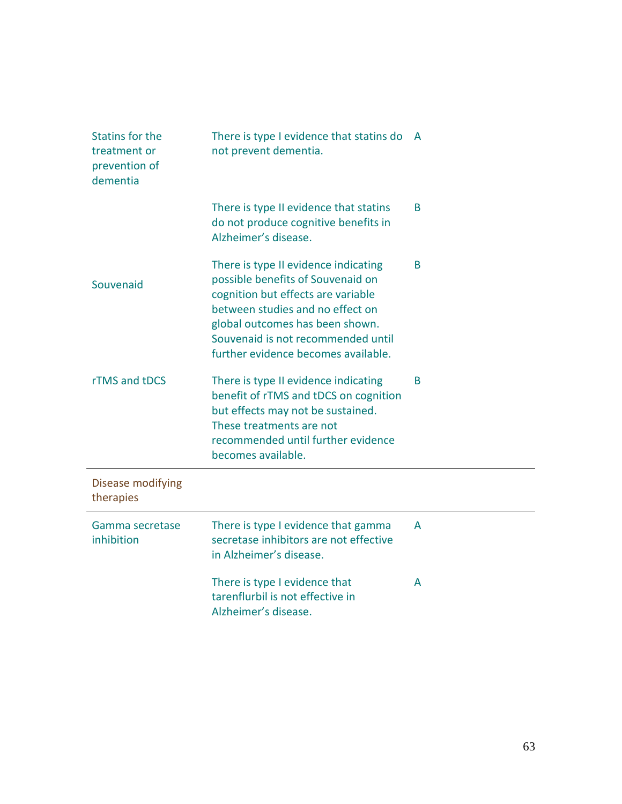| <b>Statins for the</b><br>treatment or<br>prevention of<br>dementia | There is type I evidence that statins do<br>not prevent dementia.                                                                                                                                                                                                   | <b>A</b> |
|---------------------------------------------------------------------|---------------------------------------------------------------------------------------------------------------------------------------------------------------------------------------------------------------------------------------------------------------------|----------|
|                                                                     | There is type II evidence that statins<br>do not produce cognitive benefits in<br>Alzheimer's disease.                                                                                                                                                              | B        |
| Souvenaid                                                           | There is type II evidence indicating<br>possible benefits of Souvenaid on<br>cognition but effects are variable<br>between studies and no effect on<br>global outcomes has been shown.<br>Souvenaid is not recommended until<br>further evidence becomes available. | B.       |
| rTMS and tDCS                                                       | There is type II evidence indicating<br>benefit of rTMS and tDCS on cognition<br>but effects may not be sustained.<br>These treatments are not<br>recommended until further evidence<br>becomes available.                                                          | B        |
| Disease modifying<br>therapies                                      |                                                                                                                                                                                                                                                                     |          |
| Gamma secretase<br>inhibition                                       | There is type I evidence that gamma<br>secretase inhibitors are not effective<br>in Alzheimer's disease.                                                                                                                                                            | A        |
|                                                                     | There is type I evidence that<br>tarenflurbil is not effective in<br>Alzheimer's disease.                                                                                                                                                                           | A        |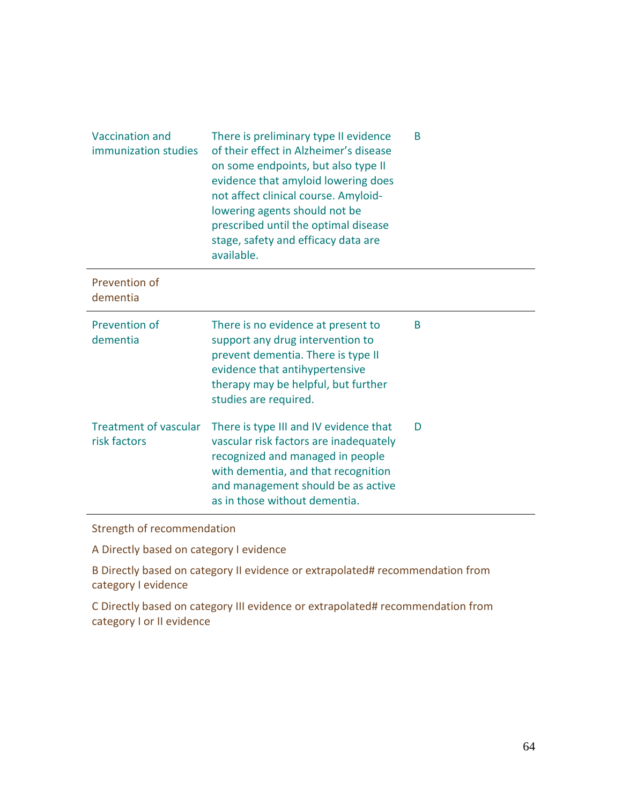| <b>Vaccination and</b><br>immunization studies | There is preliminary type II evidence<br>of their effect in Alzheimer's disease<br>on some endpoints, but also type II<br>evidence that amyloid lowering does<br>not affect clinical course. Amyloid-<br>lowering agents should not be<br>prescribed until the optimal disease<br>stage, safety and efficacy data are<br>available. | B |
|------------------------------------------------|-------------------------------------------------------------------------------------------------------------------------------------------------------------------------------------------------------------------------------------------------------------------------------------------------------------------------------------|---|
| Prevention of<br>dementia                      |                                                                                                                                                                                                                                                                                                                                     |   |
| Prevention of<br>dementia                      | There is no evidence at present to<br>support any drug intervention to<br>prevent dementia. There is type II<br>evidence that antihypertensive<br>therapy may be helpful, but further<br>studies are required.                                                                                                                      | B |
| <b>Treatment of vascular</b><br>risk factors   | There is type III and IV evidence that<br>vascular risk factors are inadequately<br>recognized and managed in people<br>with dementia, and that recognition<br>and management should be as active<br>as in those without dementia.                                                                                                  | D |

Strength of recommendation

A Directly based on category I evidence

B Directly based on category II evidence or extrapolated# recommendation from category I evidence

C Directly based on category III evidence or extrapolated# recommendation from category I or II evidence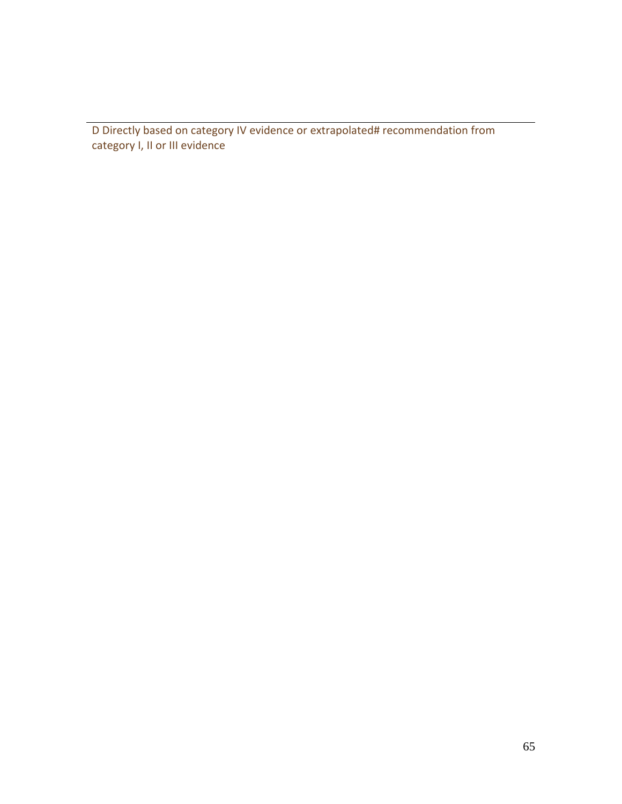D Directly based on category IV evidence or extrapolated# recommendation from category I, II or III evidence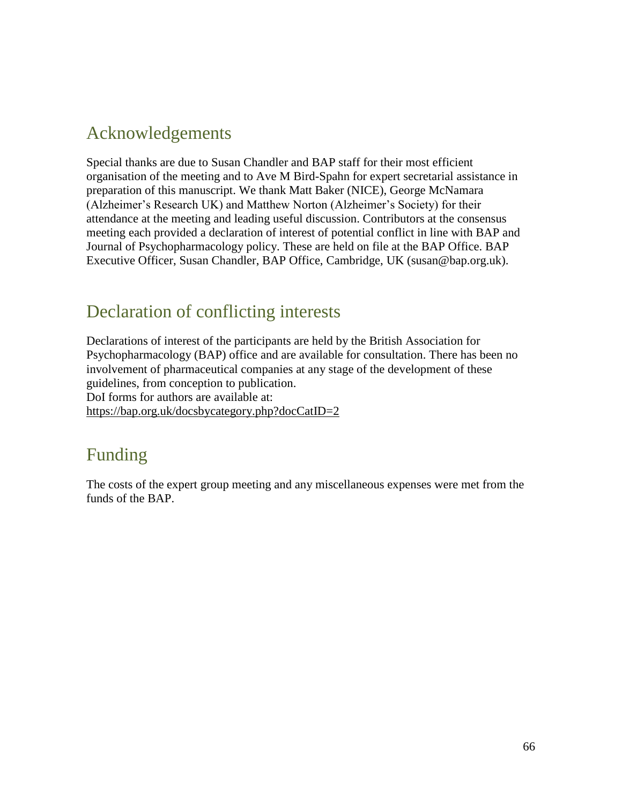# Acknowledgements

Special thanks are due to Susan Chandler and BAP staff for their most efficient organisation of the meeting and to Ave M Bird-Spahn for expert secretarial assistance in preparation of this manuscript. We thank Matt Baker (NICE), George McNamara (Alzheimer's Research UK) and Matthew Norton (Alzheimer's Society) for their attendance at the meeting and leading useful discussion. Contributors at the consensus meeting each provided a declaration of interest of potential conflict in line with BAP and Journal of Psychopharmacology policy. These are held on file at the BAP Office. BAP Executive Officer, Susan Chandler, BAP Office, Cambridge, UK (susan@bap.org.uk).

# Declaration of conflicting interests

Declarations of interest of the participants are held by the British Association for Psychopharmacology (BAP) office and are available for consultation. There has been no involvement of pharmaceutical companies at any stage of the development of these guidelines, from conception to publication. DoI forms for authors are available at: <https://bap.org.uk/docsbycategory.php?docCatID=2>

# Funding

The costs of the expert group meeting and any miscellaneous expenses were met from the funds of the BAP.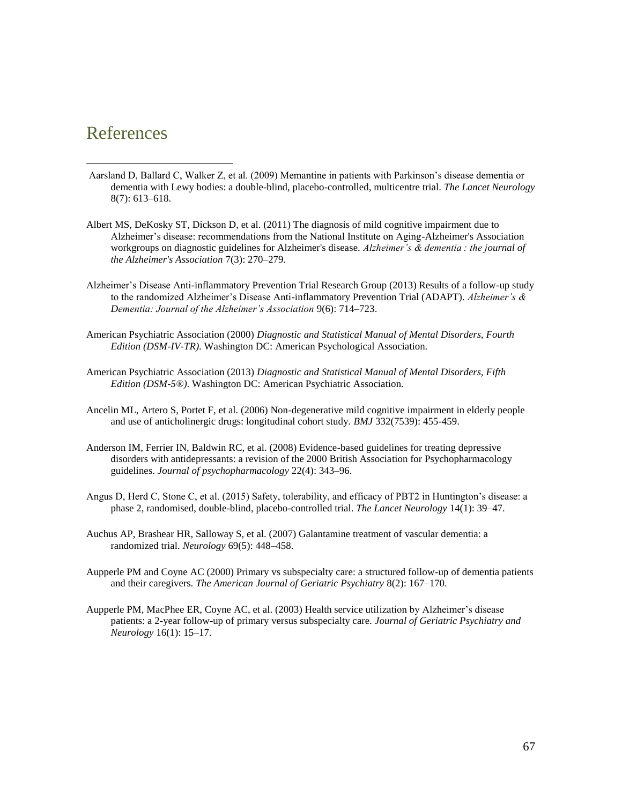## References

 $\overline{a}$ 

- Aarsland D, Ballard C, Walker Z, et al. (2009) Memantine in patients with Parkinson's disease dementia or dementia with Lewy bodies: a double-blind, placebo-controlled, multicentre trial. *The Lancet Neurology* 8(7): 613–618.
- Albert MS, DeKosky ST, Dickson D, et al. (2011) The diagnosis of mild cognitive impairment due to Alzheimer's disease: recommendations from the National Institute on Aging-Alzheimer's Association workgroups on diagnostic guidelines for Alzheimer's disease. *Alzheimer's & dementia : the journal of the Alzheimer's Association* 7(3): 270–279.
- Alzheimer's Disease Anti-inflammatory Prevention Trial Research Group (2013) Results of a follow-up study to the randomized Alzheimer's Disease Anti-inflammatory Prevention Trial (ADAPT). *Alzheimer's & Dementia: Journal of the Alzheimer's Association* 9(6): 714–723.
- American Psychiatric Association (2000) *Diagnostic and Statistical Manual of Mental Disorders, Fourth Edition (DSM-IV-TR)*. Washington DC: American Psychological Association.
- American Psychiatric Association (2013) *Diagnostic and Statistical Manual of Mental Disorders, Fifth Edition (DSM-5®)*. Washington DC: American Psychiatric Association.
- Ancelin ML, Artero S, Portet F, et al. (2006) Non-degenerative mild cognitive impairment in elderly people and use of anticholinergic drugs: longitudinal cohort study. *BMJ* 332(7539): 455-459.
- Anderson IM, Ferrier IN, Baldwin RC, et al. (2008) Evidence-based guidelines for treating depressive disorders with antidepressants: a revision of the 2000 British Association for Psychopharmacology guidelines. *Journal of psychopharmacology* 22(4): 343–96.
- Angus D, Herd C, Stone C, et al. (2015) Safety, tolerability, and efficacy of PBT2 in Huntington's disease: a phase 2, randomised, double-blind, placebo-controlled trial. *The Lancet Neurology* 14(1): 39–47.
- Auchus AP, Brashear HR, Salloway S, et al. (2007) Galantamine treatment of vascular dementia: a randomized trial. *Neurology* 69(5): 448–458.
- Aupperle PM and Coyne AC (2000) Primary vs subspecialty care: a structured follow-up of dementia patients and their caregivers. *The American Journal of Geriatric Psychiatry* 8(2): 167–170.
- Aupperle PM, MacPhee ER, Coyne AC, et al. (2003) Health service utilization by Alzheimer's disease patients: a 2-year follow-up of primary versus subspecialty care. *Journal of Geriatric Psychiatry and Neurology* 16(1): 15–17.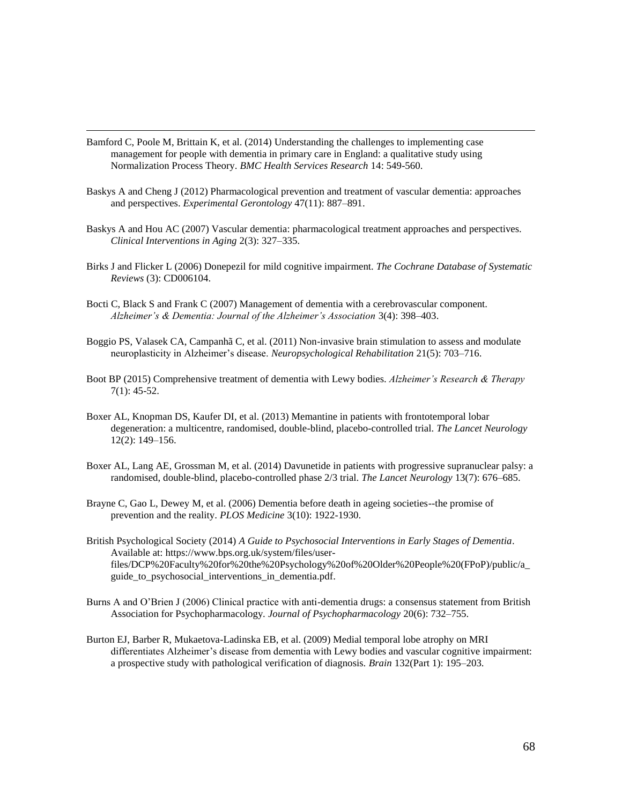Bamford C, Poole M, Brittain K, et al. (2014) Understanding the challenges to implementing case management for people with dementia in primary care in England: a qualitative study using Normalization Process Theory. *BMC Health Services Research* 14: 549-560.

- Baskys A and Cheng J (2012) Pharmacological prevention and treatment of vascular dementia: approaches and perspectives. *Experimental Gerontology* 47(11): 887–891.
- Baskys A and Hou AC (2007) Vascular dementia: pharmacological treatment approaches and perspectives. *Clinical Interventions in Aging* 2(3): 327–335.
- Birks J and Flicker L (2006) Donepezil for mild cognitive impairment. *The Cochrane Database of Systematic Reviews* (3): CD006104.
- Bocti C, Black S and Frank C (2007) Management of dementia with a cerebrovascular component. *Alzheimer's & Dementia: Journal of the Alzheimer's Association* 3(4): 398–403.
- Boggio PS, Valasek CA, Campanhã C, et al. (2011) Non-invasive brain stimulation to assess and modulate neuroplasticity in Alzheimer's disease. *Neuropsychological Rehabilitation* 21(5): 703–716.
- Boot BP (2015) Comprehensive treatment of dementia with Lewy bodies. *Alzheimer's Research & Therapy* 7(1): 45-52.
- Boxer AL, Knopman DS, Kaufer DI, et al. (2013) Memantine in patients with frontotemporal lobar degeneration: a multicentre, randomised, double-blind, placebo-controlled trial. *The Lancet Neurology* 12(2): 149–156.
- Boxer AL, Lang AE, Grossman M, et al. (2014) Davunetide in patients with progressive supranuclear palsy: a randomised, double-blind, placebo-controlled phase 2/3 trial. *The Lancet Neurology* 13(7): 676–685.
- Brayne C, Gao L, Dewey M, et al. (2006) Dementia before death in ageing societies--the promise of prevention and the reality. *PLOS Medicine* 3(10): 1922-1930.
- British Psychological Society (2014) *A Guide to Psychosocial Interventions in Early Stages of Dementia*. Available at: https://www.bps.org.uk/system/files/userfiles/DCP%20Faculty%20for%20the%20Psychology%20of%20Older%20People%20(FPoP)/public/a\_ guide to psychosocial interventions in dementia.pdf.
- Burns A and O'Brien J (2006) Clinical practice with anti-dementia drugs: a consensus statement from British Association for Psychopharmacology. *Journal of Psychopharmacology* 20(6): 732–755.
- Burton EJ, Barber R, Mukaetova-Ladinska EB, et al. (2009) Medial temporal lobe atrophy on MRI differentiates Alzheimer's disease from dementia with Lewy bodies and vascular cognitive impairment: a prospective study with pathological verification of diagnosis. *Brain* 132(Part 1): 195–203.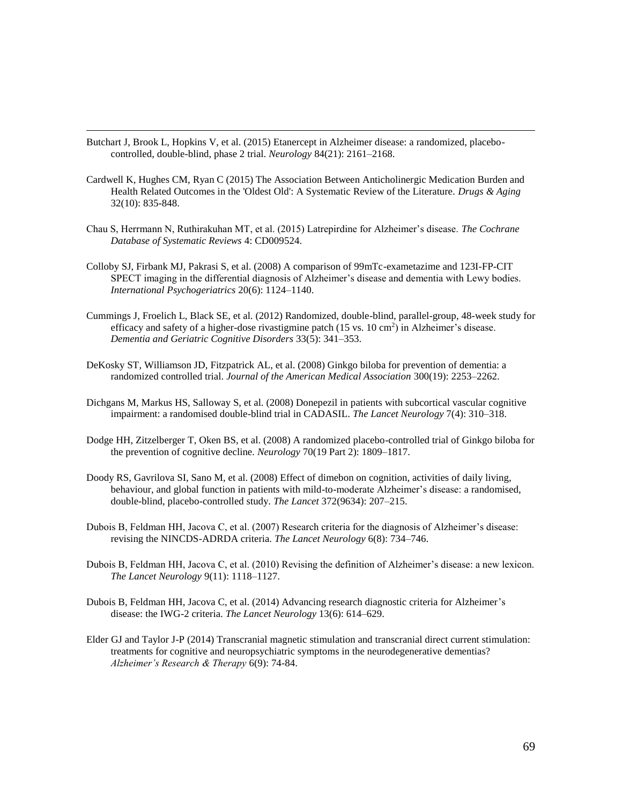Butchart J, Brook L, Hopkins V, et al. (2015) Etanercept in Alzheimer disease: a randomized, placebocontrolled, double-blind, phase 2 trial. *Neurology* 84(21): 2161–2168.

- Cardwell K, Hughes CM, Ryan C (2015) The Association Between Anticholinergic Medication Burden and Health Related Outcomes in the 'Oldest Old': A Systematic Review of the Literature. *Drugs & Aging* 32(10): 835-848.
- Chau S, Herrmann N, Ruthirakuhan MT, et al. (2015) Latrepirdine for Alzheimer's disease. *The Cochrane Database of Systematic Reviews* 4: CD009524.
- Colloby SJ, Firbank MJ, Pakrasi S, et al. (2008) A comparison of 99mTc-exametazime and 123I-FP-CIT SPECT imaging in the differential diagnosis of Alzheimer's disease and dementia with Lewy bodies. *International Psychogeriatrics* 20(6): 1124–1140.
- Cummings J, Froelich L, Black SE, et al. (2012) Randomized, double-blind, parallel-group, 48-week study for efficacy and safety of a higher-dose rivastigmine patch (15 vs. 10 cm<sup>2</sup>) in Alzheimer's disease. *Dementia and Geriatric Cognitive Disorders* 33(5): 341–353.
- DeKosky ST, Williamson JD, Fitzpatrick AL, et al. (2008) Ginkgo biloba for prevention of dementia: a randomized controlled trial. *Journal of the American Medical Association* 300(19): 2253–2262.
- Dichgans M, Markus HS, Salloway S, et al. (2008) Donepezil in patients with subcortical vascular cognitive impairment: a randomised double-blind trial in CADASIL. *The Lancet Neurology* 7(4): 310–318.
- Dodge HH, Zitzelberger T, Oken BS, et al. (2008) A randomized placebo-controlled trial of Ginkgo biloba for the prevention of cognitive decline. *Neurology* 70(19 Part 2): 1809–1817.
- Doody RS, Gavrilova SI, Sano M, et al. (2008) Effect of dimebon on cognition, activities of daily living, behaviour, and global function in patients with mild-to-moderate Alzheimer's disease: a randomised, double-blind, placebo-controlled study. *The Lancet* 372(9634): 207–215.
- Dubois B, Feldman HH, Jacova C, et al. (2007) Research criteria for the diagnosis of Alzheimer's disease: revising the NINCDS-ADRDA criteria. *The Lancet Neurology* 6(8): 734–746.
- Dubois B, Feldman HH, Jacova C, et al. (2010) Revising the definition of Alzheimer's disease: a new lexicon. *The Lancet Neurology* 9(11): 1118–1127.
- Dubois B, Feldman HH, Jacova C, et al. (2014) Advancing research diagnostic criteria for Alzheimer's disease: the IWG-2 criteria. *The Lancet Neurology* 13(6): 614–629.
- Elder GJ and Taylor J-P (2014) Transcranial magnetic stimulation and transcranial direct current stimulation: treatments for cognitive and neuropsychiatric symptoms in the neurodegenerative dementias? *Alzheimer's Research & Therapy* 6(9): 74-84.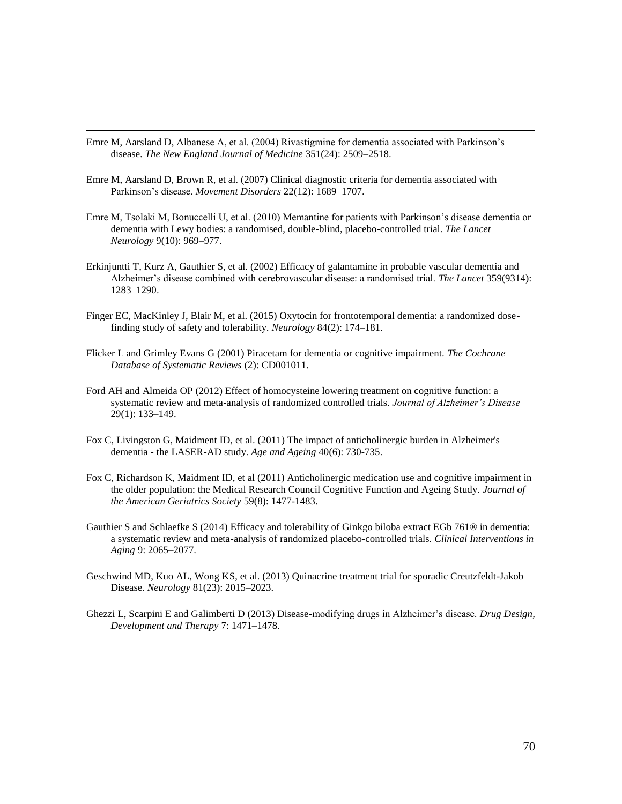Emre M, Aarsland D, Albanese A, et al. (2004) Rivastigmine for dementia associated with Parkinson's disease. *The New England Journal of Medicine* 351(24): 2509–2518.

- Emre M, Aarsland D, Brown R, et al. (2007) Clinical diagnostic criteria for dementia associated with Parkinson's disease. *Movement Disorders* 22(12): 1689–1707.
- Emre M, Tsolaki M, Bonuccelli U, et al. (2010) Memantine for patients with Parkinson's disease dementia or dementia with Lewy bodies: a randomised, double-blind, placebo-controlled trial. *The Lancet Neurology* 9(10): 969–977.
- Erkinjuntti T, Kurz A, Gauthier S, et al. (2002) Efficacy of galantamine in probable vascular dementia and Alzheimer's disease combined with cerebrovascular disease: a randomised trial. *The Lancet* 359(9314): 1283–1290.
- Finger EC, MacKinley J, Blair M, et al. (2015) Oxytocin for frontotemporal dementia: a randomized dosefinding study of safety and tolerability. *Neurology* 84(2): 174–181.
- Flicker L and Grimley Evans G (2001) Piracetam for dementia or cognitive impairment. *The Cochrane Database of Systematic Reviews* (2): CD001011.
- Ford AH and Almeida OP (2012) Effect of homocysteine lowering treatment on cognitive function: a systematic review and meta-analysis of randomized controlled trials. *Journal of Alzheimer's Disease* 29(1): 133–149.
- Fox C, Livingston G, Maidment ID, et al. (2011) The impact of anticholinergic burden in Alzheimer's dementia - the LASER-AD study. *Age and Ageing* 40(6): 730-735.
- Fox C, Richardson K, Maidment ID, et al (2011) Anticholinergic medication use and cognitive impairment in the older population: the Medical Research Council Cognitive Function and Ageing Study. *Journal of the American Geriatrics Society* 59(8): 1477-1483.
- Gauthier S and Schlaefke S (2014) Efficacy and tolerability of Ginkgo biloba extract EGb 761® in dementia: a systematic review and meta-analysis of randomized placebo-controlled trials. *Clinical Interventions in Aging* 9: 2065–2077.
- Geschwind MD, Kuo AL, Wong KS, et al. (2013) Quinacrine treatment trial for sporadic Creutzfeldt-Jakob Disease. *Neurology* 81(23): 2015–2023.
- Ghezzi L, Scarpini E and Galimberti D (2013) Disease-modifying drugs in Alzheimer's disease. *Drug Design, Development and Therapy* 7: 1471–1478.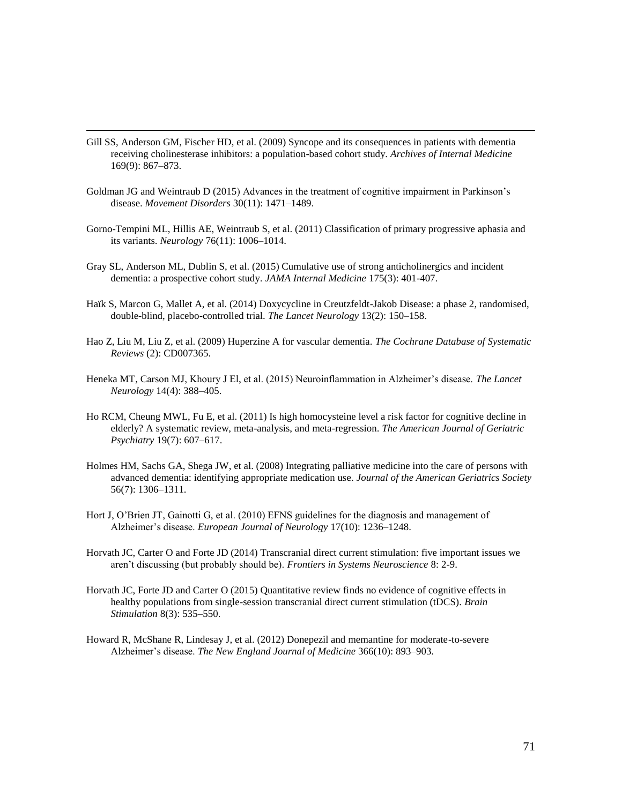Gill SS, Anderson GM, Fischer HD, et al. (2009) Syncope and its consequences in patients with dementia receiving cholinesterase inhibitors: a population-based cohort study. *Archives of Internal Medicine* 169(9): 867–873.

- Goldman JG and Weintraub D (2015) Advances in the treatment of cognitive impairment in Parkinson's disease. *Movement Disorders* 30(11): 1471–1489.
- Gorno-Tempini ML, Hillis AE, Weintraub S, et al. (2011) Classification of primary progressive aphasia and its variants. *Neurology* 76(11): 1006–1014.
- Gray SL, Anderson ML, Dublin S, et al. (2015) Cumulative use of strong anticholinergics and incident dementia: a prospective cohort study. *JAMA Internal Medicine* 175(3): 401-407.
- Haïk S, Marcon G, Mallet A, et al. (2014) Doxycycline in Creutzfeldt-Jakob Disease: a phase 2, randomised, double-blind, placebo-controlled trial. *The Lancet Neurology* 13(2): 150–158.
- Hao Z, Liu M, Liu Z, et al. (2009) Huperzine A for vascular dementia. *The Cochrane Database of Systematic Reviews* (2): CD007365.
- Heneka MT, Carson MJ, Khoury J El, et al. (2015) Neuroinflammation in Alzheimer's disease. *The Lancet Neurology* 14(4): 388–405.
- Ho RCM, Cheung MWL, Fu E, et al. (2011) Is high homocysteine level a risk factor for cognitive decline in elderly? A systematic review, meta-analysis, and meta-regression. *The American Journal of Geriatric Psychiatry* 19(7): 607–617.
- Holmes HM, Sachs GA, Shega JW, et al. (2008) Integrating palliative medicine into the care of persons with advanced dementia: identifying appropriate medication use. *Journal of the American Geriatrics Society* 56(7): 1306–1311.
- Hort J, O'Brien JT, Gainotti G, et al. (2010) EFNS guidelines for the diagnosis and management of Alzheimer's disease. *European Journal of Neurology* 17(10): 1236–1248.
- Horvath JC, Carter O and Forte JD (2014) Transcranial direct current stimulation: five important issues we aren't discussing (but probably should be). *Frontiers in Systems Neuroscience* 8: 2-9.
- Horvath JC, Forte JD and Carter O (2015) Quantitative review finds no evidence of cognitive effects in healthy populations from single-session transcranial direct current stimulation (tDCS). *Brain Stimulation* 8(3): 535–550.
- Howard R, McShane R, Lindesay J, et al. (2012) Donepezil and memantine for moderate-to-severe Alzheimer's disease. *The New England Journal of Medicine* 366(10): 893–903.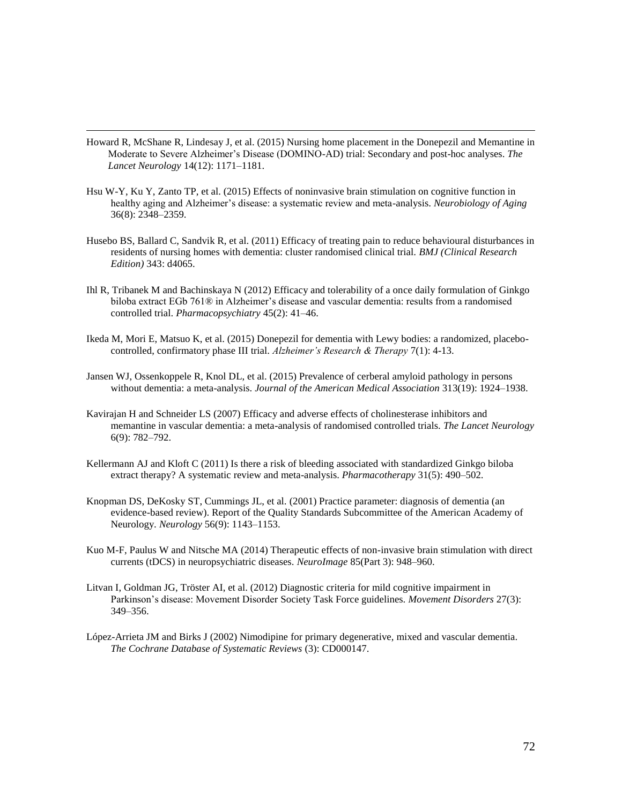Howard R, McShane R, Lindesay J, et al. (2015) Nursing home placement in the Donepezil and Memantine in Moderate to Severe Alzheimer's Disease (DOMINO-AD) trial: Secondary and post-hoc analyses. *The Lancet Neurology* 14(12): 1171–1181.

- Hsu W-Y, Ku Y, Zanto TP, et al. (2015) Effects of noninvasive brain stimulation on cognitive function in healthy aging and Alzheimer's disease: a systematic review and meta-analysis. *Neurobiology of Aging* 36(8): 2348–2359.
- Husebo BS, Ballard C, Sandvik R, et al. (2011) Efficacy of treating pain to reduce behavioural disturbances in residents of nursing homes with dementia: cluster randomised clinical trial. *BMJ (Clinical Research Edition)* 343: d4065.
- Ihl R, Tribanek M and Bachinskaya N (2012) Efficacy and tolerability of a once daily formulation of Ginkgo biloba extract EGb 761® in Alzheimer's disease and vascular dementia: results from a randomised controlled trial. *Pharmacopsychiatry* 45(2): 41–46.
- Ikeda M, Mori E, Matsuo K, et al. (2015) Donepezil for dementia with Lewy bodies: a randomized, placebocontrolled, confirmatory phase III trial. *Alzheimer's Research & Therapy* 7(1): 4-13.
- Jansen WJ, Ossenkoppele R, Knol DL, et al. (2015) Prevalence of cerberal amyloid pathology in persons without dementia: a meta-analysis. *Journal of the American Medical Association* 313(19): 1924–1938.
- Kavirajan H and Schneider LS (2007) Efficacy and adverse effects of cholinesterase inhibitors and memantine in vascular dementia: a meta-analysis of randomised controlled trials. *The Lancet Neurology* 6(9): 782–792.
- Kellermann AJ and Kloft C (2011) Is there a risk of bleeding associated with standardized Ginkgo biloba extract therapy? A systematic review and meta-analysis. *Pharmacotherapy* 31(5): 490–502.
- Knopman DS, DeKosky ST, Cummings JL, et al. (2001) Practice parameter: diagnosis of dementia (an evidence-based review). Report of the Quality Standards Subcommittee of the American Academy of Neurology. *Neurology* 56(9): 1143–1153.
- Kuo M-F, Paulus W and Nitsche MA (2014) Therapeutic effects of non-invasive brain stimulation with direct currents (tDCS) in neuropsychiatric diseases. *NeuroImage* 85(Part 3): 948–960.
- Litvan I, Goldman JG, Tröster AI, et al. (2012) Diagnostic criteria for mild cognitive impairment in Parkinson's disease: Movement Disorder Society Task Force guidelines. *Movement Disorders* 27(3): 349–356.
- López-Arrieta JM and Birks J (2002) Nimodipine for primary degenerative, mixed and vascular dementia. *The Cochrane Database of Systematic Reviews* (3): CD000147.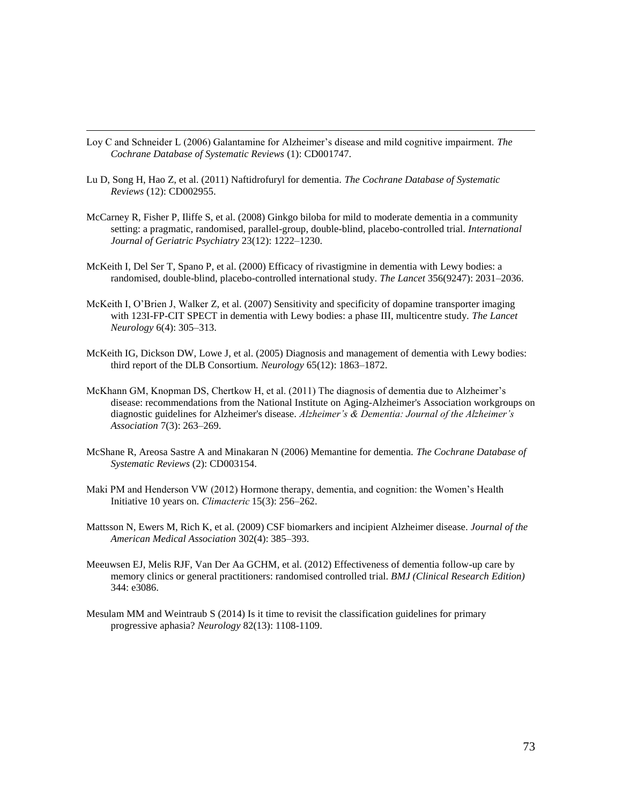Loy C and Schneider L (2006) Galantamine for Alzheimer's disease and mild cognitive impairment. *The Cochrane Database of Systematic Reviews* (1): CD001747.

- Lu D, Song H, Hao Z, et al. (2011) Naftidrofuryl for dementia. *The Cochrane Database of Systematic Reviews* (12): CD002955.
- McCarney R, Fisher P, Iliffe S, et al. (2008) Ginkgo biloba for mild to moderate dementia in a community setting: a pragmatic, randomised, parallel-group, double-blind, placebo-controlled trial. *International Journal of Geriatric Psychiatry* 23(12): 1222–1230.
- McKeith I, Del Ser T, Spano P, et al. (2000) Efficacy of rivastigmine in dementia with Lewy bodies: a randomised, double-blind, placebo-controlled international study. *The Lancet* 356(9247): 2031–2036.
- McKeith I, O'Brien J, Walker Z, et al. (2007) Sensitivity and specificity of dopamine transporter imaging with 123I-FP-CIT SPECT in dementia with Lewy bodies: a phase III, multicentre study. *The Lancet Neurology* 6(4): 305–313.
- McKeith IG, Dickson DW, Lowe J, et al. (2005) Diagnosis and management of dementia with Lewy bodies: third report of the DLB Consortium. *Neurology* 65(12): 1863–1872.
- McKhann GM, Knopman DS, Chertkow H, et al. (2011) The diagnosis of dementia due to Alzheimer's disease: recommendations from the National Institute on Aging-Alzheimer's Association workgroups on diagnostic guidelines for Alzheimer's disease. *Alzheimer's & Dementia: Journal of the Alzheimer's Association* 7(3): 263–269.
- McShane R, Areosa Sastre A and Minakaran N (2006) Memantine for dementia. *The Cochrane Database of Systematic Reviews* (2): CD003154.
- Maki PM and Henderson VW (2012) Hormone therapy, dementia, and cognition: the Women's Health Initiative 10 years on. *Climacteric*15(3): 256–262.
- Mattsson N, Ewers M, Rich K, et al. (2009) CSF biomarkers and incipient Alzheimer disease. *Journal of the American Medical Association* 302(4): 385–393.
- Meeuwsen EJ, Melis RJF, Van Der Aa GCHM, et al. (2012) Effectiveness of dementia follow-up care by memory clinics or general practitioners: randomised controlled trial. *BMJ (Clinical Research Edition)* 344: e3086.
- Mesulam MM and Weintraub S (2014) Is it time to revisit the classification guidelines for primary progressive aphasia? *Neurology* 82(13): 1108-1109.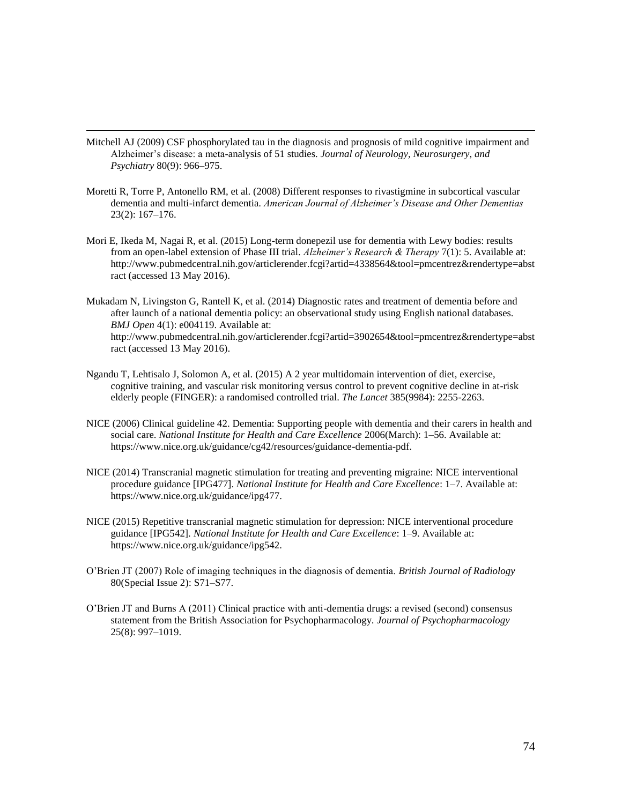Mitchell AJ (2009) CSF phosphorylated tau in the diagnosis and prognosis of mild cognitive impairment and Alzheimer's disease: a meta-analysis of 51 studies. *Journal of Neurology, Neurosurgery, and Psychiatry* 80(9): 966–975.

- Moretti R, Torre P, Antonello RM, et al. (2008) Different responses to rivastigmine in subcortical vascular dementia and multi-infarct dementia. *American Journal of Alzheimer's Disease and Other Dementias* 23(2): 167–176.
- Mori E, Ikeda M, Nagai R, et al. (2015) Long-term donepezil use for dementia with Lewy bodies: results from an open-label extension of Phase III trial. *Alzheimer's Research & Therapy* 7(1): 5. Available at: http://www.pubmedcentral.nih.gov/articlerender.fcgi?artid=4338564&tool=pmcentrez&rendertype=abst ract (accessed 13 May 2016).
- Mukadam N, Livingston G, Rantell K, et al. (2014) Diagnostic rates and treatment of dementia before and after launch of a national dementia policy: an observational study using English national databases. *BMJ Open* 4(1): e004119. Available at: http://www.pubmedcentral.nih.gov/articlerender.fcgi?artid=3902654&tool=pmcentrez&rendertype=abst ract (accessed 13 May 2016).
- Ngandu T, Lehtisalo J, Solomon A, et al. (2015) A 2 year multidomain intervention of diet, exercise, cognitive training, and vascular risk monitoring versus control to prevent cognitive decline in at-risk elderly people (FINGER): a randomised controlled trial. *The Lancet* 385(9984): 2255-2263.
- NICE (2006) Clinical guideline 42. Dementia: Supporting people with dementia and their carers in health and social care. *National Institute for Health and Care Excellence* 2006(March): 1–56. Available at: https://www.nice.org.uk/guidance/cg42/resources/guidance-dementia-pdf.
- NICE (2014) Transcranial magnetic stimulation for treating and preventing migraine: NICE interventional procedure guidance [IPG477]. *National Institute for Health and Care Excellence*: 1–7. Available at: https://www.nice.org.uk/guidance/ipg477.
- NICE (2015) Repetitive transcranial magnetic stimulation for depression: NICE interventional procedure guidance [IPG542]. *National Institute for Health and Care Excellence*: 1–9. Available at: https://www.nice.org.uk/guidance/ipg542.
- O'Brien JT (2007) Role of imaging techniques in the diagnosis of dementia. *British Journal of Radiology* 80(Special Issue 2): S71–S77.
- O'Brien JT and Burns A (2011) Clinical practice with anti-dementia drugs: a revised (second) consensus statement from the British Association for Psychopharmacology. *Journal of Psychopharmacology*  25(8): 997–1019.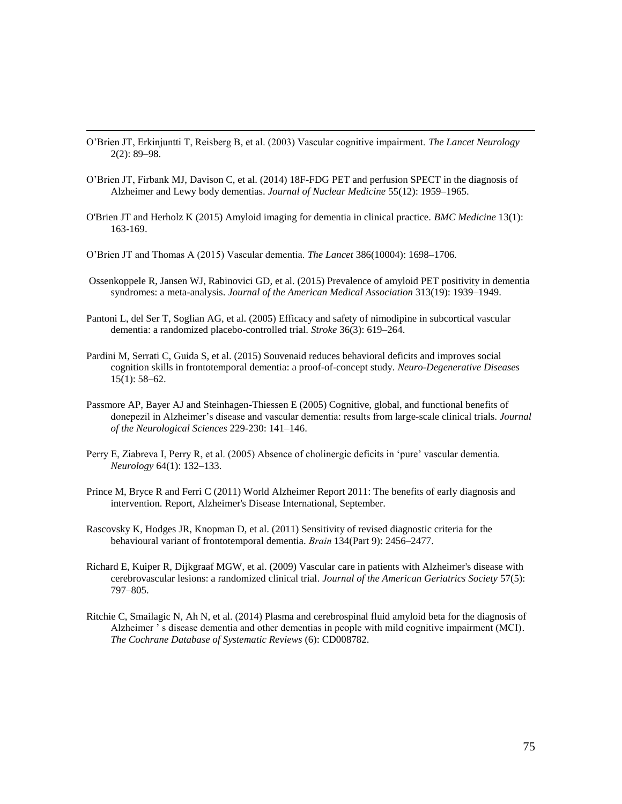- O'Brien JT, Erkinjuntti T, Reisberg B, et al. (2003) Vascular cognitive impairment. *The Lancet Neurology* 2(2): 89–98.
- O'Brien JT, Firbank MJ, Davison C, et al. (2014) 18F-FDG PET and perfusion SPECT in the diagnosis of Alzheimer and Lewy body dementias. *Journal of Nuclear Medicine* 55(12): 1959–1965.
- O'Brien JT and Herholz K (2015) Amyloid imaging for dementia in clinical practice. *BMC Medicine* 13(1): 163-169.
- O'Brien JT and Thomas A (2015) Vascular dementia. *The Lancet* 386(10004): 1698–1706.

- Ossenkoppele R, Jansen WJ, Rabinovici GD, et al. (2015) Prevalence of amyloid PET positivity in dementia syndromes: a meta-analysis. *Journal of the American Medical Association* 313(19): 1939–1949.
- Pantoni L, del Ser T, Soglian AG, et al. (2005) Efficacy and safety of nimodipine in subcortical vascular dementia: a randomized placebo-controlled trial. *Stroke* 36(3): 619–264.
- Pardini M, Serrati C, Guida S, et al. (2015) Souvenaid reduces behavioral deficits and improves social cognition skills in frontotemporal dementia: a proof-of-concept study. *Neuro-Degenerative Diseases* 15(1): 58–62.
- Passmore AP, Bayer AJ and Steinhagen-Thiessen E (2005) Cognitive, global, and functional benefits of donepezil in Alzheimer's disease and vascular dementia: results from large-scale clinical trials. *Journal of the Neurological Sciences* 229-230: 141–146.
- Perry E, Ziabreva I, Perry R, et al. (2005) Absence of cholinergic deficits in 'pure' vascular dementia. *Neurology* 64(1): 132–133.
- Prince M, Bryce R and Ferri C (2011) World Alzheimer Report 2011: The benefits of early diagnosis and intervention. Report, Alzheimer's Disease International, September.
- Rascovsky K, Hodges JR, Knopman D, et al. (2011) Sensitivity of revised diagnostic criteria for the behavioural variant of frontotemporal dementia. *Brain*134(Part 9): 2456–2477.
- Richard E, Kuiper R, Dijkgraaf MGW, et al. (2009) Vascular care in patients with Alzheimer's disease with cerebrovascular lesions: a randomized clinical trial. *Journal of the American Geriatrics Society* 57(5): 797–805.
- Ritchie C, Smailagic N, Ah N, et al. (2014) Plasma and cerebrospinal fluid amyloid beta for the diagnosis of Alzheimer ' s disease dementia and other dementias in people with mild cognitive impairment (MCI). *The Cochrane Database of Systematic Reviews* (6): CD008782.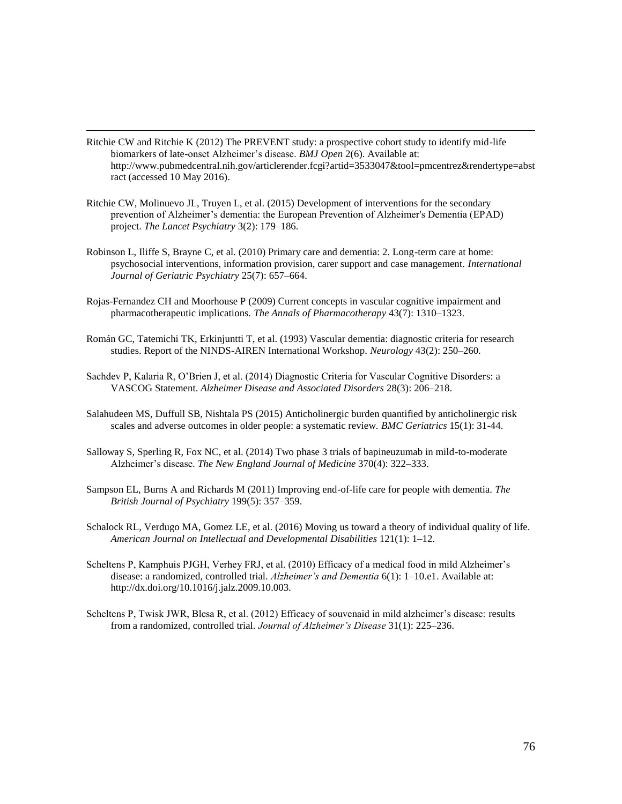- Ritchie CW and Ritchie K (2012) The PREVENT study: a prospective cohort study to identify mid-life biomarkers of late-onset Alzheimer's disease. *BMJ Open* 2(6). Available at: http://www.pubmedcentral.nih.gov/articlerender.fcgi?artid=3533047&tool=pmcentrez&rendertype=abst ract (accessed 10 May 2016).
- Ritchie CW, Molinuevo JL, Truyen L, et al. (2015) Development of interventions for the secondary prevention of Alzheimer's dementia: the European Prevention of Alzheimer's Dementia (EPAD) project. *The Lancet Psychiatry* 3(2): 179–186.

- Robinson L, Iliffe S, Brayne C, et al. (2010) Primary care and dementia: 2. Long-term care at home: psychosocial interventions, information provision, carer support and case management. *International Journal of Geriatric Psychiatry* 25(7): 657–664.
- Rojas-Fernandez CH and Moorhouse P (2009) Current concepts in vascular cognitive impairment and pharmacotherapeutic implications. *The Annals of Pharmacotherapy* 43(7): 1310–1323.
- Román GC, Tatemichi TK, Erkinjuntti T, et al. (1993) Vascular dementia: diagnostic criteria for research studies. Report of the NINDS-AIREN International Workshop. *Neurology* 43(2): 250–260.
- Sachdev P, Kalaria R, O'Brien J, et al. (2014) Diagnostic Criteria for Vascular Cognitive Disorders: a VASCOG Statement. *Alzheimer Disease and Associated Disorders* 28(3): 206–218.
- Salahudeen MS, Duffull SB, Nishtala PS (2015) Anticholinergic burden quantified by anticholinergic risk scales and adverse outcomes in older people: a systematic review. *BMC Geriatrics* 15(1): 31-44.
- Salloway S, Sperling R, Fox NC, et al. (2014) Two phase 3 trials of bapineuzumab in mild-to-moderate Alzheimer's disease. *The New England Journal of Medicine* 370(4): 322–333.
- Sampson EL, Burns A and Richards M (2011) Improving end-of-life care for people with dementia. *The British Journal of Psychiatry* 199(5): 357–359.
- Schalock RL, Verdugo MA, Gomez LE, et al. (2016) Moving us toward a theory of individual quality of life. *American Journal on Intellectual and Developmental Disabilities* 121(1): 1–12.
- Scheltens P, Kamphuis PJGH, Verhey FRJ, et al. (2010) Efficacy of a medical food in mild Alzheimer's disease: a randomized, controlled trial. *Alzheimer's and Dementia* 6(1): 1–10.e1. Available at: http://dx.doi.org/10.1016/j.jalz.2009.10.003.
- Scheltens P, Twisk JWR, Blesa R, et al. (2012) Efficacy of souvenaid in mild alzheimer's disease: results from a randomized, controlled trial. *Journal of Alzheimer's Disease* 31(1): 225–236.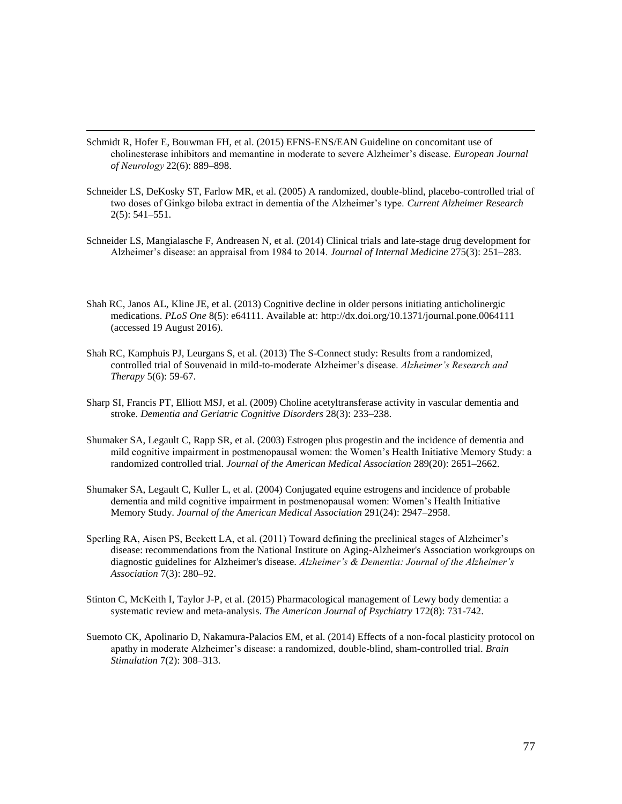Schmidt R, Hofer E, Bouwman FH, et al. (2015) EFNS-ENS/EAN Guideline on concomitant use of cholinesterase inhibitors and memantine in moderate to severe Alzheimer's disease. *European Journal of Neurology*22(6): 889–898.

- Schneider LS, DeKosky ST, Farlow MR, et al. (2005) A randomized, double-blind, placebo-controlled trial of two doses of Ginkgo biloba extract in dementia of the Alzheimer's type. *Current Alzheimer Research* 2(5): 541–551.
- Schneider LS, Mangialasche F, Andreasen N, et al. (2014) Clinical trials and late-stage drug development for Alzheimer's disease: an appraisal from 1984 to 2014. *Journal of Internal Medicine* 275(3): 251–283.
- Shah RC, Janos AL, Kline JE, et al. (2013) Cognitive decline in older persons initiating anticholinergic medications. *PLoS One* 8(5): e64111. Available at: http://dx.doi.org/10.1371/journal.pone.0064111 (accessed 19 August 2016).
- Shah RC, Kamphuis PJ, Leurgans S, et al. (2013) The S-Connect study: Results from a randomized, controlled trial of Souvenaid in mild-to-moderate Alzheimer's disease. *Alzheimer's Research and Therapy* 5(6): 59-67.
- Sharp SI, Francis PT, Elliott MSJ, et al. (2009) Choline acetyltransferase activity in vascular dementia and stroke. *Dementia and Geriatric Cognitive Disorders* 28(3): 233–238.
- Shumaker SA, Legault C, Rapp SR, et al. (2003) Estrogen plus progestin and the incidence of dementia and mild cognitive impairment in postmenopausal women: the Women's Health Initiative Memory Study: a randomized controlled trial. *Journal of the American Medical Association* 289(20): 2651–2662.
- Shumaker SA, Legault C, Kuller L, et al. (2004) Conjugated equine estrogens and incidence of probable dementia and mild cognitive impairment in postmenopausal women: Women's Health Initiative Memory Study. *Journal of the American Medical Association* 291(24): 2947–2958.
- Sperling RA, Aisen PS, Beckett LA, et al. (2011) Toward defining the preclinical stages of Alzheimer's disease: recommendations from the National Institute on Aging-Alzheimer's Association workgroups on diagnostic guidelines for Alzheimer's disease. *Alzheimer's & Dementia: Journal of the Alzheimer's Association* 7(3): 280–92.
- Stinton C, McKeith I, Taylor J-P, et al. (2015) Pharmacological management of Lewy body dementia: a systematic review and meta-analysis. *The American Journal of Psychiatry* 172(8): 731-742.
- Suemoto CK, Apolinario D, Nakamura-Palacios EM, et al. (2014) Effects of a non-focal plasticity protocol on apathy in moderate Alzheimer's disease: a randomized, double-blind, sham-controlled trial. *Brain Stimulation* 7(2): 308–313.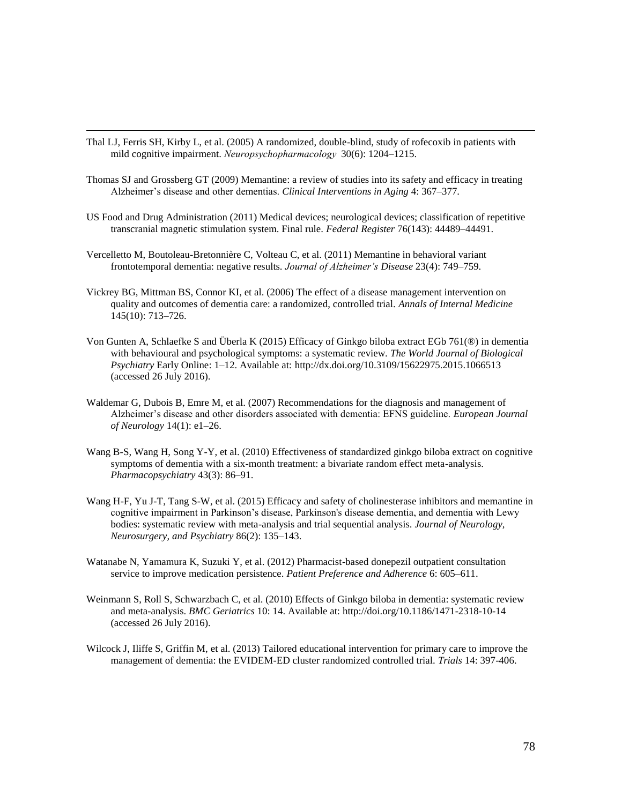Thal LJ, Ferris SH, Kirby L, et al. (2005) A randomized, double-blind, study of rofecoxib in patients with mild cognitive impairment. *Neuropsychopharmacology* 30(6): 1204–1215.

- Thomas SJ and Grossberg GT (2009) Memantine: a review of studies into its safety and efficacy in treating Alzheimer's disease and other dementias. *Clinical Interventions in Aging* 4: 367–377.
- US Food and Drug Administration (2011) Medical devices; neurological devices; classification of repetitive transcranial magnetic stimulation system. Final rule. *Federal Register* 76(143): 44489–44491.
- Vercelletto M, Boutoleau-Bretonnière C, Volteau C, et al. (2011) Memantine in behavioral variant frontotemporal dementia: negative results. *Journal of Alzheimer's Disease* 23(4): 749–759.
- Vickrey BG, Mittman BS, Connor KI, et al. (2006) The effect of a disease management intervention on quality and outcomes of dementia care: a randomized, controlled trial. *Annals of Internal Medicine* 145(10): 713–726.
- Von Gunten A, Schlaefke S and Überla K (2015) Efficacy of Ginkgo biloba extract EGb 761(®) in dementia with behavioural and psychological symptoms: a systematic review. *The World Journal of Biological Psychiatry* Early Online: 1–12. Available at: http://dx.doi.org/10.3109/15622975.2015.1066513 (accessed 26 July 2016).
- Waldemar G, Dubois B, Emre M, et al. (2007) Recommendations for the diagnosis and management of Alzheimer's disease and other disorders associated with dementia: EFNS guideline. *European Journal of Neurology* 14(1): e1–26.
- Wang B-S, Wang H, Song Y-Y, et al. (2010) Effectiveness of standardized ginkgo biloba extract on cognitive symptoms of dementia with a six-month treatment: a bivariate random effect meta-analysis. *Pharmacopsychiatry* 43(3): 86–91.
- Wang H-F, Yu J-T, Tang S-W, et al. (2015) Efficacy and safety of cholinesterase inhibitors and memantine in cognitive impairment in Parkinson's disease, Parkinson's disease dementia, and dementia with Lewy bodies: systematic review with meta-analysis and trial sequential analysis. *Journal of Neurology, Neurosurgery, and Psychiatry* 86(2): 135–143.
- Watanabe N, Yamamura K, Suzuki Y, et al. (2012) Pharmacist-based donepezil outpatient consultation service to improve medication persistence. *Patient Preference and Adherence* 6: 605–611.
- Weinmann S, Roll S, Schwarzbach C, et al. (2010) Effects of Ginkgo biloba in dementia: systematic review and meta-analysis. *BMC Geriatrics* 10: 14. Available at: http://doi.org/10.1186/1471-2318-10-14 (accessed 26 July 2016).
- Wilcock J, Iliffe S, Griffin M, et al. (2013) Tailored educational intervention for primary care to improve the management of dementia: the EVIDEM-ED cluster randomized controlled trial. *Trials* 14: 397-406.